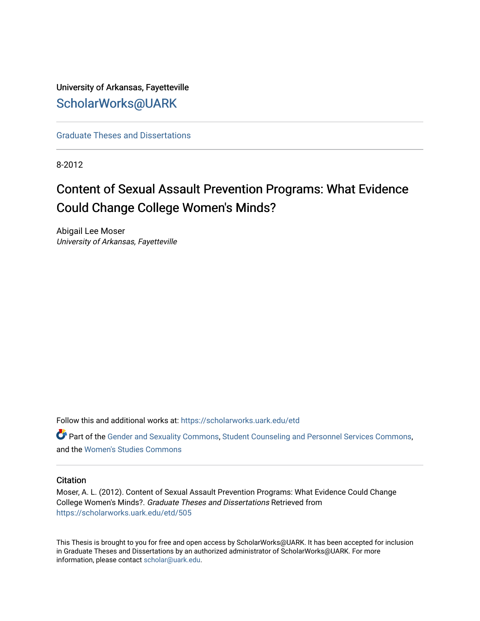University of Arkansas, Fayetteville [ScholarWorks@UARK](https://scholarworks.uark.edu/) 

[Graduate Theses and Dissertations](https://scholarworks.uark.edu/etd) 

8-2012

# Content of Sexual Assault Prevention Programs: What Evidence Could Change College Women's Minds?

Abigail Lee Moser University of Arkansas, Fayetteville

Follow this and additional works at: [https://scholarworks.uark.edu/etd](https://scholarworks.uark.edu/etd?utm_source=scholarworks.uark.edu%2Fetd%2F505&utm_medium=PDF&utm_campaign=PDFCoverPages)

**P** Part of the [Gender and Sexuality Commons](http://network.bepress.com/hgg/discipline/420?utm_source=scholarworks.uark.edu%2Fetd%2F505&utm_medium=PDF&utm_campaign=PDFCoverPages), [Student Counseling and Personnel Services Commons](http://network.bepress.com/hgg/discipline/802?utm_source=scholarworks.uark.edu%2Fetd%2F505&utm_medium=PDF&utm_campaign=PDFCoverPages), and the [Women's Studies Commons](http://network.bepress.com/hgg/discipline/561?utm_source=scholarworks.uark.edu%2Fetd%2F505&utm_medium=PDF&utm_campaign=PDFCoverPages) 

#### **Citation**

Moser, A. L. (2012). Content of Sexual Assault Prevention Programs: What Evidence Could Change College Women's Minds?. Graduate Theses and Dissertations Retrieved from [https://scholarworks.uark.edu/etd/505](https://scholarworks.uark.edu/etd/505?utm_source=scholarworks.uark.edu%2Fetd%2F505&utm_medium=PDF&utm_campaign=PDFCoverPages) 

This Thesis is brought to you for free and open access by ScholarWorks@UARK. It has been accepted for inclusion in Graduate Theses and Dissertations by an authorized administrator of ScholarWorks@UARK. For more information, please contact [scholar@uark.edu.](mailto:scholar@uark.edu)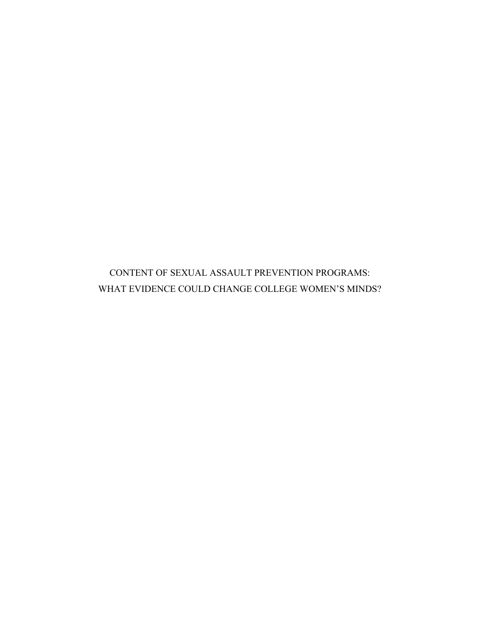CONTENT OF SEXUAL ASSAULT PREVENTION PROGRAMS: WHAT EVIDENCE COULD CHANGE COLLEGE WOMEN'S MINDS?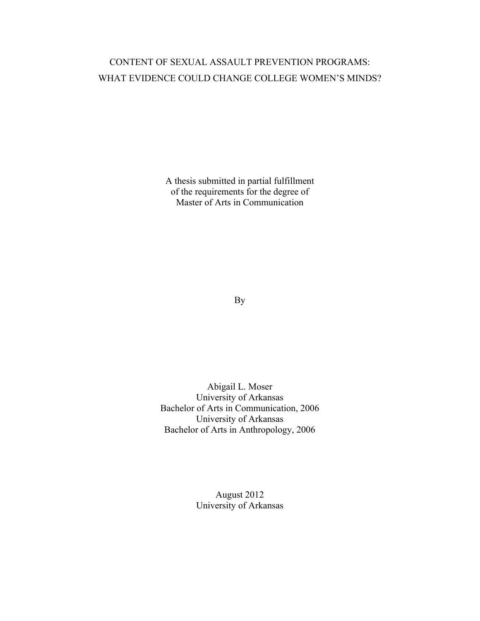## CONTENT OF SEXUAL ASSAULT PREVENTION PROGRAMS: WHAT EVIDENCE COULD CHANGE COLLEGE WOMEN'S MINDS?

A thesis submitted in partial fulfillment of the requirements for the degree of Master of Arts in Communication

By

Abigail L. Moser University of Arkansas Bachelor of Arts in Communication, 2006 University of Arkansas Bachelor of Arts in Anthropology, 2006

> August 2012 University of Arkansas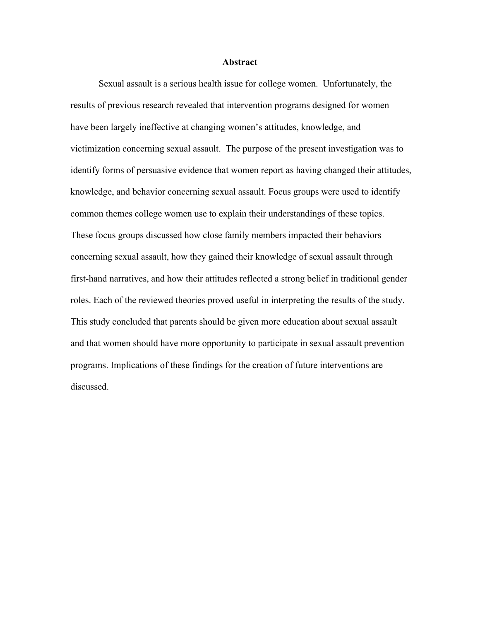#### **Abstract**

Sexual assault is a serious health issue for college women. Unfortunately, the results of previous research revealed that intervention programs designed for women have been largely ineffective at changing women's attitudes, knowledge, and victimization concerning sexual assault. The purpose of the present investigation was to identify forms of persuasive evidence that women report as having changed their attitudes, knowledge, and behavior concerning sexual assault. Focus groups were used to identify common themes college women use to explain their understandings of these topics. These focus groups discussed how close family members impacted their behaviors concerning sexual assault, how they gained their knowledge of sexual assault through first-hand narratives, and how their attitudes reflected a strong belief in traditional gender roles. Each of the reviewed theories proved useful in interpreting the results of the study. This study concluded that parents should be given more education about sexual assault and that women should have more opportunity to participate in sexual assault prevention programs. Implications of these findings for the creation of future interventions are discussed.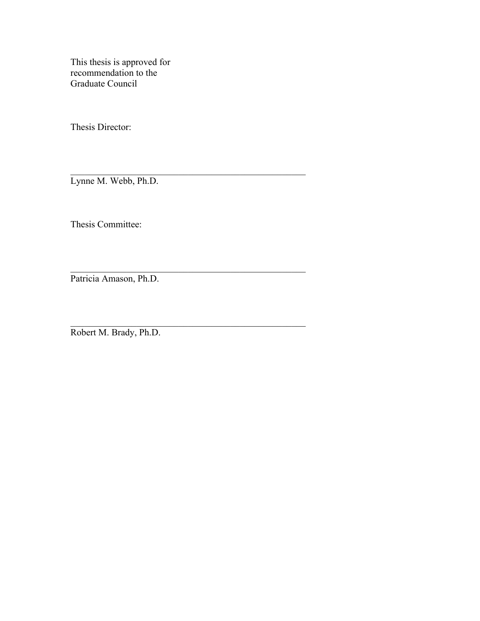This thesis is approved for recommendation to the Graduate Council

Thesis Director:

Lynne M. Webb, Ph.D.

 $\mathcal{L}_\text{max}$  , and the set of the set of the set of the set of the set of the set of the set of the set of the set of

 $\mathcal{L}_\text{max}$  , and the set of the set of the set of the set of the set of the set of the set of the set of the set of the set of the set of the set of the set of the set of the set of the set of the set of the set of the

 $\mathcal{L}_\text{max}$  and the contract of the contract of the contract of the contract of the contract of the contract of the contract of the contract of the contract of the contract of the contract of the contract of the contrac

Thesis Committee:

Patricia Amason, Ph.D.

Robert M. Brady, Ph.D.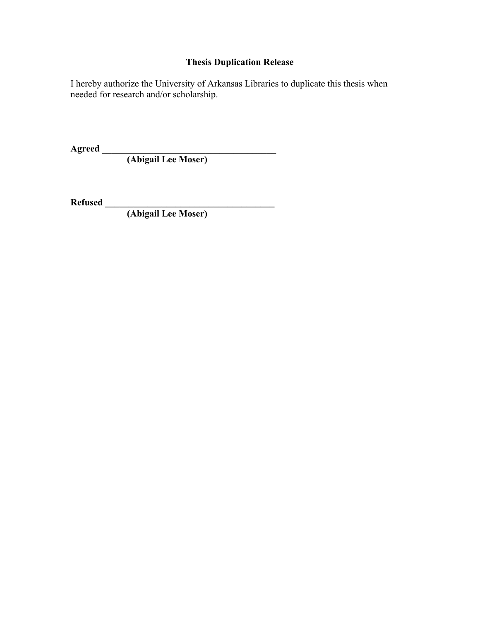### **Thesis Duplication Release**

I hereby authorize the University of Arkansas Libraries to duplicate this thesis when needed for research and/or scholarship.

**Agreed \_\_\_\_\_\_\_\_\_\_\_\_\_\_\_\_\_\_\_\_\_\_\_\_\_\_\_\_\_\_\_\_\_\_\_\_\_ (Abigail Lee Moser)**

**Refused Exercise 2** 

**(Abigail Lee Moser)**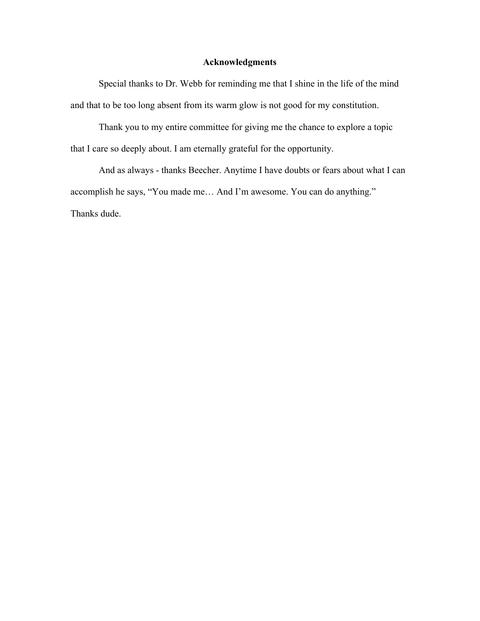### **Acknowledgments**

Special thanks to Dr. Webb for reminding me that I shine in the life of the mind and that to be too long absent from its warm glow is not good for my constitution.

Thank you to my entire committee for giving me the chance to explore a topic that I care so deeply about. I am eternally grateful for the opportunity.

And as always - thanks Beecher. Anytime I have doubts or fears about what I can accomplish he says, "You made me… And I'm awesome. You can do anything." Thanks dude.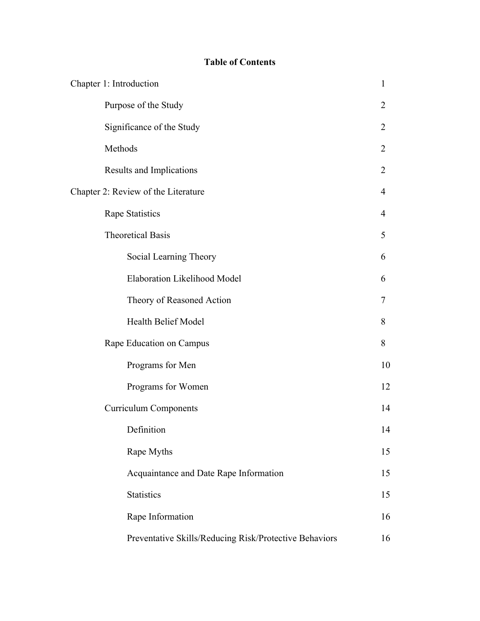# **Table of Contents**

|                                     | Chapter 1: Introduction                                | $\mathbf{1}$   |
|-------------------------------------|--------------------------------------------------------|----------------|
|                                     | Purpose of the Study                                   | $\overline{2}$ |
|                                     | Significance of the Study                              | 2              |
|                                     | Methods                                                | $\overline{2}$ |
|                                     | Results and Implications                               | $\overline{2}$ |
| Chapter 2: Review of the Literature |                                                        |                |
|                                     | Rape Statistics                                        | 4              |
|                                     | <b>Theoretical Basis</b>                               | 5              |
|                                     | Social Learning Theory                                 | 6              |
|                                     | Elaboration Likelihood Model                           | 6              |
|                                     | Theory of Reasoned Action                              | 7              |
|                                     | Health Belief Model                                    | 8              |
|                                     | Rape Education on Campus                               | 8              |
|                                     | Programs for Men                                       | 10             |
|                                     | Programs for Women                                     | 12             |
| <b>Curriculum Components</b>        |                                                        | 14             |
|                                     | Definition                                             | 14             |
|                                     | Rape Myths                                             | 15             |
|                                     | Acquaintance and Date Rape Information                 | 15             |
|                                     | Statistics                                             | 15             |
|                                     | Rape Information                                       | 16             |
|                                     | Preventative Skills/Reducing Risk/Protective Behaviors | 16             |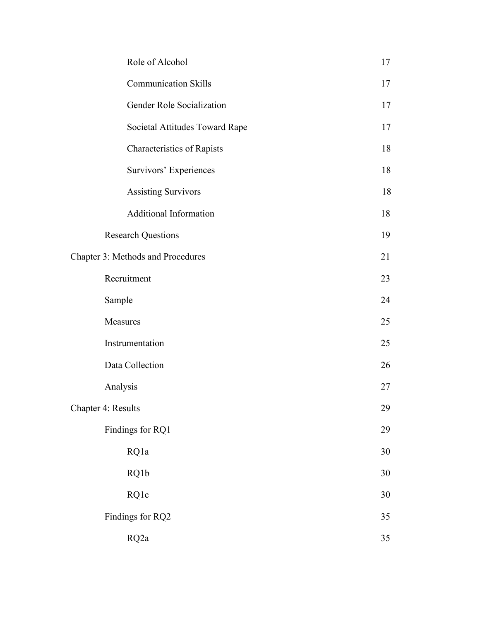| Role of Alcohol                   | 17     |  |
|-----------------------------------|--------|--|
| <b>Communication Skills</b>       | 17     |  |
| Gender Role Socialization         | 17     |  |
| Societal Attitudes Toward Rape    | 17     |  |
| <b>Characteristics of Rapists</b> | 18     |  |
| Survivors' Experiences            | 18     |  |
| <b>Assisting Survivors</b>        | 18     |  |
| <b>Additional Information</b>     | 18     |  |
| <b>Research Questions</b>         | 19     |  |
| Chapter 3: Methods and Procedures |        |  |
| Recruitment                       | 23     |  |
| Sample                            | 24     |  |
| Measures                          | 25     |  |
| Instrumentation                   | 25     |  |
| Data Collection                   | 26     |  |
| Analysis                          | 27     |  |
| Chapter 4: Results                |        |  |
| Findings for RQ1                  | 29     |  |
| RQ1a                              | 30     |  |
| RQ1b                              | 30     |  |
| RQ1c                              | $30\,$ |  |
| Findings for RQ2                  | 35     |  |
| RQ <sub>2</sub> a                 | 35     |  |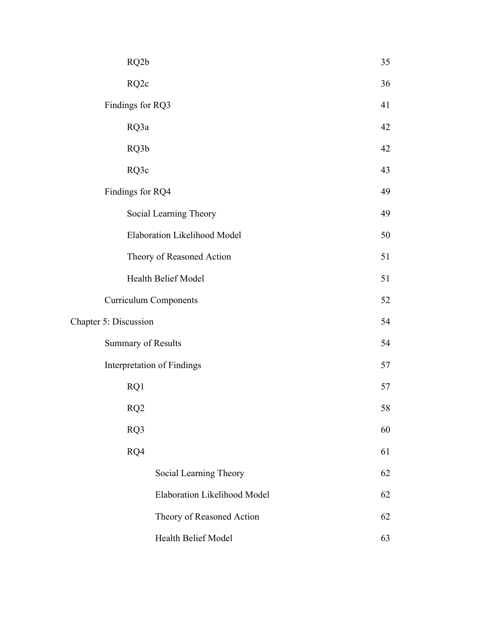|                       | RQ2b               |                                     |    | 35 |
|-----------------------|--------------------|-------------------------------------|----|----|
|                       | RQ <sub>2c</sub>   |                                     |    | 36 |
|                       | Findings for RQ3   |                                     |    | 41 |
|                       | RQ3a               |                                     |    | 42 |
|                       | RQ3b               |                                     |    | 42 |
|                       | RQ3c               |                                     |    | 43 |
|                       | Findings for RQ4   |                                     |    | 49 |
|                       |                    | Social Learning Theory              |    | 49 |
|                       |                    | Elaboration Likelihood Model        |    | 50 |
|                       |                    | Theory of Reasoned Action           |    | 51 |
|                       |                    | Health Belief Model                 |    | 51 |
|                       |                    | <b>Curriculum Components</b>        |    | 52 |
| Chapter 5: Discussion |                    |                                     | 54 |    |
|                       | Summary of Results |                                     |    | 54 |
|                       |                    | Interpretation of Findings          |    | 57 |
|                       | RQ1                |                                     |    | 57 |
|                       | RQ2                |                                     |    | 58 |
|                       | RQ3                |                                     |    | 60 |
|                       | RQ4                |                                     |    | 61 |
|                       |                    | Social Learning Theory              |    | 62 |
|                       |                    | <b>Elaboration Likelihood Model</b> |    | 62 |
|                       |                    | Theory of Reasoned Action           |    | 62 |
|                       |                    | Health Belief Model                 |    | 63 |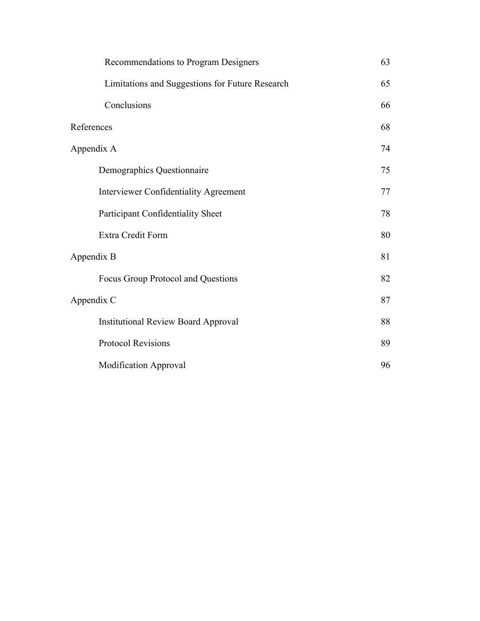| Recommendations to Program Designers            | 63 |  |
|-------------------------------------------------|----|--|
| Limitations and Suggestions for Future Research | 65 |  |
| Conclusions                                     | 66 |  |
| References                                      |    |  |
| Appendix A                                      |    |  |
| Demographics Questionnaire                      | 75 |  |
| <b>Interviewer Confidentiality Agreement</b>    | 77 |  |
| Participant Confidentiality Sheet               | 78 |  |
| Extra Credit Form                               | 80 |  |
| Appendix B                                      |    |  |
| Focus Group Protocol and Questions              | 82 |  |
| Appendix C                                      |    |  |
| <b>Institutional Review Board Approval</b>      | 88 |  |
| <b>Protocol Revisions</b>                       | 89 |  |
| <b>Modification Approval</b>                    | 96 |  |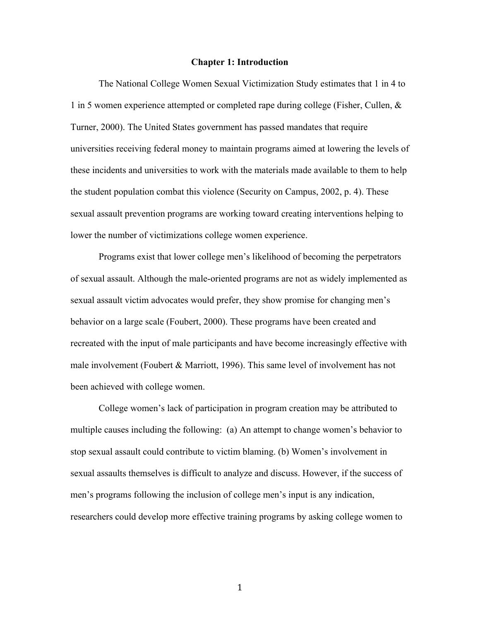#### **Chapter 1: Introduction**

The National College Women Sexual Victimization Study estimates that 1 in 4 to 1 in 5 women experience attempted or completed rape during college (Fisher, Cullen, & Turner, 2000). The United States government has passed mandates that require universities receiving federal money to maintain programs aimed at lowering the levels of these incidents and universities to work with the materials made available to them to help the student population combat this violence (Security on Campus, 2002, p. 4). These sexual assault prevention programs are working toward creating interventions helping to lower the number of victimizations college women experience.

Programs exist that lower college men's likelihood of becoming the perpetrators of sexual assault. Although the male-oriented programs are not as widely implemented as sexual assault victim advocates would prefer, they show promise for changing men's behavior on a large scale (Foubert, 2000). These programs have been created and recreated with the input of male participants and have become increasingly effective with male involvement (Foubert & Marriott, 1996). This same level of involvement has not been achieved with college women.

College women's lack of participation in program creation may be attributed to multiple causes including the following: (a) An attempt to change women's behavior to stop sexual assault could contribute to victim blaming. (b) Women's involvement in sexual assaults themselves is difficult to analyze and discuss. However, if the success of men's programs following the inclusion of college men's input is any indication, researchers could develop more effective training programs by asking college women to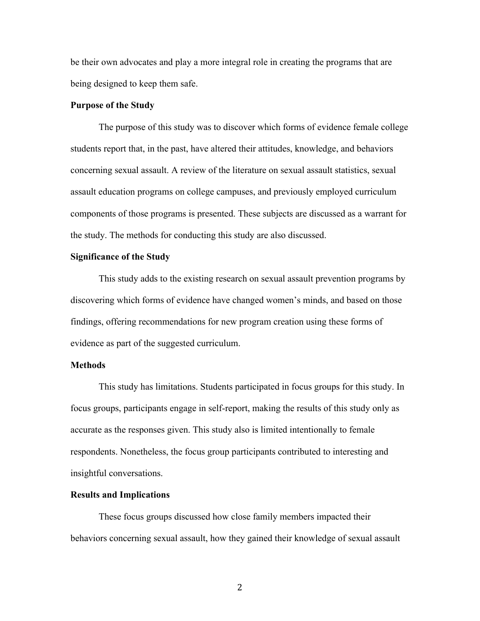be their own advocates and play a more integral role in creating the programs that are being designed to keep them safe.

#### **Purpose of the Study**

The purpose of this study was to discover which forms of evidence female college students report that, in the past, have altered their attitudes, knowledge, and behaviors concerning sexual assault. A review of the literature on sexual assault statistics, sexual assault education programs on college campuses, and previously employed curriculum components of those programs is presented. These subjects are discussed as a warrant for the study. The methods for conducting this study are also discussed.

#### **Significance of the Study**

This study adds to the existing research on sexual assault prevention programs by discovering which forms of evidence have changed women's minds, and based on those findings, offering recommendations for new program creation using these forms of evidence as part of the suggested curriculum.

#### **Methods**

This study has limitations. Students participated in focus groups for this study. In focus groups, participants engage in self-report, making the results of this study only as accurate as the responses given. This study also is limited intentionally to female respondents. Nonetheless, the focus group participants contributed to interesting and insightful conversations.

#### **Results and Implications**

These focus groups discussed how close family members impacted their behaviors concerning sexual assault, how they gained their knowledge of sexual assault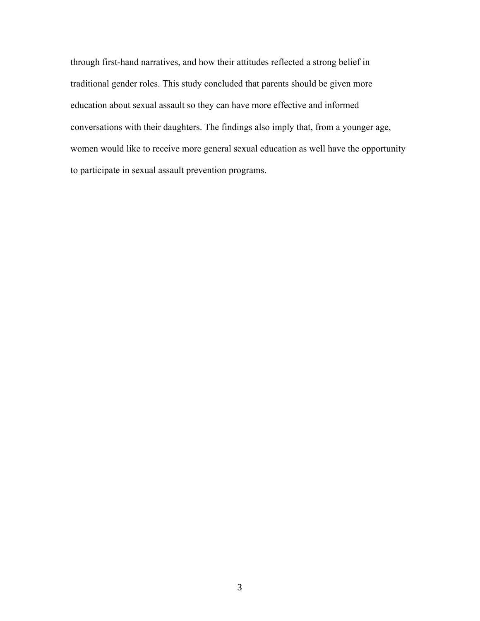through first-hand narratives, and how their attitudes reflected a strong belief in traditional gender roles. This study concluded that parents should be given more education about sexual assault so they can have more effective and informed conversations with their daughters. The findings also imply that, from a younger age, women would like to receive more general sexual education as well have the opportunity to participate in sexual assault prevention programs.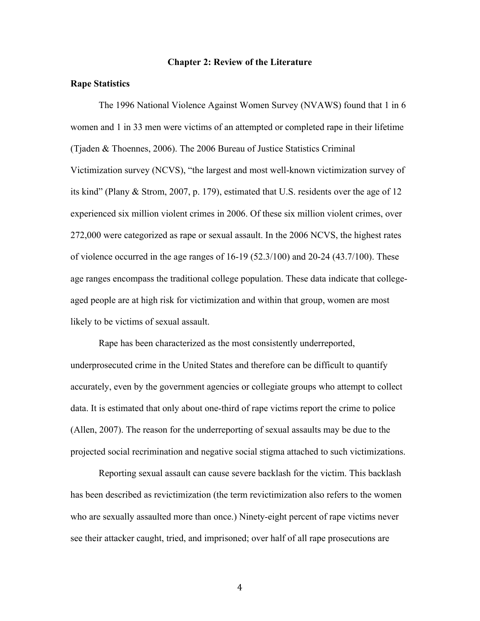#### **Chapter 2: Review of the Literature**

#### **Rape Statistics**

The 1996 National Violence Against Women Survey (NVAWS) found that 1 in 6 women and 1 in 33 men were victims of an attempted or completed rape in their lifetime (Tjaden & Thoennes, 2006). The 2006 Bureau of Justice Statistics Criminal Victimization survey (NCVS), "the largest and most well-known victimization survey of its kind" (Plany & Strom, 2007, p. 179), estimated that U.S. residents over the age of 12 experienced six million violent crimes in 2006. Of these six million violent crimes, over 272,000 were categorized as rape or sexual assault. In the 2006 NCVS, the highest rates of violence occurred in the age ranges of 16-19 (52.3/100) and 20-24 (43.7/100). These age ranges encompass the traditional college population. These data indicate that collegeaged people are at high risk for victimization and within that group, women are most likely to be victims of sexual assault.

Rape has been characterized as the most consistently underreported, underprosecuted crime in the United States and therefore can be difficult to quantify accurately, even by the government agencies or collegiate groups who attempt to collect data. It is estimated that only about one-third of rape victims report the crime to police (Allen, 2007). The reason for the underreporting of sexual assaults may be due to the projected social recrimination and negative social stigma attached to such victimizations.

Reporting sexual assault can cause severe backlash for the victim. This backlash has been described as revictimization (the term revictimization also refers to the women who are sexually assaulted more than once.) Ninety-eight percent of rape victims never see their attacker caught, tried, and imprisoned; over half of all rape prosecutions are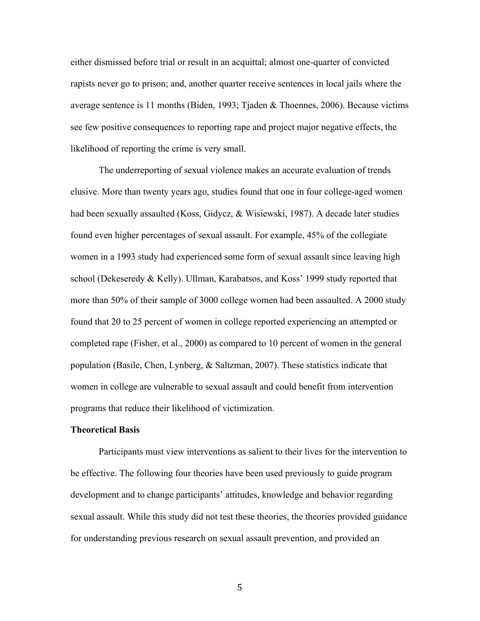either dismissed before trial or result in an acquittal; almost one-quarter of convicted rapists never go to prison; and, another quarter receive sentences in local jails where the average sentence is 11 months (Biden, 1993; Tjaden & Thoennes, 2006). Because victims see few positive consequences to reporting rape and project major negative effects, the likelihood of reporting the crime is very small.

The underreporting of sexual violence makes an accurate evaluation of trends elusive. More than twenty years ago, studies found that one in four college-aged women had been sexually assaulted (Koss, Gidycz, & Wisiewski, 1987). A decade later studies found even higher percentages of sexual assault. For example, 45% of the collegiate women in a 1993 study had experienced some form of sexual assault since leaving high school (Dekeseredy & Kelly). Ullman, Karabatsos, and Koss' 1999 study reported that more than 50% of their sample of 3000 college women had been assaulted. A 2000 study found that 20 to 25 percent of women in college reported experiencing an attempted or completed rape (Fisher, et al., 2000) as compared to 10 percent of women in the general population (Basile, Chen, Lynberg, & Saltzman, 2007). These statistics indicate that women in college are vulnerable to sexual assault and could benefit from intervention programs that reduce their likelihood of victimization.

#### **Theoretical Basis**

Participants must view interventions as salient to their lives for the intervention to be effective. The following four theories have been used previously to guide program development and to change participants' attitudes, knowledge and behavior regarding sexual assault. While this study did not test these theories, the theories provided guidance for understanding previous research on sexual assault prevention, and provided an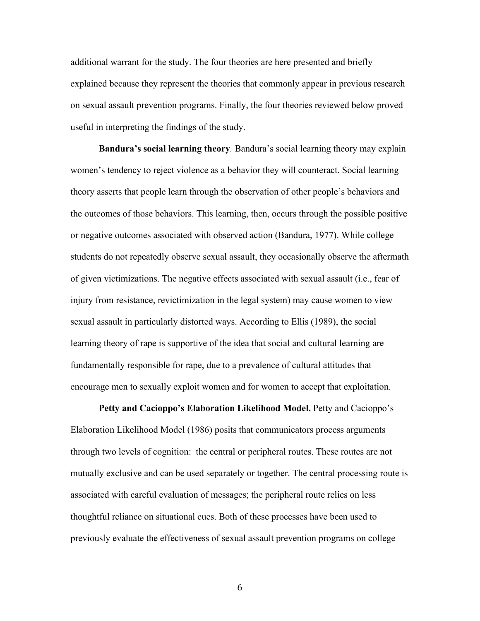additional warrant for the study. The four theories are here presented and briefly explained because they represent the theories that commonly appear in previous research on sexual assault prevention programs. Finally, the four theories reviewed below proved useful in interpreting the findings of the study.

**Bandura's social learning theory***.* Bandura's social learning theory may explain women's tendency to reject violence as a behavior they will counteract. Social learning theory asserts that people learn through the observation of other people's behaviors and the outcomes of those behaviors. This learning, then, occurs through the possible positive or negative outcomes associated with observed action (Bandura, 1977). While college students do not repeatedly observe sexual assault, they occasionally observe the aftermath of given victimizations. The negative effects associated with sexual assault (i.e., fear of injury from resistance, revictimization in the legal system) may cause women to view sexual assault in particularly distorted ways. According to Ellis (1989), the social learning theory of rape is supportive of the idea that social and cultural learning are fundamentally responsible for rape, due to a prevalence of cultural attitudes that encourage men to sexually exploit women and for women to accept that exploitation.

**Petty and Cacioppo's Elaboration Likelihood Model.** Petty and Cacioppo's Elaboration Likelihood Model (1986) posits that communicators process arguments through two levels of cognition: the central or peripheral routes. These routes are not mutually exclusive and can be used separately or together. The central processing route is associated with careful evaluation of messages; the peripheral route relies on less thoughtful reliance on situational cues. Both of these processes have been used to previously evaluate the effectiveness of sexual assault prevention programs on college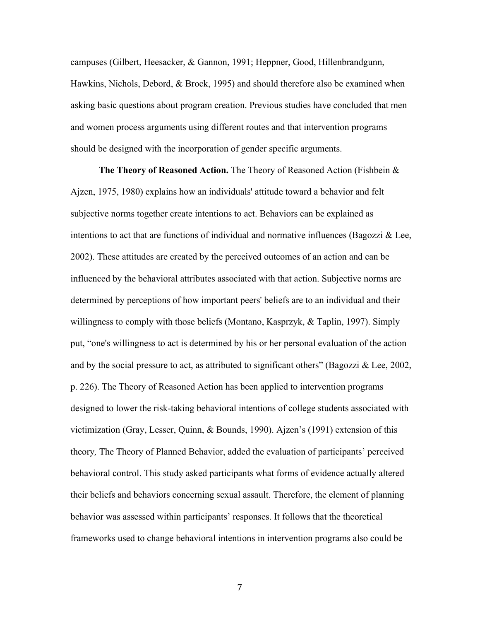campuses (Gilbert, Heesacker, & Gannon, 1991; Heppner, Good, Hillenbrandgunn, Hawkins, Nichols, Debord, & Brock, 1995) and should therefore also be examined when asking basic questions about program creation. Previous studies have concluded that men and women process arguments using different routes and that intervention programs should be designed with the incorporation of gender specific arguments.

**The Theory of Reasoned Action.** The Theory of Reasoned Action (Fishbein & Ajzen, 1975, 1980) explains how an individuals' attitude toward a behavior and felt subjective norms together create intentions to act. Behaviors can be explained as intentions to act that are functions of individual and normative influences (Bagozzi  $\&$  Lee, 2002). These attitudes are created by the perceived outcomes of an action and can be influenced by the behavioral attributes associated with that action. Subjective norms are determined by perceptions of how important peers' beliefs are to an individual and their willingness to comply with those beliefs (Montano, Kasprzyk, & Taplin, 1997). Simply put, "one's willingness to act is determined by his or her personal evaluation of the action and by the social pressure to act, as attributed to significant others" (Bagozzi & Lee, 2002, p. 226). The Theory of Reasoned Action has been applied to intervention programs designed to lower the risk-taking behavioral intentions of college students associated with victimization (Gray, Lesser, Quinn, & Bounds, 1990). Ajzen's (1991) extension of this theory*,* The Theory of Planned Behavior, added the evaluation of participants' perceived behavioral control. This study asked participants what forms of evidence actually altered their beliefs and behaviors concerning sexual assault. Therefore, the element of planning behavior was assessed within participants' responses. It follows that the theoretical frameworks used to change behavioral intentions in intervention programs also could be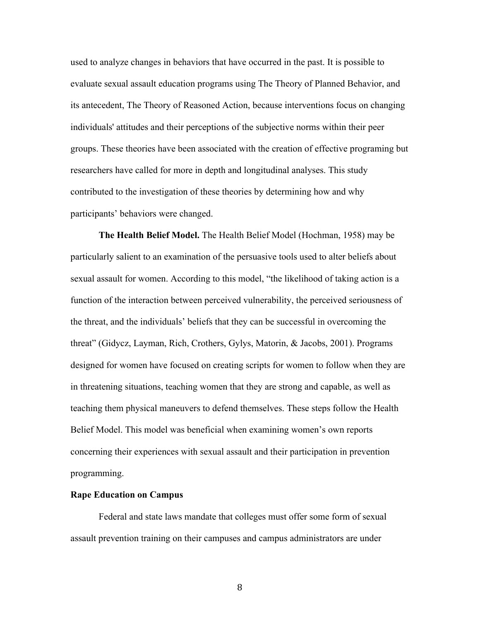used to analyze changes in behaviors that have occurred in the past. It is possible to evaluate sexual assault education programs using The Theory of Planned Behavior, and its antecedent, The Theory of Reasoned Action, because interventions focus on changing individuals' attitudes and their perceptions of the subjective norms within their peer groups. These theories have been associated with the creation of effective programing but researchers have called for more in depth and longitudinal analyses. This study contributed to the investigation of these theories by determining how and why participants' behaviors were changed.

**The Health Belief Model.** The Health Belief Model (Hochman, 1958) may be particularly salient to an examination of the persuasive tools used to alter beliefs about sexual assault for women. According to this model, "the likelihood of taking action is a function of the interaction between perceived vulnerability, the perceived seriousness of the threat, and the individuals' beliefs that they can be successful in overcoming the threat" (Gidycz, Layman, Rich, Crothers, Gylys, Matorin, & Jacobs, 2001). Programs designed for women have focused on creating scripts for women to follow when they are in threatening situations, teaching women that they are strong and capable, as well as teaching them physical maneuvers to defend themselves. These steps follow the Health Belief Model. This model was beneficial when examining women's own reports concerning their experiences with sexual assault and their participation in prevention programming.

#### **Rape Education on Campus**

Federal and state laws mandate that colleges must offer some form of sexual assault prevention training on their campuses and campus administrators are under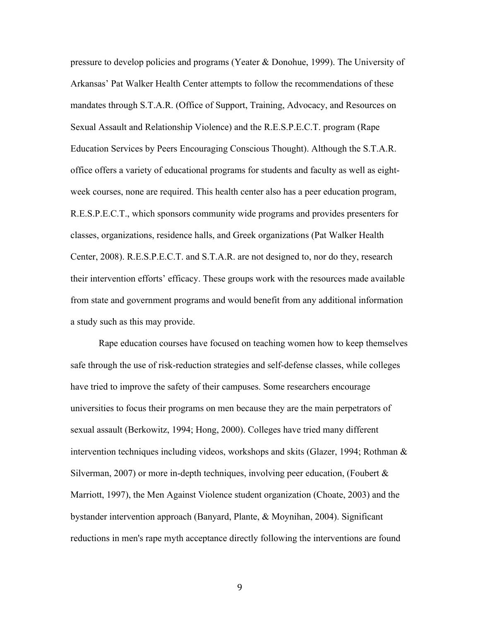pressure to develop policies and programs (Yeater & Donohue, 1999). The University of Arkansas' Pat Walker Health Center attempts to follow the recommendations of these mandates through S.T.A.R. (Office of Support, Training, Advocacy, and Resources on Sexual Assault and Relationship Violence) and the R.E.S.P.E.C.T. program (Rape Education Services by Peers Encouraging Conscious Thought). Although the S.T.A.R. office offers a variety of educational programs for students and faculty as well as eightweek courses, none are required. This health center also has a peer education program, R.E.S.P.E.C.T., which sponsors community wide programs and provides presenters for classes, organizations, residence halls, and Greek organizations (Pat Walker Health Center, 2008). R.E.S.P.E.C.T. and S.T.A.R. are not designed to, nor do they, research their intervention efforts' efficacy. These groups work with the resources made available from state and government programs and would benefit from any additional information a study such as this may provide.

Rape education courses have focused on teaching women how to keep themselves safe through the use of risk-reduction strategies and self-defense classes, while colleges have tried to improve the safety of their campuses. Some researchers encourage universities to focus their programs on men because they are the main perpetrators of sexual assault (Berkowitz, 1994; Hong, 2000). Colleges have tried many different intervention techniques including videos, workshops and skits (Glazer, 1994; Rothman  $\&$ Silverman, 2007) or more in-depth techniques, involving peer education, (Foubert  $\&$ Marriott, 1997), the Men Against Violence student organization (Choate, 2003) and the bystander intervention approach (Banyard, Plante, & Moynihan, 2004). Significant reductions in men's rape myth acceptance directly following the interventions are found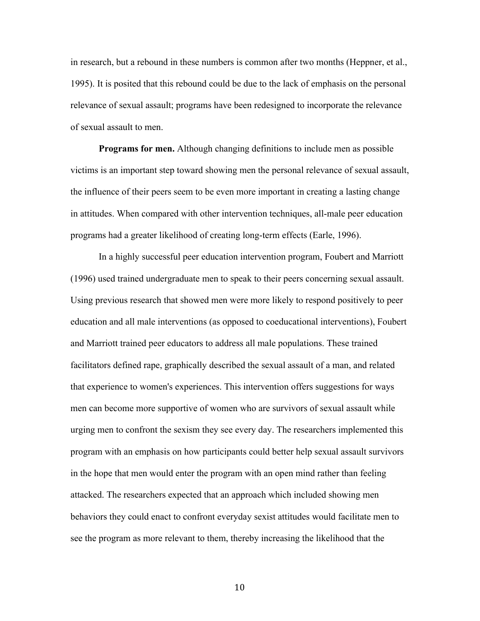in research, but a rebound in these numbers is common after two months (Heppner, et al., 1995). It is posited that this rebound could be due to the lack of emphasis on the personal relevance of sexual assault; programs have been redesigned to incorporate the relevance of sexual assault to men.

**Programs for men.** Although changing definitions to include men as possible victims is an important step toward showing men the personal relevance of sexual assault, the influence of their peers seem to be even more important in creating a lasting change in attitudes. When compared with other intervention techniques, all-male peer education programs had a greater likelihood of creating long-term effects (Earle, 1996).

In a highly successful peer education intervention program, Foubert and Marriott (1996) used trained undergraduate men to speak to their peers concerning sexual assault. Using previous research that showed men were more likely to respond positively to peer education and all male interventions (as opposed to coeducational interventions), Foubert and Marriott trained peer educators to address all male populations. These trained facilitators defined rape, graphically described the sexual assault of a man, and related that experience to women's experiences. This intervention offers suggestions for ways men can become more supportive of women who are survivors of sexual assault while urging men to confront the sexism they see every day. The researchers implemented this program with an emphasis on how participants could better help sexual assault survivors in the hope that men would enter the program with an open mind rather than feeling attacked. The researchers expected that an approach which included showing men behaviors they could enact to confront everyday sexist attitudes would facilitate men to see the program as more relevant to them, thereby increasing the likelihood that the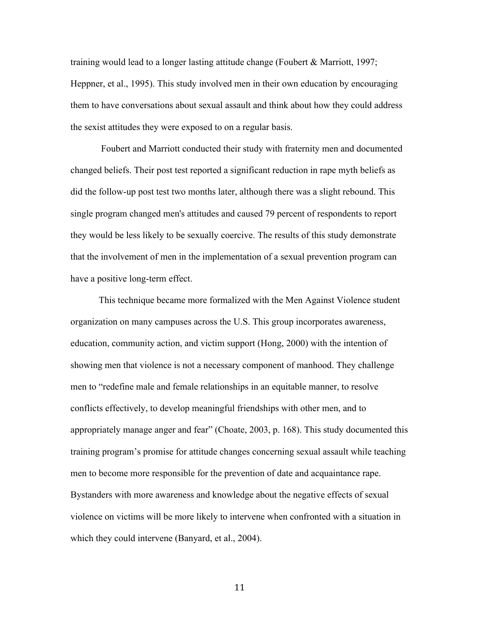training would lead to a longer lasting attitude change (Foubert & Marriott, 1997; Heppner, et al., 1995). This study involved men in their own education by encouraging them to have conversations about sexual assault and think about how they could address the sexist attitudes they were exposed to on a regular basis.

Foubert and Marriott conducted their study with fraternity men and documented changed beliefs. Their post test reported a significant reduction in rape myth beliefs as did the follow-up post test two months later, although there was a slight rebound. This single program changed men's attitudes and caused 79 percent of respondents to report they would be less likely to be sexually coercive. The results of this study demonstrate that the involvement of men in the implementation of a sexual prevention program can have a positive long-term effect.

This technique became more formalized with the Men Against Violence student organization on many campuses across the U.S. This group incorporates awareness, education, community action, and victim support (Hong, 2000) with the intention of showing men that violence is not a necessary component of manhood. They challenge men to "redefine male and female relationships in an equitable manner, to resolve conflicts effectively, to develop meaningful friendships with other men, and to appropriately manage anger and fear" (Choate, 2003, p. 168). This study documented this training program's promise for attitude changes concerning sexual assault while teaching men to become more responsible for the prevention of date and acquaintance rape. Bystanders with more awareness and knowledge about the negative effects of sexual violence on victims will be more likely to intervene when confronted with a situation in which they could intervene (Banyard, et al., 2004).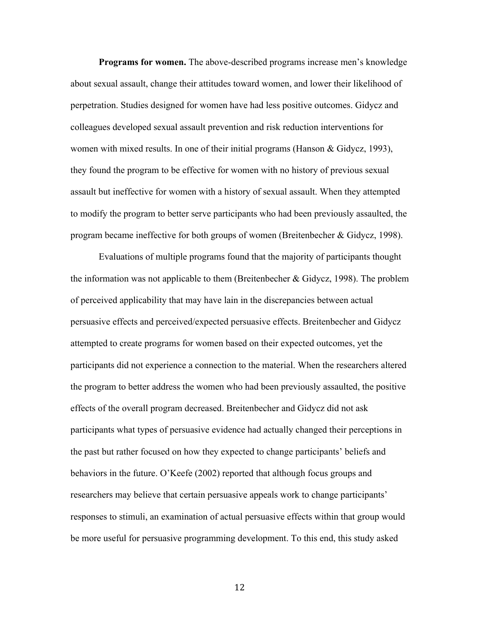**Programs for women.** The above-described programs increase men's knowledge about sexual assault, change their attitudes toward women, and lower their likelihood of perpetration. Studies designed for women have had less positive outcomes. Gidycz and colleagues developed sexual assault prevention and risk reduction interventions for women with mixed results. In one of their initial programs (Hanson & Gidycz, 1993), they found the program to be effective for women with no history of previous sexual assault but ineffective for women with a history of sexual assault. When they attempted to modify the program to better serve participants who had been previously assaulted, the program became ineffective for both groups of women (Breitenbecher & Gidycz, 1998).

Evaluations of multiple programs found that the majority of participants thought the information was not applicable to them (Breitenbecher  $\&$  Gidycz, 1998). The problem of perceived applicability that may have lain in the discrepancies between actual persuasive effects and perceived/expected persuasive effects. Breitenbecher and Gidycz attempted to create programs for women based on their expected outcomes, yet the participants did not experience a connection to the material. When the researchers altered the program to better address the women who had been previously assaulted, the positive effects of the overall program decreased. Breitenbecher and Gidycz did not ask participants what types of persuasive evidence had actually changed their perceptions in the past but rather focused on how they expected to change participants' beliefs and behaviors in the future. O'Keefe (2002) reported that although focus groups and researchers may believe that certain persuasive appeals work to change participants' responses to stimuli, an examination of actual persuasive effects within that group would be more useful for persuasive programming development. To this end, this study asked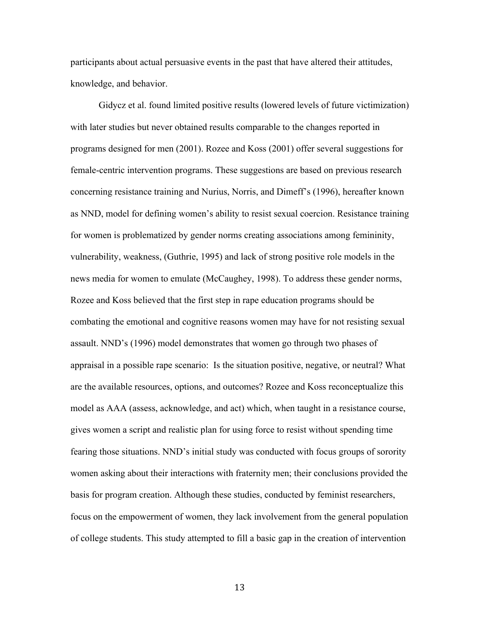participants about actual persuasive events in the past that have altered their attitudes, knowledge, and behavior.

Gidycz et al. found limited positive results (lowered levels of future victimization) with later studies but never obtained results comparable to the changes reported in programs designed for men (2001). Rozee and Koss (2001) offer several suggestions for female-centric intervention programs. These suggestions are based on previous research concerning resistance training and Nurius, Norris, and Dimeff's (1996), hereafter known as NND, model for defining women's ability to resist sexual coercion. Resistance training for women is problematized by gender norms creating associations among femininity, vulnerability, weakness, (Guthrie, 1995) and lack of strong positive role models in the news media for women to emulate (McCaughey, 1998). To address these gender norms, Rozee and Koss believed that the first step in rape education programs should be combating the emotional and cognitive reasons women may have for not resisting sexual assault. NND's (1996) model demonstrates that women go through two phases of appraisal in a possible rape scenario: Is the situation positive, negative, or neutral? What are the available resources, options, and outcomes? Rozee and Koss reconceptualize this model as AAA (assess, acknowledge, and act) which, when taught in a resistance course, gives women a script and realistic plan for using force to resist without spending time fearing those situations. NND's initial study was conducted with focus groups of sorority women asking about their interactions with fraternity men; their conclusions provided the basis for program creation. Although these studies, conducted by feminist researchers, focus on the empowerment of women, they lack involvement from the general population of college students. This study attempted to fill a basic gap in the creation of intervention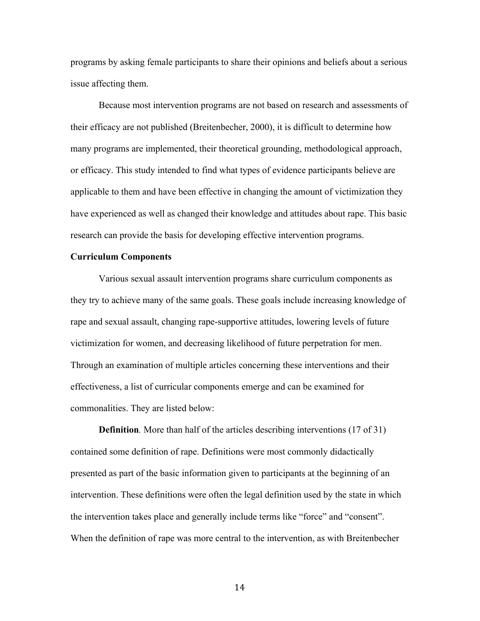programs by asking female participants to share their opinions and beliefs about a serious issue affecting them.

Because most intervention programs are not based on research and assessments of their efficacy are not published (Breitenbecher, 2000), it is difficult to determine how many programs are implemented, their theoretical grounding, methodological approach, or efficacy. This study intended to find what types of evidence participants believe are applicable to them and have been effective in changing the amount of victimization they have experienced as well as changed their knowledge and attitudes about rape. This basic research can provide the basis for developing effective intervention programs.

#### **Curriculum Components**

Various sexual assault intervention programs share curriculum components as they try to achieve many of the same goals. These goals include increasing knowledge of rape and sexual assault, changing rape-supportive attitudes, lowering levels of future victimization for women, and decreasing likelihood of future perpetration for men. Through an examination of multiple articles concerning these interventions and their effectiveness, a list of curricular components emerge and can be examined for commonalities. They are listed below:

**Definition***.* More than half of the articles describing interventions (17 of 31) contained some definition of rape. Definitions were most commonly didactically presented as part of the basic information given to participants at the beginning of an intervention. These definitions were often the legal definition used by the state in which the intervention takes place and generally include terms like "force" and "consent". When the definition of rape was more central to the intervention, as with Breitenbecher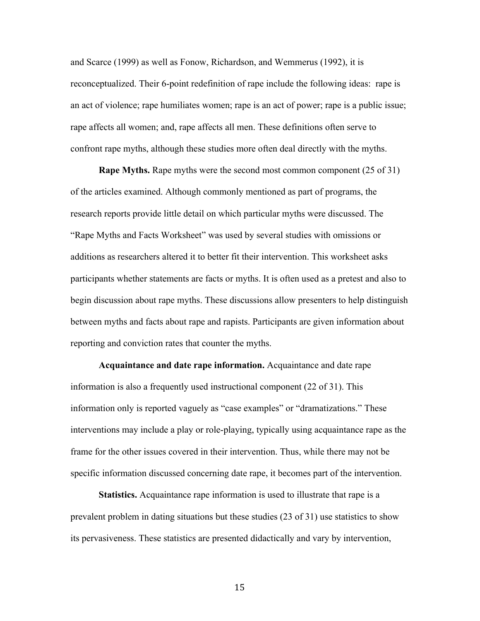and Scarce (1999) as well as Fonow, Richardson, and Wemmerus (1992), it is reconceptualized. Their 6-point redefinition of rape include the following ideas: rape is an act of violence; rape humiliates women; rape is an act of power; rape is a public issue; rape affects all women; and, rape affects all men. These definitions often serve to confront rape myths, although these studies more often deal directly with the myths.

**Rape Myths.** Rape myths were the second most common component (25 of 31) of the articles examined. Although commonly mentioned as part of programs, the research reports provide little detail on which particular myths were discussed. The "Rape Myths and Facts Worksheet" was used by several studies with omissions or additions as researchers altered it to better fit their intervention. This worksheet asks participants whether statements are facts or myths. It is often used as a pretest and also to begin discussion about rape myths. These discussions allow presenters to help distinguish between myths and facts about rape and rapists. Participants are given information about reporting and conviction rates that counter the myths.

**Acquaintance and date rape information.** Acquaintance and date rape information is also a frequently used instructional component (22 of 31). This information only is reported vaguely as "case examples" or "dramatizations." These interventions may include a play or role-playing, typically using acquaintance rape as the frame for the other issues covered in their intervention. Thus, while there may not be specific information discussed concerning date rape, it becomes part of the intervention.

**Statistics.** Acquaintance rape information is used to illustrate that rape is a prevalent problem in dating situations but these studies (23 of 31) use statistics to show its pervasiveness. These statistics are presented didactically and vary by intervention,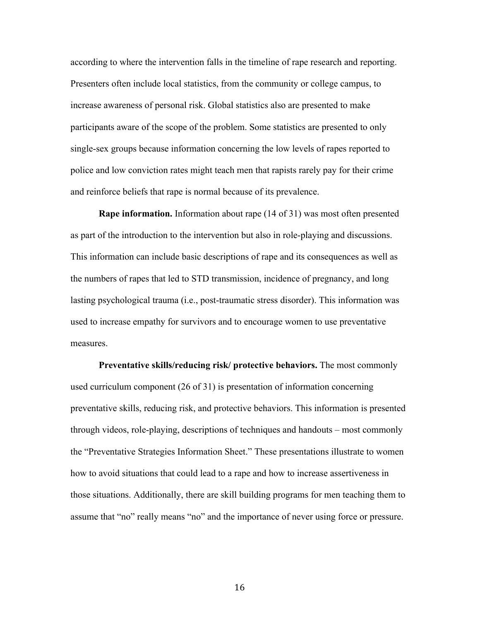according to where the intervention falls in the timeline of rape research and reporting. Presenters often include local statistics, from the community or college campus, to increase awareness of personal risk. Global statistics also are presented to make participants aware of the scope of the problem. Some statistics are presented to only single-sex groups because information concerning the low levels of rapes reported to police and low conviction rates might teach men that rapists rarely pay for their crime and reinforce beliefs that rape is normal because of its prevalence.

**Rape information.** Information about rape (14 of 31) was most often presented as part of the introduction to the intervention but also in role-playing and discussions. This information can include basic descriptions of rape and its consequences as well as the numbers of rapes that led to STD transmission, incidence of pregnancy, and long lasting psychological trauma (i.e., post-traumatic stress disorder). This information was used to increase empathy for survivors and to encourage women to use preventative measures.

**Preventative skills/reducing risk/ protective behaviors.** The most commonly used curriculum component (26 of 31) is presentation of information concerning preventative skills, reducing risk, and protective behaviors. This information is presented through videos, role-playing, descriptions of techniques and handouts – most commonly the "Preventative Strategies Information Sheet." These presentations illustrate to women how to avoid situations that could lead to a rape and how to increase assertiveness in those situations. Additionally, there are skill building programs for men teaching them to assume that "no" really means "no" and the importance of never using force or pressure.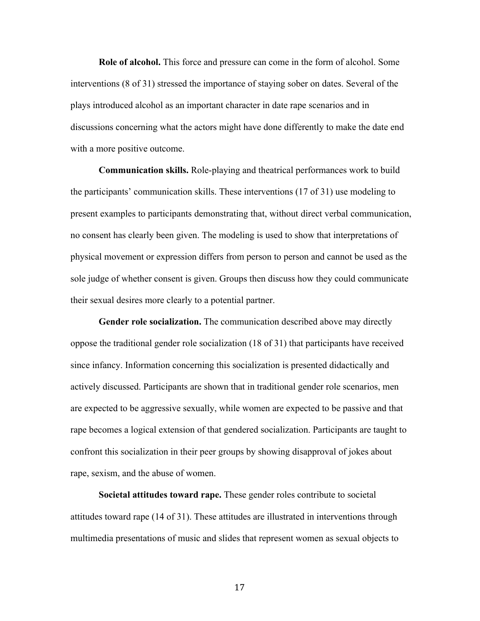**Role of alcohol.** This force and pressure can come in the form of alcohol. Some interventions (8 of 31) stressed the importance of staying sober on dates. Several of the plays introduced alcohol as an important character in date rape scenarios and in discussions concerning what the actors might have done differently to make the date end with a more positive outcome.

**Communication skills.** Role-playing and theatrical performances work to build the participants' communication skills. These interventions (17 of 31) use modeling to present examples to participants demonstrating that, without direct verbal communication, no consent has clearly been given. The modeling is used to show that interpretations of physical movement or expression differs from person to person and cannot be used as the sole judge of whether consent is given. Groups then discuss how they could communicate their sexual desires more clearly to a potential partner.

**Gender role socialization.** The communication described above may directly oppose the traditional gender role socialization (18 of 31) that participants have received since infancy. Information concerning this socialization is presented didactically and actively discussed. Participants are shown that in traditional gender role scenarios, men are expected to be aggressive sexually, while women are expected to be passive and that rape becomes a logical extension of that gendered socialization. Participants are taught to confront this socialization in their peer groups by showing disapproval of jokes about rape, sexism, and the abuse of women.

**Societal attitudes toward rape.** These gender roles contribute to societal attitudes toward rape (14 of 31). These attitudes are illustrated in interventions through multimedia presentations of music and slides that represent women as sexual objects to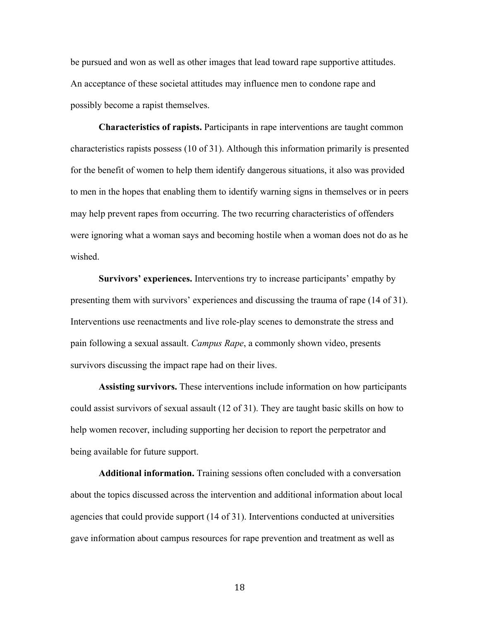be pursued and won as well as other images that lead toward rape supportive attitudes. An acceptance of these societal attitudes may influence men to condone rape and possibly become a rapist themselves.

**Characteristics of rapists.** Participants in rape interventions are taught common characteristics rapists possess (10 of 31). Although this information primarily is presented for the benefit of women to help them identify dangerous situations, it also was provided to men in the hopes that enabling them to identify warning signs in themselves or in peers may help prevent rapes from occurring. The two recurring characteristics of offenders were ignoring what a woman says and becoming hostile when a woman does not do as he wished.

**Survivors' experiences.** Interventions try to increase participants' empathy by presenting them with survivors' experiences and discussing the trauma of rape (14 of 31). Interventions use reenactments and live role-play scenes to demonstrate the stress and pain following a sexual assault. *Campus Rape*, a commonly shown video, presents survivors discussing the impact rape had on their lives.

**Assisting survivors.** These interventions include information on how participants could assist survivors of sexual assault (12 of 31). They are taught basic skills on how to help women recover, including supporting her decision to report the perpetrator and being available for future support.

**Additional information.** Training sessions often concluded with a conversation about the topics discussed across the intervention and additional information about local agencies that could provide support (14 of 31). Interventions conducted at universities gave information about campus resources for rape prevention and treatment as well as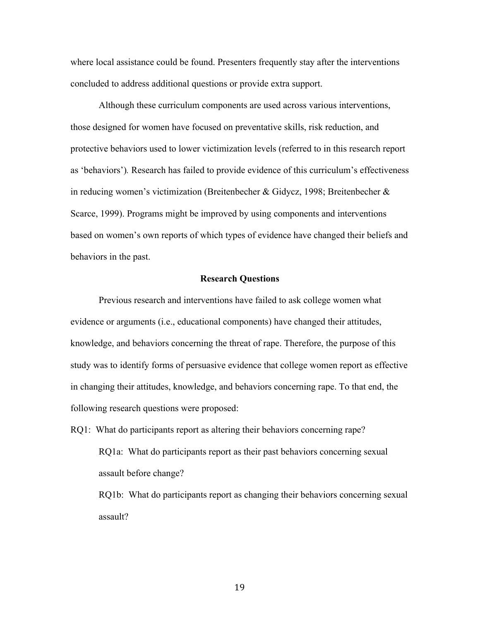where local assistance could be found. Presenters frequently stay after the interventions concluded to address additional questions or provide extra support.

Although these curriculum components are used across various interventions, those designed for women have focused on preventative skills, risk reduction, and protective behaviors used to lower victimization levels (referred to in this research report as 'behaviors')*.* Research has failed to provide evidence of this curriculum's effectiveness in reducing women's victimization (Breitenbecher & Gidycz, 1998; Breitenbecher & Scarce, 1999). Programs might be improved by using components and interventions based on women's own reports of which types of evidence have changed their beliefs and behaviors in the past.

#### **Research Questions**

Previous research and interventions have failed to ask college women what evidence or arguments (i.e., educational components) have changed their attitudes, knowledge, and behaviors concerning the threat of rape. Therefore, the purpose of this study was to identify forms of persuasive evidence that college women report as effective in changing their attitudes, knowledge, and behaviors concerning rape. To that end, the following research questions were proposed:

RQ1: What do participants report as altering their behaviors concerning rape? RQ1a: What do participants report as their past behaviors concerning sexual assault before change?

RQ1b: What do participants report as changing their behaviors concerning sexual assault?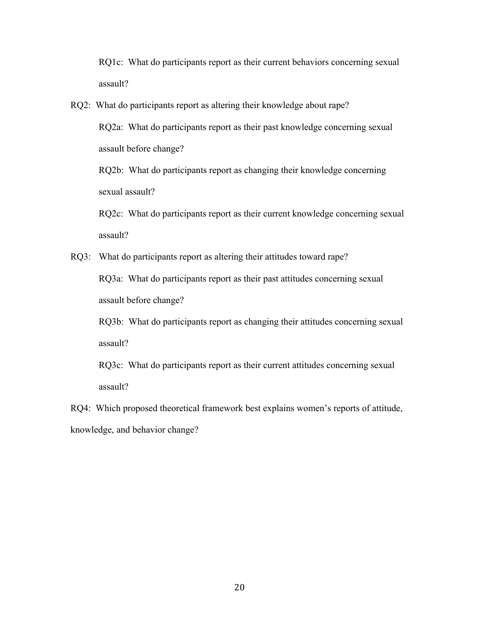RQ1c: What do participants report as their current behaviors concerning sexual assault?

RQ2: What do participants report as altering their knowledge about rape?

RQ2a: What do participants report as their past knowledge concerning sexual assault before change?

RQ2b: What do participants report as changing their knowledge concerning sexual assault?

RQ2c: What do participants report as their current knowledge concerning sexual assault?

RQ3: What do participants report as altering their attitudes toward rape?

RQ3a: What do participants report as their past attitudes concerning sexual assault before change?

RQ3b: What do participants report as changing their attitudes concerning sexual assault?

RQ3c: What do participants report as their current attitudes concerning sexual assault?

RQ4: Which proposed theoretical framework best explains women's reports of attitude, knowledge, and behavior change?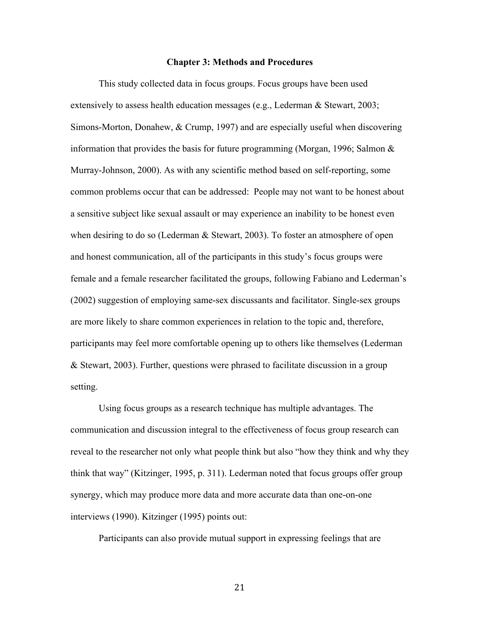#### **Chapter 3: Methods and Procedures**

This study collected data in focus groups. Focus groups have been used extensively to assess health education messages (e.g., Lederman & Stewart, 2003; Simons-Morton, Donahew, & Crump, 1997) and are especially useful when discovering information that provides the basis for future programming (Morgan, 1996; Salmon  $\&$ Murray-Johnson, 2000). As with any scientific method based on self-reporting, some common problems occur that can be addressed: People may not want to be honest about a sensitive subject like sexual assault or may experience an inability to be honest even when desiring to do so (Lederman & Stewart, 2003). To foster an atmosphere of open and honest communication, all of the participants in this study's focus groups were female and a female researcher facilitated the groups, following Fabiano and Lederman's (2002) suggestion of employing same-sex discussants and facilitator. Single-sex groups are more likely to share common experiences in relation to the topic and, therefore, participants may feel more comfortable opening up to others like themselves (Lederman & Stewart, 2003). Further, questions were phrased to facilitate discussion in a group setting.

Using focus groups as a research technique has multiple advantages. The communication and discussion integral to the effectiveness of focus group research can reveal to the researcher not only what people think but also "how they think and why they think that way" (Kitzinger, 1995, p. 311). Lederman noted that focus groups offer group synergy, which may produce more data and more accurate data than one-on-one interviews (1990). Kitzinger (1995) points out:

Participants can also provide mutual support in expressing feelings that are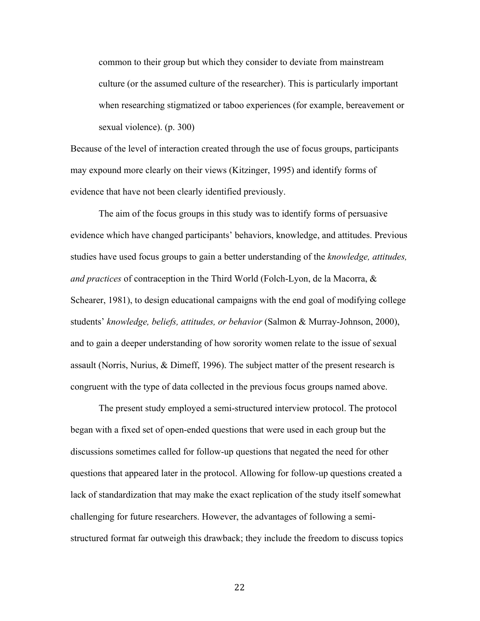common to their group but which they consider to deviate from mainstream culture (or the assumed culture of the researcher). This is particularly important when researching stigmatized or taboo experiences (for example, bereavement or sexual violence). (p. 300)

Because of the level of interaction created through the use of focus groups, participants may expound more clearly on their views (Kitzinger, 1995) and identify forms of evidence that have not been clearly identified previously.

The aim of the focus groups in this study was to identify forms of persuasive evidence which have changed participants' behaviors, knowledge, and attitudes. Previous studies have used focus groups to gain a better understanding of the *knowledge, attitudes, and practices* of contraception in the Third World (Folch-Lyon, de la Macorra, & Schearer, 1981), to design educational campaigns with the end goal of modifying college students' *knowledge, beliefs, attitudes, or behavior* (Salmon & Murray-Johnson, 2000), and to gain a deeper understanding of how sorority women relate to the issue of sexual assault (Norris, Nurius, & Dimeff, 1996). The subject matter of the present research is congruent with the type of data collected in the previous focus groups named above.

The present study employed a semi-structured interview protocol. The protocol began with a fixed set of open-ended questions that were used in each group but the discussions sometimes called for follow-up questions that negated the need for other questions that appeared later in the protocol. Allowing for follow-up questions created a lack of standardization that may make the exact replication of the study itself somewhat challenging for future researchers. However, the advantages of following a semistructured format far outweigh this drawback; they include the freedom to discuss topics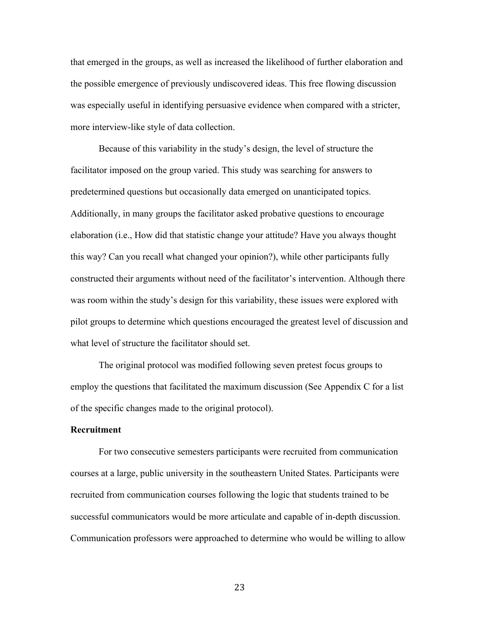that emerged in the groups, as well as increased the likelihood of further elaboration and the possible emergence of previously undiscovered ideas. This free flowing discussion was especially useful in identifying persuasive evidence when compared with a stricter, more interview-like style of data collection.

Because of this variability in the study's design, the level of structure the facilitator imposed on the group varied. This study was searching for answers to predetermined questions but occasionally data emerged on unanticipated topics. Additionally, in many groups the facilitator asked probative questions to encourage elaboration (i.e., How did that statistic change your attitude? Have you always thought this way? Can you recall what changed your opinion?), while other participants fully constructed their arguments without need of the facilitator's intervention. Although there was room within the study's design for this variability, these issues were explored with pilot groups to determine which questions encouraged the greatest level of discussion and what level of structure the facilitator should set.

The original protocol was modified following seven pretest focus groups to employ the questions that facilitated the maximum discussion (See Appendix C for a list of the specific changes made to the original protocol).

#### **Recruitment**

For two consecutive semesters participants were recruited from communication courses at a large, public university in the southeastern United States. Participants were recruited from communication courses following the logic that students trained to be successful communicators would be more articulate and capable of in-depth discussion. Communication professors were approached to determine who would be willing to allow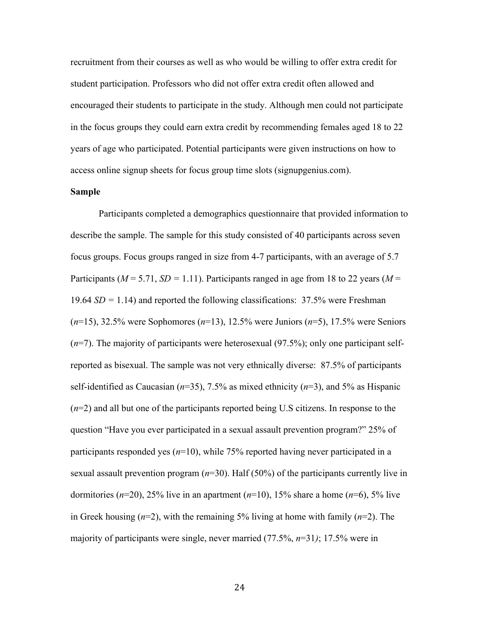recruitment from their courses as well as who would be willing to offer extra credit for student participation. Professors who did not offer extra credit often allowed and encouraged their students to participate in the study. Although men could not participate in the focus groups they could earn extra credit by recommending females aged 18 to 22 years of age who participated. Potential participants were given instructions on how to access online signup sheets for focus group time slots (signupgenius.com).

#### **Sample**

Participants completed a demographics questionnaire that provided information to describe the sample. The sample for this study consisted of 40 participants across seven focus groups. Focus groups ranged in size from 4-7 participants, with an average of 5.7 Participants ( $M = 5.71$ ,  $SD = 1.11$ ). Participants ranged in age from 18 to 22 years ( $M =$ 19.64 *SD =* 1.14) and reported the following classifications: 37.5% were Freshman (*n*=15), 32.5% were Sophomores (*n*=13), 12.5% were Juniors (*n*=5), 17.5% were Seniors (*n*=7). The majority of participants were heterosexual (97.5%); only one participant selfreported as bisexual. The sample was not very ethnically diverse: 87.5% of participants self-identified as Caucasian (*n*=35), 7.5% as mixed ethnicity (*n*=3), and 5% as Hispanic (*n*=2) and all but one of the participants reported being U.S citizens. In response to the question "Have you ever participated in a sexual assault prevention program?" 25% of participants responded yes (*n*=10), while 75% reported having never participated in a sexual assault prevention program (*n*=30). Half (50%) of the participants currently live in dormitories ( $n=20$ ), 25% live in an apartment ( $n=10$ ), 15% share a home ( $n=6$ ), 5% live in Greek housing  $(n=2)$ , with the remaining 5% living at home with family  $(n=2)$ . The majority of participants were single, never married (77.5%, *n*=31*)*; 17.5% were in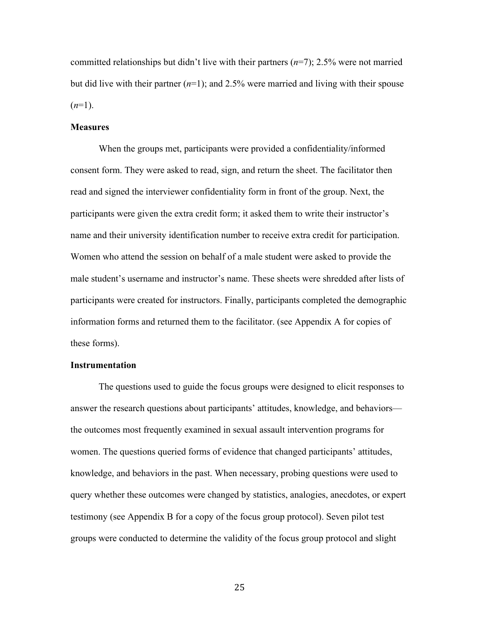committed relationships but didn't live with their partners (*n*=7); 2.5% were not married but did live with their partner  $(n=1)$ ; and 2.5% were married and living with their spouse  $(n=1)$ .

#### **Measures**

When the groups met, participants were provided a confidentiality/informed consent form. They were asked to read, sign, and return the sheet. The facilitator then read and signed the interviewer confidentiality form in front of the group. Next, the participants were given the extra credit form; it asked them to write their instructor's name and their university identification number to receive extra credit for participation. Women who attend the session on behalf of a male student were asked to provide the male student's username and instructor's name. These sheets were shredded after lists of participants were created for instructors. Finally, participants completed the demographic information forms and returned them to the facilitator. (see Appendix A for copies of these forms).

#### **Instrumentation**

The questions used to guide the focus groups were designed to elicit responses to answer the research questions about participants' attitudes, knowledge, and behaviors the outcomes most frequently examined in sexual assault intervention programs for women. The questions queried forms of evidence that changed participants' attitudes, knowledge, and behaviors in the past. When necessary, probing questions were used to query whether these outcomes were changed by statistics, analogies, anecdotes, or expert testimony (see Appendix B for a copy of the focus group protocol). Seven pilot test groups were conducted to determine the validity of the focus group protocol and slight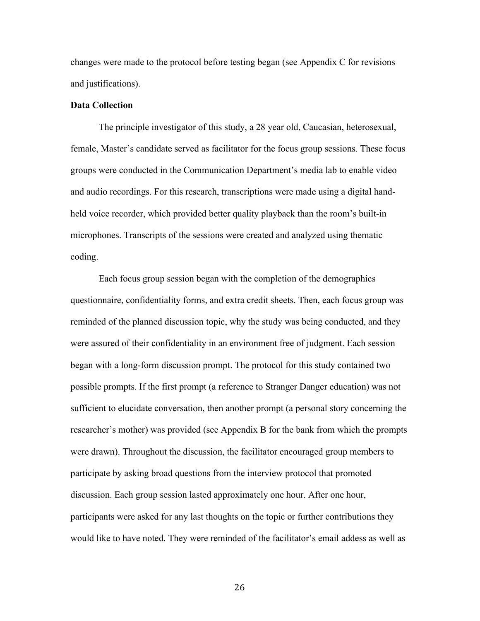changes were made to the protocol before testing began (see Appendix C for revisions and justifications).

# **Data Collection**

The principle investigator of this study, a 28 year old, Caucasian, heterosexual, female, Master's candidate served as facilitator for the focus group sessions. These focus groups were conducted in the Communication Department's media lab to enable video and audio recordings. For this research, transcriptions were made using a digital handheld voice recorder, which provided better quality playback than the room's built-in microphones. Transcripts of the sessions were created and analyzed using thematic coding.

Each focus group session began with the completion of the demographics questionnaire, confidentiality forms, and extra credit sheets. Then, each focus group was reminded of the planned discussion topic, why the study was being conducted, and they were assured of their confidentiality in an environment free of judgment. Each session began with a long-form discussion prompt. The protocol for this study contained two possible prompts. If the first prompt (a reference to Stranger Danger education) was not sufficient to elucidate conversation, then another prompt (a personal story concerning the researcher's mother) was provided (see Appendix B for the bank from which the prompts were drawn). Throughout the discussion, the facilitator encouraged group members to participate by asking broad questions from the interview protocol that promoted discussion. Each group session lasted approximately one hour. After one hour, participants were asked for any last thoughts on the topic or further contributions they would like to have noted. They were reminded of the facilitator's email addess as well as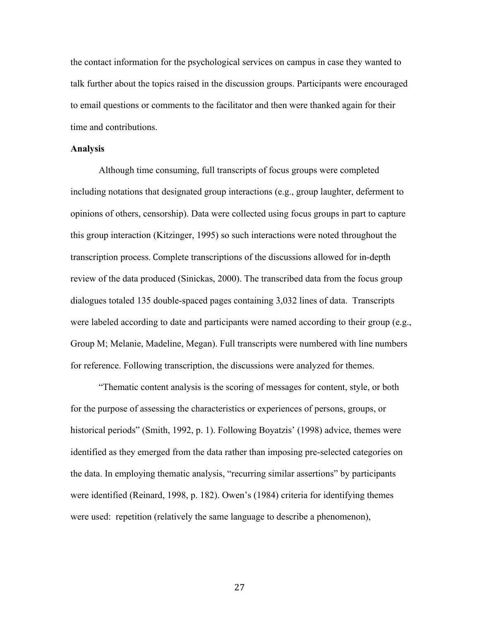the contact information for the psychological services on campus in case they wanted to talk further about the topics raised in the discussion groups. Participants were encouraged to email questions or comments to the facilitator and then were thanked again for their time and contributions.

# **Analysis**

Although time consuming, full transcripts of focus groups were completed including notations that designated group interactions (e.g., group laughter, deferment to opinions of others, censorship). Data were collected using focus groups in part to capture this group interaction (Kitzinger, 1995) so such interactions were noted throughout the transcription process. Complete transcriptions of the discussions allowed for in-depth review of the data produced (Sinickas, 2000). The transcribed data from the focus group dialogues totaled 135 double-spaced pages containing 3,032 lines of data. Transcripts were labeled according to date and participants were named according to their group (e.g., Group M; Melanie, Madeline, Megan). Full transcripts were numbered with line numbers for reference. Following transcription, the discussions were analyzed for themes.

"Thematic content analysis is the scoring of messages for content, style, or both for the purpose of assessing the characteristics or experiences of persons, groups, or historical periods" (Smith, 1992, p. 1). Following Boyatzis' (1998) advice, themes were identified as they emerged from the data rather than imposing pre-selected categories on the data. In employing thematic analysis, "recurring similar assertions" by participants were identified (Reinard, 1998, p. 182). Owen's (1984) criteria for identifying themes were used: repetition (relatively the same language to describe a phenomenon),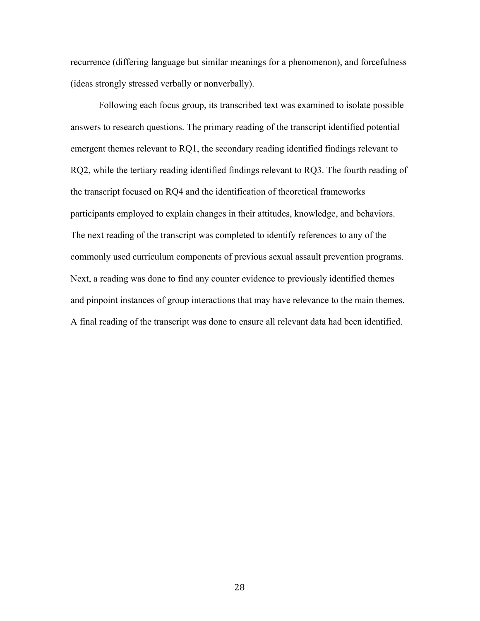recurrence (differing language but similar meanings for a phenomenon), and forcefulness (ideas strongly stressed verbally or nonverbally).

Following each focus group, its transcribed text was examined to isolate possible answers to research questions. The primary reading of the transcript identified potential emergent themes relevant to RQ1, the secondary reading identified findings relevant to RQ2, while the tertiary reading identified findings relevant to RQ3. The fourth reading of the transcript focused on RQ4 and the identification of theoretical frameworks participants employed to explain changes in their attitudes, knowledge, and behaviors. The next reading of the transcript was completed to identify references to any of the commonly used curriculum components of previous sexual assault prevention programs. Next, a reading was done to find any counter evidence to previously identified themes and pinpoint instances of group interactions that may have relevance to the main themes. A final reading of the transcript was done to ensure all relevant data had been identified.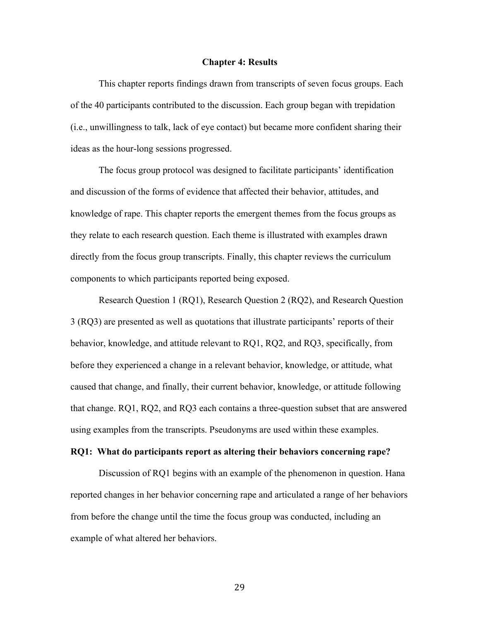#### **Chapter 4: Results**

This chapter reports findings drawn from transcripts of seven focus groups. Each of the 40 participants contributed to the discussion. Each group began with trepidation (i.e., unwillingness to talk, lack of eye contact) but became more confident sharing their ideas as the hour-long sessions progressed.

The focus group protocol was designed to facilitate participants' identification and discussion of the forms of evidence that affected their behavior, attitudes, and knowledge of rape. This chapter reports the emergent themes from the focus groups as they relate to each research question. Each theme is illustrated with examples drawn directly from the focus group transcripts. Finally, this chapter reviews the curriculum components to which participants reported being exposed.

Research Question 1 (RQ1), Research Question 2 (RQ2), and Research Question 3 (RQ3) are presented as well as quotations that illustrate participants' reports of their behavior, knowledge, and attitude relevant to RQ1, RQ2, and RQ3, specifically, from before they experienced a change in a relevant behavior, knowledge, or attitude, what caused that change, and finally, their current behavior, knowledge, or attitude following that change. RQ1, RQ2, and RQ3 each contains a three-question subset that are answered using examples from the transcripts. Pseudonyms are used within these examples.

#### **RQ1: What do participants report as altering their behaviors concerning rape?**

Discussion of RQ1 begins with an example of the phenomenon in question. Hana reported changes in her behavior concerning rape and articulated a range of her behaviors from before the change until the time the focus group was conducted, including an example of what altered her behaviors.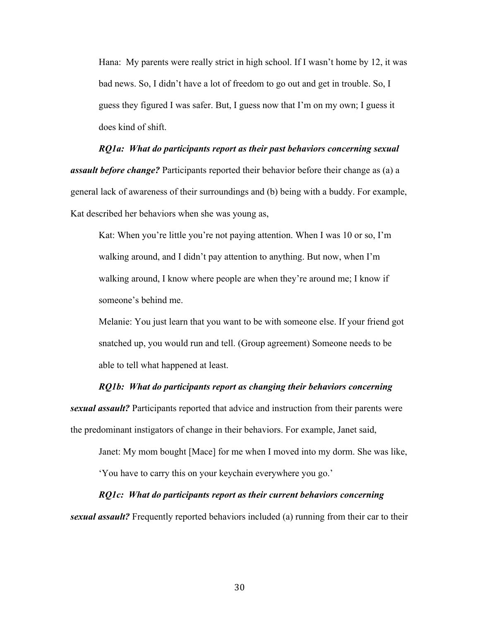Hana: My parents were really strict in high school. If I wasn't home by 12, it was bad news. So, I didn't have a lot of freedom to go out and get in trouble. So, I guess they figured I was safer. But, I guess now that I'm on my own; I guess it does kind of shift.

*RQ1a: What do participants report as their past behaviors concerning sexual assault before change?* Participants reported their behavior before their change as (a) a general lack of awareness of their surroundings and (b) being with a buddy. For example, Kat described her behaviors when she was young as,

Kat: When you're little you're not paying attention. When I was 10 or so, I'm walking around, and I didn't pay attention to anything. But now, when I'm walking around, I know where people are when they're around me; I know if someone's behind me.

Melanie: You just learn that you want to be with someone else. If your friend got snatched up, you would run and tell. (Group agreement) Someone needs to be able to tell what happened at least.

#### *RQ1b: What do participants report as changing their behaviors concerning*

*sexual assault?* Participants reported that advice and instruction from their parents were the predominant instigators of change in their behaviors. For example, Janet said,

Janet: My mom bought [Mace] for me when I moved into my dorm. She was like,

'You have to carry this on your keychain everywhere you go.'

#### *RQ1c: What do participants report as their current behaviors concerning*

*sexual assault?* Frequently reported behaviors included (a) running from their car to their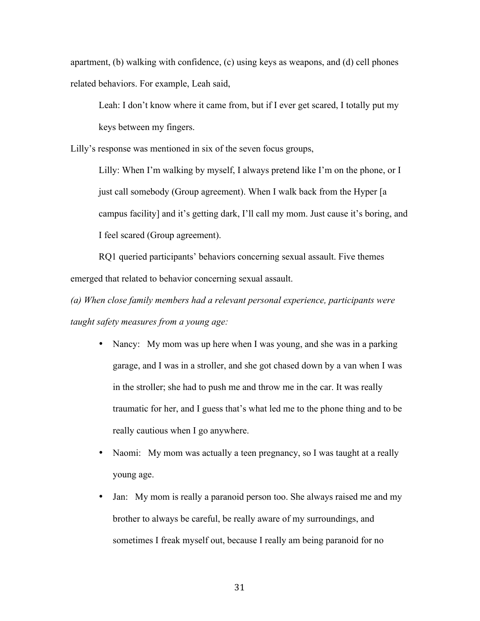apartment, (b) walking with confidence, (c) using keys as weapons, and (d) cell phones related behaviors. For example, Leah said,

Leah: I don't know where it came from, but if I ever get scared, I totally put my keys between my fingers.

Lilly's response was mentioned in six of the seven focus groups,

Lilly: When I'm walking by myself, I always pretend like I'm on the phone, or I just call somebody (Group agreement). When I walk back from the Hyper [a campus facility] and it's getting dark, I'll call my mom. Just cause it's boring, and I feel scared (Group agreement).

RQ1 queried participants' behaviors concerning sexual assault. Five themes emerged that related to behavior concerning sexual assault.

*(a) When close family members had a relevant personal experience, participants were taught safety measures from a young age:*

- Nancy: My mom was up here when I was young, and she was in a parking garage, and I was in a stroller, and she got chased down by a van when I was in the stroller; she had to push me and throw me in the car. It was really traumatic for her, and I guess that's what led me to the phone thing and to be really cautious when I go anywhere.
- Naomi: My mom was actually a teen pregnancy, so I was taught at a really young age.
- Jan: My mom is really a paranoid person too. She always raised me and my brother to always be careful, be really aware of my surroundings, and sometimes I freak myself out, because I really am being paranoid for no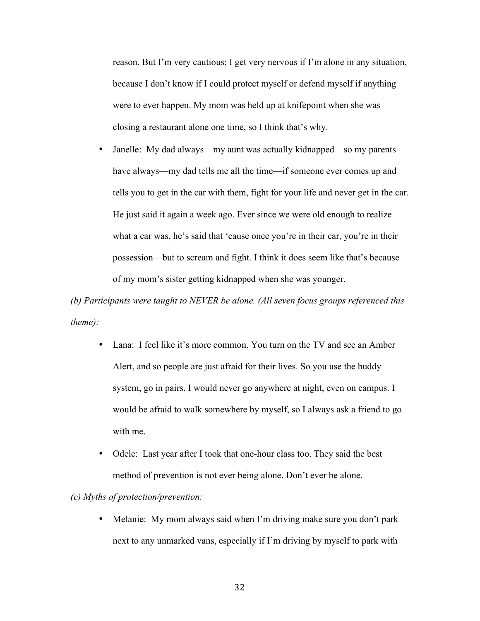reason. But I'm very cautious; I get very nervous if I'm alone in any situation, because I don't know if I could protect myself or defend myself if anything were to ever happen. My mom was held up at knifepoint when she was closing a restaurant alone one time, so I think that's why.

• Janelle: My dad always—my aunt was actually kidnapped—so my parents have always—my dad tells me all the time—if someone ever comes up and tells you to get in the car with them, fight for your life and never get in the car. He just said it again a week ago. Ever since we were old enough to realize what a car was, he's said that 'cause once you're in their car, you're in their possession—but to scream and fight. I think it does seem like that's because of my mom's sister getting kidnapped when she was younger.

*(b) Participants were taught to NEVER be alone. (All seven focus groups referenced this theme):*

- Lana: I feel like it's more common. You turn on the TV and see an Amber Alert, and so people are just afraid for their lives. So you use the buddy system, go in pairs. I would never go anywhere at night, even on campus. I would be afraid to walk somewhere by myself, so I always ask a friend to go with me.
- Odele: Last year after I took that one-hour class too. They said the best method of prevention is not ever being alone. Don't ever be alone.

# *(c) Myths of protection/prevention:*

• Melanie: My mom always said when I'm driving make sure you don't park next to any unmarked vans, especially if I'm driving by myself to park with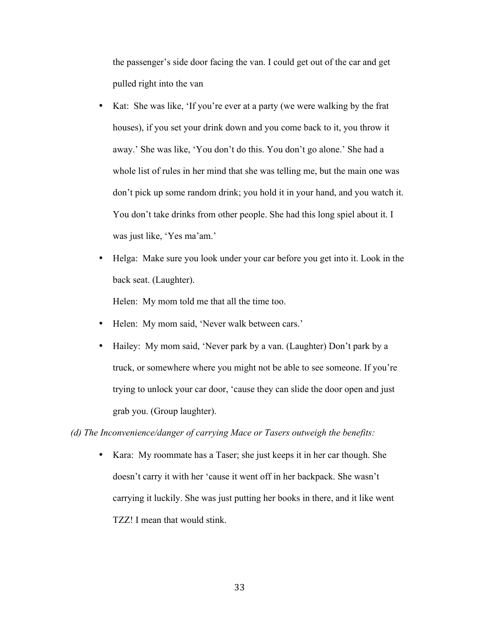the passenger's side door facing the van. I could get out of the car and get pulled right into the van

- Kat: She was like, 'If you're ever at a party (we were walking by the frat houses), if you set your drink down and you come back to it, you throw it away.' She was like, 'You don't do this. You don't go alone.' She had a whole list of rules in her mind that she was telling me, but the main one was don't pick up some random drink; you hold it in your hand, and you watch it. You don't take drinks from other people. She had this long spiel about it. I was just like, 'Yes ma'am.'
- Helga: Make sure you look under your car before you get into it. Look in the back seat. (Laughter).

Helen: My mom told me that all the time too.

- Helen: My mom said, 'Never walk between cars.'
- Hailey: My mom said, 'Never park by a van. (Laughter) Don't park by a truck, or somewhere where you might not be able to see someone. If you're trying to unlock your car door, 'cause they can slide the door open and just grab you. (Group laughter).

# *(d) The Inconvenience/danger of carrying Mace or Tasers outweigh the benefits:*

• Kara: My roommate has a Taser; she just keeps it in her car though. She doesn't carry it with her 'cause it went off in her backpack. She wasn't carrying it luckily. She was just putting her books in there, and it like went TZZ! I mean that would stink.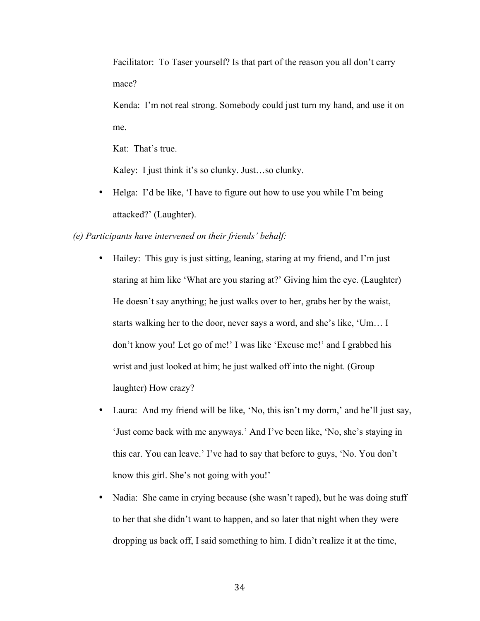Facilitator: To Taser yourself? Is that part of the reason you all don't carry mace?

Kenda: I'm not real strong. Somebody could just turn my hand, and use it on me.

Kat: That's true.

Kaley: I just think it's so clunky. Just…so clunky.

• Helga: I'd be like, 'I have to figure out how to use you while I'm being attacked?' (Laughter).

#### *(e) Participants have intervened on their friends' behalf:*

- Hailey: This guy is just sitting, leaning, staring at my friend, and I'm just staring at him like 'What are you staring at?' Giving him the eye. (Laughter) He doesn't say anything; he just walks over to her, grabs her by the waist, starts walking her to the door, never says a word, and she's like, 'Um… I don't know you! Let go of me!' I was like 'Excuse me!' and I grabbed his wrist and just looked at him; he just walked off into the night. (Group laughter) How crazy?
- Laura: And my friend will be like, 'No, this isn't my dorm,' and he'll just say, 'Just come back with me anyways.' And I've been like, 'No, she's staying in this car. You can leave.' I've had to say that before to guys, 'No. You don't know this girl. She's not going with you!'
- Nadia: She came in crying because (she wasn't raped), but he was doing stuff to her that she didn't want to happen, and so later that night when they were dropping us back off, I said something to him. I didn't realize it at the time,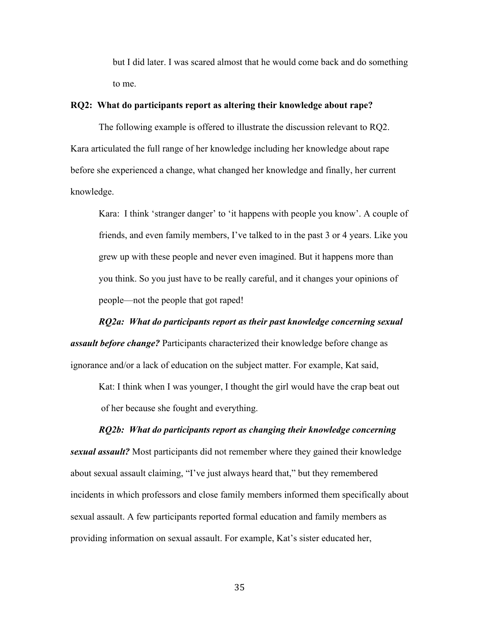but I did later. I was scared almost that he would come back and do something to me.

# **RQ2: What do participants report as altering their knowledge about rape?**

The following example is offered to illustrate the discussion relevant to RQ2. Kara articulated the full range of her knowledge including her knowledge about rape before she experienced a change, what changed her knowledge and finally, her current knowledge.

Kara: I think 'stranger danger' to 'it happens with people you know'. A couple of friends, and even family members, I've talked to in the past 3 or 4 years. Like you grew up with these people and never even imagined. But it happens more than you think. So you just have to be really careful, and it changes your opinions of people—not the people that got raped!

# *RQ2a: What do participants report as their past knowledge concerning sexual assault before change?* Participants characterized their knowledge before change as ignorance and/or a lack of education on the subject matter. For example, Kat said,

Kat: I think when I was younger, I thought the girl would have the crap beat out of her because she fought and everything.

#### *RQ2b: What do participants report as changing their knowledge concerning*

*sexual assault?* Most participants did not remember where they gained their knowledge about sexual assault claiming, "I've just always heard that," but they remembered incidents in which professors and close family members informed them specifically about sexual assault. A few participants reported formal education and family members as providing information on sexual assault. For example, Kat's sister educated her,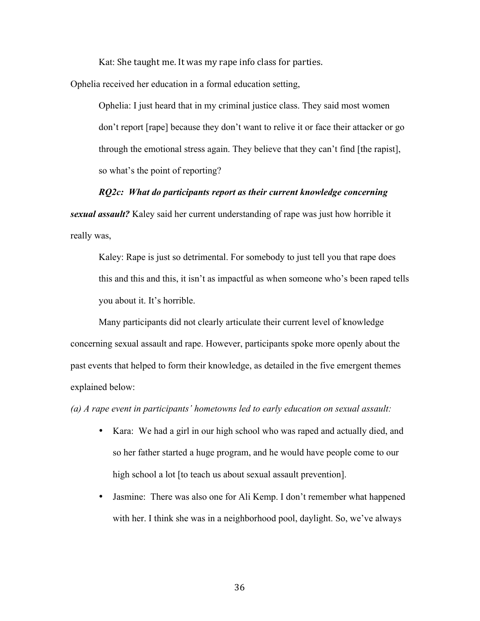Kat: She taught me. It was my rape info class for parties.

Ophelia received her education in a formal education setting,

Ophelia: I just heard that in my criminal justice class. They said most women don't report [rape] because they don't want to relive it or face their attacker or go through the emotional stress again. They believe that they can't find [the rapist], so what's the point of reporting?

*RQ2c: What do participants report as their current knowledge concerning sexual assault?* Kaley said her current understanding of rape was just how horrible it really was,

Kaley: Rape is just so detrimental. For somebody to just tell you that rape does this and this and this, it isn't as impactful as when someone who's been raped tells you about it. It's horrible.

Many participants did not clearly articulate their current level of knowledge concerning sexual assault and rape. However, participants spoke more openly about the past events that helped to form their knowledge, as detailed in the five emergent themes explained below:

*(a) A rape event in participants' hometowns led to early education on sexual assault:*

- Kara: We had a girl in our high school who was raped and actually died, and so her father started a huge program, and he would have people come to our high school a lot [to teach us about sexual assault prevention].
- Jasmine: There was also one for Ali Kemp. I don't remember what happened with her. I think she was in a neighborhood pool, daylight. So, we've always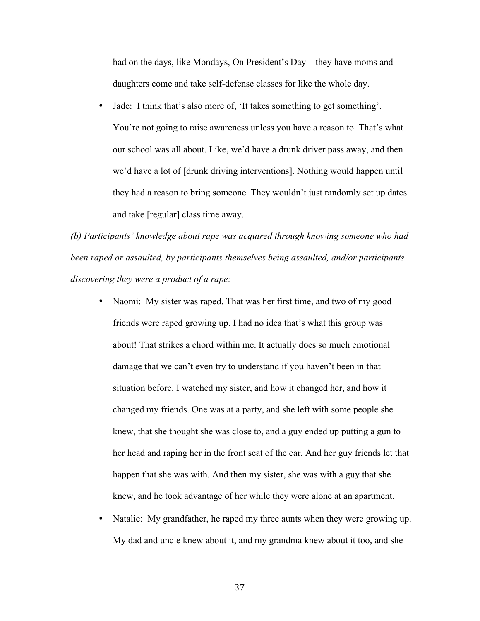had on the days, like Mondays, On President's Day—they have moms and daughters come and take self-defense classes for like the whole day.

• Jade: I think that's also more of, 'It takes something to get something'. You're not going to raise awareness unless you have a reason to. That's what our school was all about. Like, we'd have a drunk driver pass away, and then we'd have a lot of [drunk driving interventions]. Nothing would happen until they had a reason to bring someone. They wouldn't just randomly set up dates and take [regular] class time away.

*(b) Participants' knowledge about rape was acquired through knowing someone who had been raped or assaulted, by participants themselves being assaulted, and/or participants discovering they were a product of a rape:*

- Naomi: My sister was raped. That was her first time, and two of my good friends were raped growing up. I had no idea that's what this group was about! That strikes a chord within me. It actually does so much emotional damage that we can't even try to understand if you haven't been in that situation before. I watched my sister, and how it changed her, and how it changed my friends. One was at a party, and she left with some people she knew, that she thought she was close to, and a guy ended up putting a gun to her head and raping her in the front seat of the car. And her guy friends let that happen that she was with. And then my sister, she was with a guy that she knew, and he took advantage of her while they were alone at an apartment.
- Natalie: My grandfather, he raped my three aunts when they were growing up. My dad and uncle knew about it, and my grandma knew about it too, and she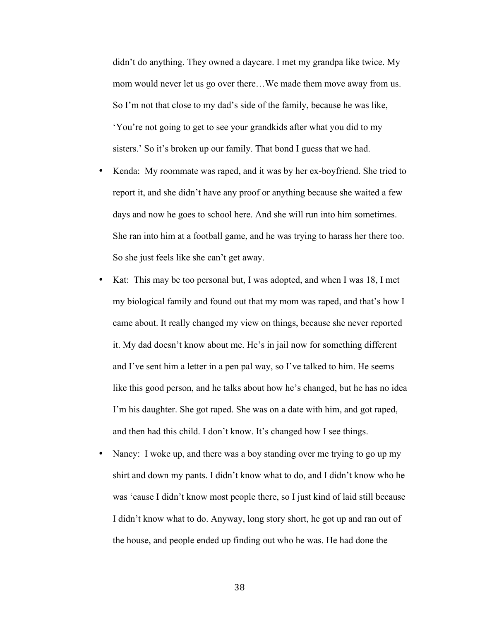didn't do anything. They owned a daycare. I met my grandpa like twice. My mom would never let us go over there…We made them move away from us. So I'm not that close to my dad's side of the family, because he was like, 'You're not going to get to see your grandkids after what you did to my sisters.' So it's broken up our family. That bond I guess that we had.

- Kenda: My roommate was raped, and it was by her ex-boyfriend. She tried to report it, and she didn't have any proof or anything because she waited a few days and now he goes to school here. And she will run into him sometimes. She ran into him at a football game, and he was trying to harass her there too. So she just feels like she can't get away.
- Kat: This may be too personal but, I was adopted, and when I was 18, I met my biological family and found out that my mom was raped, and that's how I came about. It really changed my view on things, because she never reported it. My dad doesn't know about me. He's in jail now for something different and I've sent him a letter in a pen pal way, so I've talked to him. He seems like this good person, and he talks about how he's changed, but he has no idea I'm his daughter. She got raped. She was on a date with him, and got raped, and then had this child. I don't know. It's changed how I see things.
- Nancy: I woke up, and there was a boy standing over me trying to go up my shirt and down my pants. I didn't know what to do, and I didn't know who he was 'cause I didn't know most people there, so I just kind of laid still because I didn't know what to do. Anyway, long story short, he got up and ran out of the house, and people ended up finding out who he was. He had done the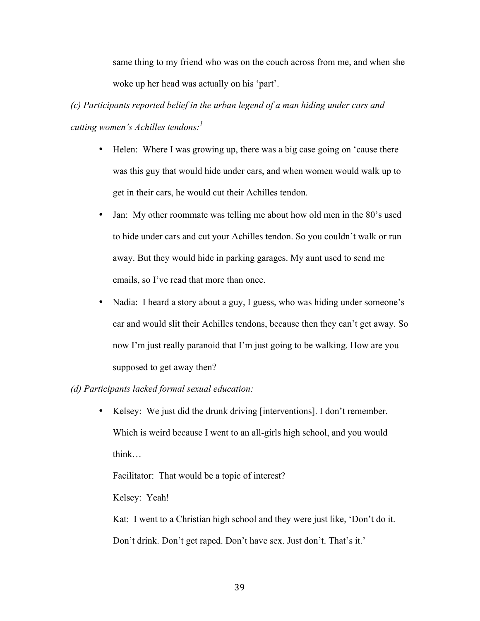same thing to my friend who was on the couch across from me, and when she woke up her head was actually on his 'part'.

*(c) Participants reported belief in the urban legend of a man hiding under cars and cutting women's Achilles tendons: 1*

- Helen: Where I was growing up, there was a big case going on 'cause there was this guy that would hide under cars, and when women would walk up to get in their cars, he would cut their Achilles tendon.
- Jan: My other roommate was telling me about how old men in the 80's used to hide under cars and cut your Achilles tendon. So you couldn't walk or run away. But they would hide in parking garages. My aunt used to send me emails, so I've read that more than once.
- Nadia: I heard a story about a guy, I guess, who was hiding under someone's car and would slit their Achilles tendons, because then they can't get away. So now I'm just really paranoid that I'm just going to be walking. How are you supposed to get away then?

*(d) Participants lacked formal sexual education:*

• Kelsey: We just did the drunk driving [interventions]. I don't remember. Which is weird because I went to an all-girls high school, and you would think…

Facilitator: That would be a topic of interest?

Kelsey: Yeah!

Kat: I went to a Christian high school and they were just like, 'Don't do it. Don't drink. Don't get raped. Don't have sex. Just don't. That's it.'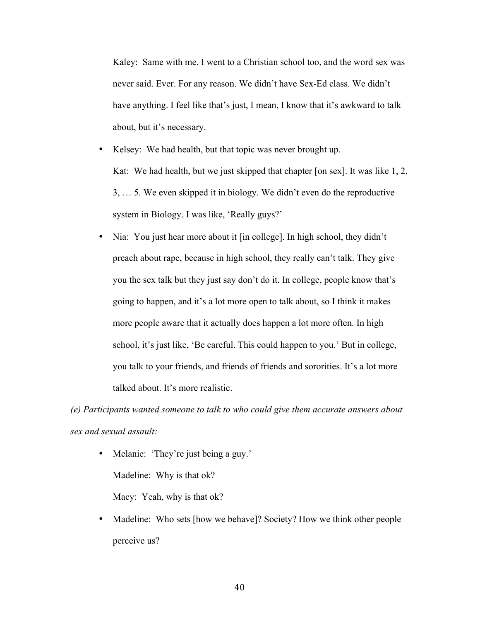Kaley: Same with me. I went to a Christian school too, and the word sex was never said. Ever. For any reason. We didn't have Sex-Ed class. We didn't have anything. I feel like that's just, I mean, I know that it's awkward to talk about, but it's necessary.

- Kelsey: We had health, but that topic was never brought up. Kat: We had health, but we just skipped that chapter [on sex]. It was like 1, 2, 3, … 5. We even skipped it in biology. We didn't even do the reproductive system in Biology. I was like, 'Really guys?'
- Nia: You just hear more about it [in college]. In high school, they didn't preach about rape, because in high school, they really can't talk. They give you the sex talk but they just say don't do it. In college, people know that's going to happen, and it's a lot more open to talk about, so I think it makes more people aware that it actually does happen a lot more often. In high school, it's just like, 'Be careful. This could happen to you.' But in college, you talk to your friends, and friends of friends and sororities. It's a lot more talked about. It's more realistic.

*(e) Participants wanted someone to talk to who could give them accurate answers about sex and sexual assault:*

- Melanie: 'They're just being a guy.' Madeline: Why is that ok? Macy: Yeah, why is that ok?
- Madeline: Who sets [how we behave]? Society? How we think other people perceive us?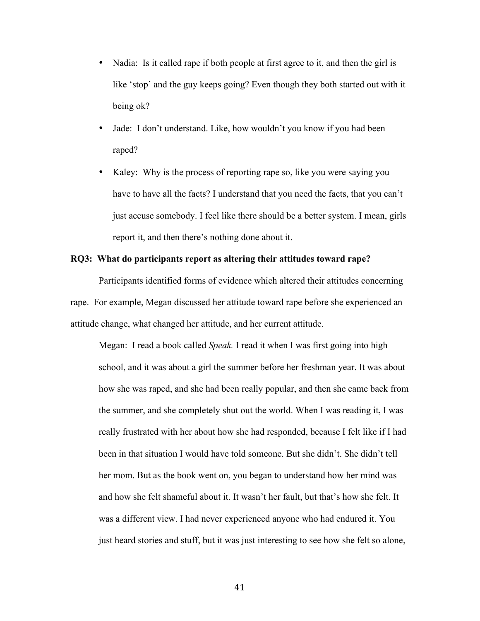- Nadia: Is it called rape if both people at first agree to it, and then the girl is like 'stop' and the guy keeps going? Even though they both started out with it being ok?
- Jade: I don't understand. Like, how wouldn't you know if you had been raped?
- Kaley: Why is the process of reporting rape so, like you were saying you have to have all the facts? I understand that you need the facts, that you can't just accuse somebody. I feel like there should be a better system. I mean, girls report it, and then there's nothing done about it.

# **RQ3: What do participants report as altering their attitudes toward rape?**

Participants identified forms of evidence which altered their attitudes concerning rape. For example, Megan discussed her attitude toward rape before she experienced an attitude change, what changed her attitude, and her current attitude.

Megan: I read a book called *Speak.* I read it when I was first going into high school, and it was about a girl the summer before her freshman year. It was about how she was raped, and she had been really popular, and then she came back from the summer, and she completely shut out the world. When I was reading it, I was really frustrated with her about how she had responded, because I felt like if I had been in that situation I would have told someone. But she didn't. She didn't tell her mom. But as the book went on, you began to understand how her mind was and how she felt shameful about it. It wasn't her fault, but that's how she felt. It was a different view. I had never experienced anyone who had endured it. You just heard stories and stuff, but it was just interesting to see how she felt so alone,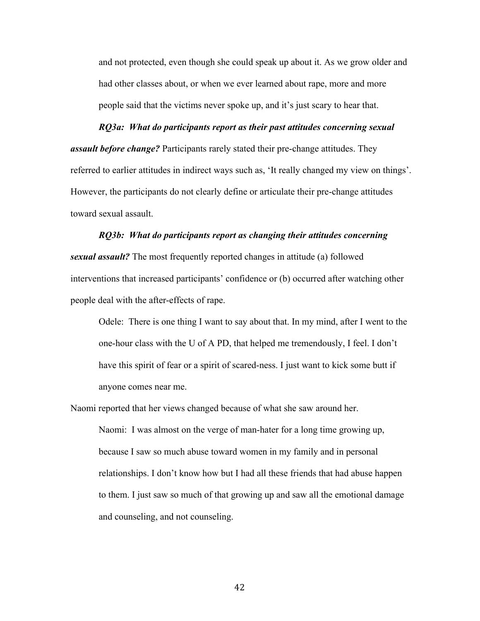and not protected, even though she could speak up about it. As we grow older and had other classes about, or when we ever learned about rape, more and more people said that the victims never spoke up, and it's just scary to hear that.

*RQ3a: What do participants report as their past attitudes concerning sexual assault before change?* Participants rarely stated their pre-change attitudes. They referred to earlier attitudes in indirect ways such as, 'It really changed my view on things'. However, the participants do not clearly define or articulate their pre-change attitudes toward sexual assault.

#### *RQ3b: What do participants report as changing their attitudes concerning*

*sexual assault?* The most frequently reported changes in attitude (a) followed interventions that increased participants' confidence or (b) occurred after watching other people deal with the after-effects of rape.

Odele: There is one thing I want to say about that. In my mind, after I went to the one-hour class with the U of A PD, that helped me tremendously, I feel. I don't have this spirit of fear or a spirit of scared-ness. I just want to kick some butt if anyone comes near me.

Naomi reported that her views changed because of what she saw around her.

Naomi: I was almost on the verge of man-hater for a long time growing up, because I saw so much abuse toward women in my family and in personal relationships. I don't know how but I had all these friends that had abuse happen to them. I just saw so much of that growing up and saw all the emotional damage and counseling, and not counseling.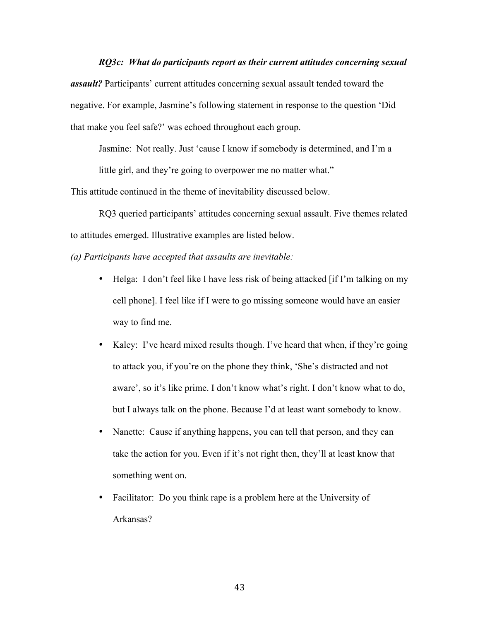### *RQ3c: What do participants report as their current attitudes concerning sexual*

*assault?* Participants' current attitudes concerning sexual assault tended toward the negative. For example, Jasmine's following statement in response to the question 'Did that make you feel safe?' was echoed throughout each group.

Jasmine: Not really. Just 'cause I know if somebody is determined, and I'm a

little girl, and they're going to overpower me no matter what."

This attitude continued in the theme of inevitability discussed below.

RQ3 queried participants' attitudes concerning sexual assault. Five themes related to attitudes emerged. Illustrative examples are listed below.

*(a) Participants have accepted that assaults are inevitable:*

- Helga: I don't feel like I have less risk of being attacked [if I'm talking on my cell phone]. I feel like if I were to go missing someone would have an easier way to find me.
- Kaley: I've heard mixed results though. I've heard that when, if they're going to attack you, if you're on the phone they think, 'She's distracted and not aware', so it's like prime. I don't know what's right. I don't know what to do, but I always talk on the phone. Because I'd at least want somebody to know.
- Nanette: Cause if anything happens, you can tell that person, and they can take the action for you. Even if it's not right then, they'll at least know that something went on.
- Facilitator: Do you think rape is a problem here at the University of Arkansas?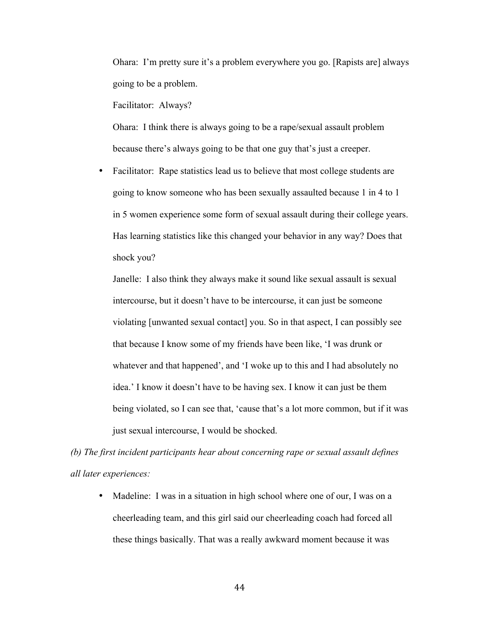Ohara: I'm pretty sure it's a problem everywhere you go. [Rapists are] always going to be a problem.

Facilitator: Always?

Ohara: I think there is always going to be a rape/sexual assault problem because there's always going to be that one guy that's just a creeper.

• Facilitator: Rape statistics lead us to believe that most college students are going to know someone who has been sexually assaulted because 1 in 4 to 1 in 5 women experience some form of sexual assault during their college years. Has learning statistics like this changed your behavior in any way? Does that shock you?

Janelle: I also think they always make it sound like sexual assault is sexual intercourse, but it doesn't have to be intercourse, it can just be someone violating [unwanted sexual contact] you. So in that aspect, I can possibly see that because I know some of my friends have been like, 'I was drunk or whatever and that happened', and 'I woke up to this and I had absolutely no idea.' I know it doesn't have to be having sex. I know it can just be them being violated, so I can see that, 'cause that's a lot more common, but if it was just sexual intercourse, I would be shocked.

*(b) The first incident participants hear about concerning rape or sexual assault defines all later experiences:*

• Madeline: I was in a situation in high school where one of our, I was on a cheerleading team, and this girl said our cheerleading coach had forced all these things basically. That was a really awkward moment because it was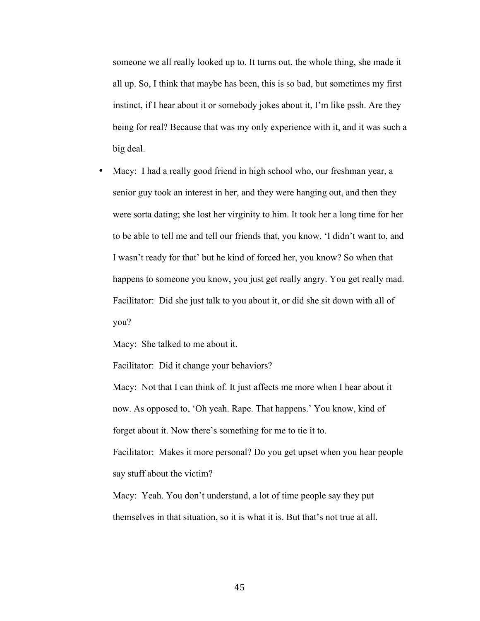someone we all really looked up to. It turns out, the whole thing, she made it all up. So, I think that maybe has been, this is so bad, but sometimes my first instinct, if I hear about it or somebody jokes about it, I'm like pssh. Are they being for real? Because that was my only experience with it, and it was such a big deal.

• Macy: I had a really good friend in high school who, our freshman year, a senior guy took an interest in her, and they were hanging out, and then they were sorta dating; she lost her virginity to him. It took her a long time for her to be able to tell me and tell our friends that, you know, 'I didn't want to, and I wasn't ready for that' but he kind of forced her, you know? So when that happens to someone you know, you just get really angry. You get really mad. Facilitator: Did she just talk to you about it, or did she sit down with all of you?

Macy: She talked to me about it.

Facilitator: Did it change your behaviors?

Macy: Not that I can think of. It just affects me more when I hear about it now. As opposed to, 'Oh yeah. Rape. That happens.' You know, kind of forget about it. Now there's something for me to tie it to.

Facilitator: Makes it more personal? Do you get upset when you hear people say stuff about the victim?

Macy: Yeah. You don't understand, a lot of time people say they put themselves in that situation, so it is what it is. But that's not true at all.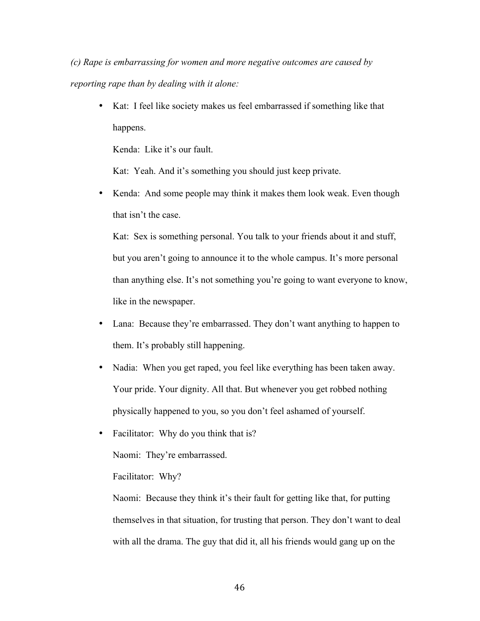*(c) Rape is embarrassing for women and more negative outcomes are caused by reporting rape than by dealing with it alone:*

• Kat: I feel like society makes us feel embarrassed if something like that happens.

Kenda: Like it's our fault.

Kat: Yeah. And it's something you should just keep private.

• Kenda: And some people may think it makes them look weak. Even though that isn't the case.

Kat: Sex is something personal. You talk to your friends about it and stuff, but you aren't going to announce it to the whole campus. It's more personal than anything else. It's not something you're going to want everyone to know, like in the newspaper.

- Lana: Because they're embarrassed. They don't want anything to happen to them. It's probably still happening.
- Nadia: When you get raped, you feel like everything has been taken away. Your pride. Your dignity. All that. But whenever you get robbed nothing physically happened to you, so you don't feel ashamed of yourself.
- Facilitator: Why do you think that is? Naomi: They're embarrassed.

Facilitator: Why?

Naomi: Because they think it's their fault for getting like that, for putting themselves in that situation, for trusting that person. They don't want to deal with all the drama. The guy that did it, all his friends would gang up on the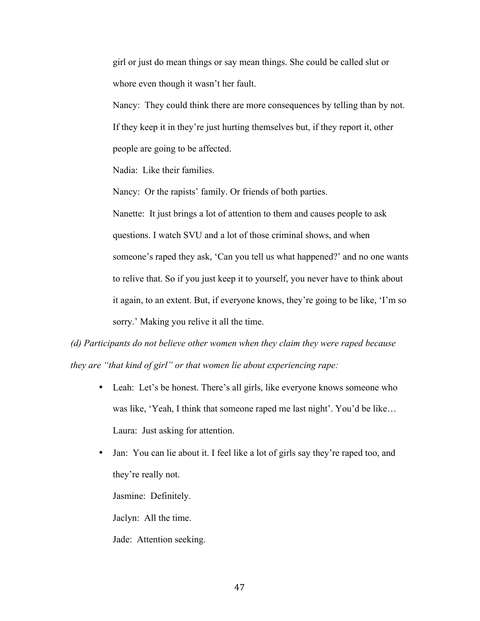girl or just do mean things or say mean things. She could be called slut or whore even though it wasn't her fault.

Nancy: They could think there are more consequences by telling than by not. If they keep it in they're just hurting themselves but, if they report it, other people are going to be affected.

Nadia: Like their families.

Nancy: Or the rapists' family. Or friends of both parties.

Nanette: It just brings a lot of attention to them and causes people to ask questions. I watch SVU and a lot of those criminal shows, and when someone's raped they ask, 'Can you tell us what happened?' and no one wants to relive that. So if you just keep it to yourself, you never have to think about it again, to an extent. But, if everyone knows, they're going to be like, 'I'm so sorry.' Making you relive it all the time.

*(d) Participants do not believe other women when they claim they were raped because they are "that kind of girl" or that women lie about experiencing rape:* 

- Leah: Let's be honest. There's all girls, like everyone knows someone who was like, 'Yeah, I think that someone raped me last night'. You'd be like… Laura: Just asking for attention.
- Jan: You can lie about it. I feel like a lot of girls say they're raped too, and they're really not. Jasmine: Definitely. Jaclyn: All the time. Jade: Attention seeking.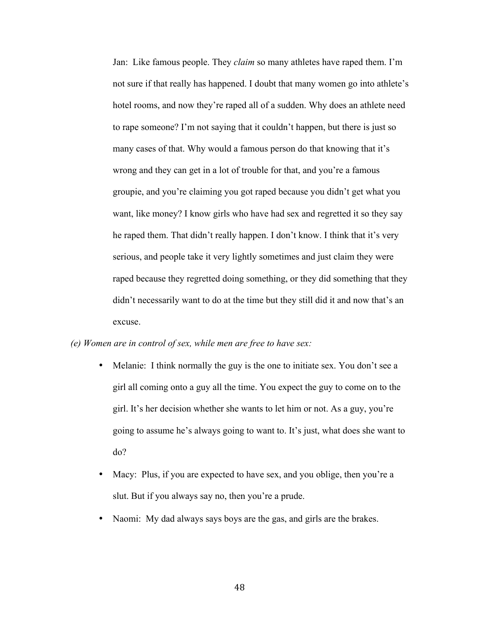Jan: Like famous people. They *claim* so many athletes have raped them. I'm not sure if that really has happened. I doubt that many women go into athlete's hotel rooms, and now they're raped all of a sudden. Why does an athlete need to rape someone? I'm not saying that it couldn't happen, but there is just so many cases of that. Why would a famous person do that knowing that it's wrong and they can get in a lot of trouble for that, and you're a famous groupie, and you're claiming you got raped because you didn't get what you want, like money? I know girls who have had sex and regretted it so they say he raped them. That didn't really happen. I don't know. I think that it's very serious, and people take it very lightly sometimes and just claim they were raped because they regretted doing something, or they did something that they didn't necessarily want to do at the time but they still did it and now that's an excuse.

- *(e) Women are in control of sex, while men are free to have sex:*
	- Melanie: I think normally the guy is the one to initiate sex. You don't see a girl all coming onto a guy all the time. You expect the guy to come on to the girl. It's her decision whether she wants to let him or not. As a guy, you're going to assume he's always going to want to. It's just, what does she want to do?
	- Macy: Plus, if you are expected to have sex, and you oblige, then you're a slut. But if you always say no, then you're a prude.
	- Naomi: My dad always says boys are the gas, and girls are the brakes.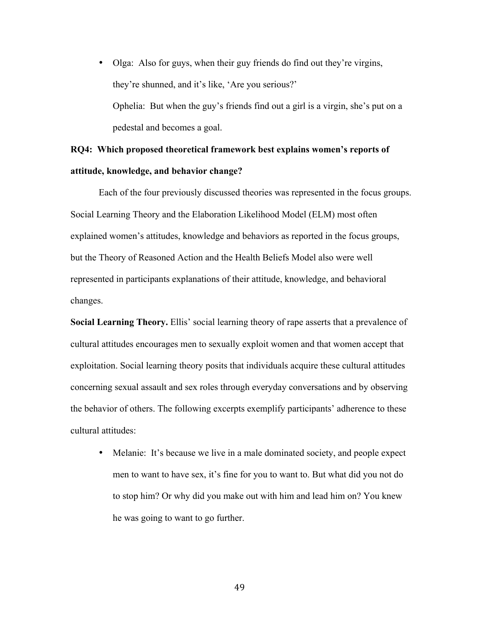• Olga: Also for guys, when their guy friends do find out they're virgins, they're shunned, and it's like, 'Are you serious?' Ophelia: But when the guy's friends find out a girl is a virgin, she's put on a pedestal and becomes a goal.

# **RQ4: Which proposed theoretical framework best explains women's reports of attitude, knowledge, and behavior change?**

Each of the four previously discussed theories was represented in the focus groups. Social Learning Theory and the Elaboration Likelihood Model (ELM) most often explained women's attitudes, knowledge and behaviors as reported in the focus groups, but the Theory of Reasoned Action and the Health Beliefs Model also were well represented in participants explanations of their attitude, knowledge, and behavioral changes.

**Social Learning Theory.** Ellis' social learning theory of rape asserts that a prevalence of cultural attitudes encourages men to sexually exploit women and that women accept that exploitation. Social learning theory posits that individuals acquire these cultural attitudes concerning sexual assault and sex roles through everyday conversations and by observing the behavior of others. The following excerpts exemplify participants' adherence to these cultural attitudes:

• Melanie: It's because we live in a male dominated society, and people expect men to want to have sex, it's fine for you to want to. But what did you not do to stop him? Or why did you make out with him and lead him on? You knew he was going to want to go further.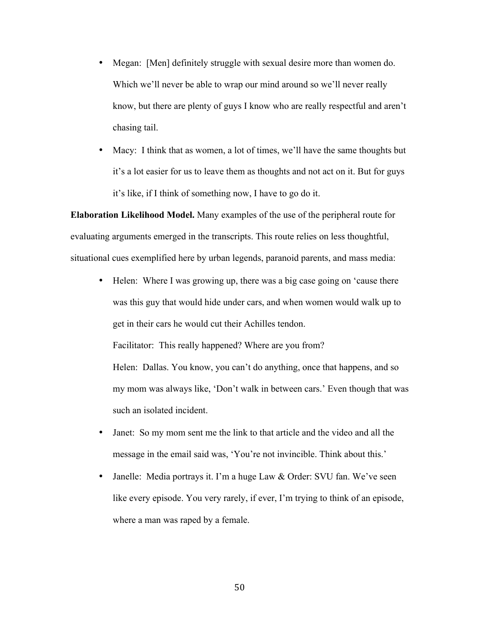- Megan: [Men] definitely struggle with sexual desire more than women do. Which we'll never be able to wrap our mind around so we'll never really know, but there are plenty of guys I know who are really respectful and aren't chasing tail.
- Macy: I think that as women, a lot of times, we'll have the same thoughts but it's a lot easier for us to leave them as thoughts and not act on it. But for guys it's like, if I think of something now, I have to go do it.

**Elaboration Likelihood Model.** Many examples of the use of the peripheral route for evaluating arguments emerged in the transcripts. This route relies on less thoughtful, situational cues exemplified here by urban legends, paranoid parents, and mass media:

- Helen: Where I was growing up, there was a big case going on 'cause there was this guy that would hide under cars, and when women would walk up to get in their cars he would cut their Achilles tendon. Facilitator: This really happened? Where are you from? Helen: Dallas. You know, you can't do anything, once that happens, and so my mom was always like, 'Don't walk in between cars.' Even though that was such an isolated incident.
- Janet: So my mom sent me the link to that article and the video and all the message in the email said was, 'You're not invincible. Think about this.'
- Janelle: Media portrays it. I'm a huge Law & Order: SVU fan. We've seen like every episode. You very rarely, if ever, I'm trying to think of an episode, where a man was raped by a female.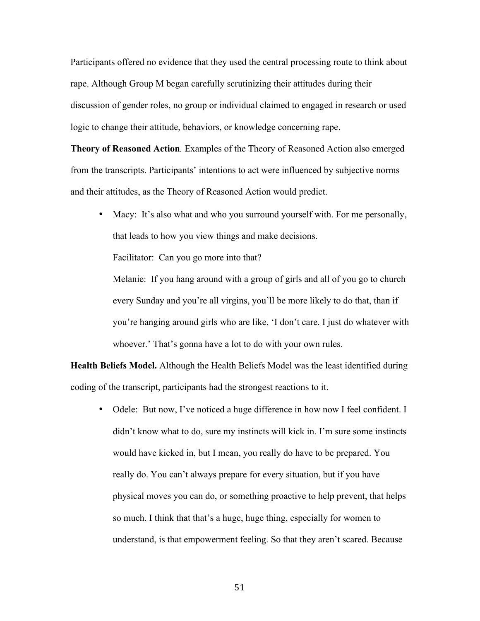Participants offered no evidence that they used the central processing route to think about rape. Although Group M began carefully scrutinizing their attitudes during their discussion of gender roles, no group or individual claimed to engaged in research or used logic to change their attitude, behaviors, or knowledge concerning rape.

**Theory of Reasoned Action***.* Examples of the Theory of Reasoned Action also emerged from the transcripts. Participants' intentions to act were influenced by subjective norms and their attitudes, as the Theory of Reasoned Action would predict.

• Macy: It's also what and who you surround yourself with. For me personally, that leads to how you view things and make decisions.

Facilitator: Can you go more into that?

Melanie: If you hang around with a group of girls and all of you go to church every Sunday and you're all virgins, you'll be more likely to do that, than if you're hanging around girls who are like, 'I don't care. I just do whatever with whoever.' That's gonna have a lot to do with your own rules.

**Health Beliefs Model.** Although the Health Beliefs Model was the least identified during coding of the transcript, participants had the strongest reactions to it.

• Odele: But now, I've noticed a huge difference in how now I feel confident. I didn't know what to do, sure my instincts will kick in. I'm sure some instincts would have kicked in, but I mean, you really do have to be prepared. You really do. You can't always prepare for every situation, but if you have physical moves you can do, or something proactive to help prevent, that helps so much. I think that that's a huge, huge thing, especially for women to understand, is that empowerment feeling. So that they aren't scared. Because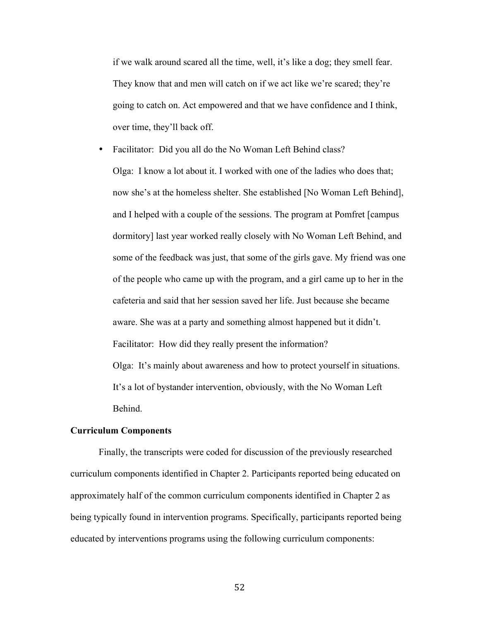if we walk around scared all the time, well, it's like a dog; they smell fear. They know that and men will catch on if we act like we're scared; they're going to catch on. Act empowered and that we have confidence and I think, over time, they'll back off.

• Facilitator: Did you all do the No Woman Left Behind class? Olga: I know a lot about it. I worked with one of the ladies who does that; now she's at the homeless shelter. She established [No Woman Left Behind], and I helped with a couple of the sessions. The program at Pomfret [campus dormitory] last year worked really closely with No Woman Left Behind, and some of the feedback was just, that some of the girls gave. My friend was one of the people who came up with the program, and a girl came up to her in the cafeteria and said that her session saved her life. Just because she became aware. She was at a party and something almost happened but it didn't. Facilitator: How did they really present the information? Olga: It's mainly about awareness and how to protect yourself in situations. It's a lot of bystander intervention, obviously, with the No Woman Left

Behind.

#### **Curriculum Components**

Finally, the transcripts were coded for discussion of the previously researched curriculum components identified in Chapter 2. Participants reported being educated on approximately half of the common curriculum components identified in Chapter 2 as being typically found in intervention programs. Specifically, participants reported being educated by interventions programs using the following curriculum components: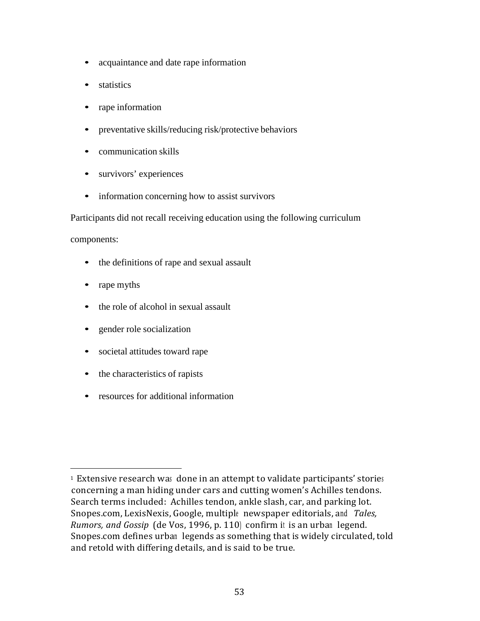- acquaintance and date rape information
- statistics
- rape information
- preventative skills/reducing risk/protective behaviors
- communication skills
- survivors' experiences
- information concerning how to assist survivors

Participants did not recall receiving education using the following curriculum

components:

- the definitions of rape and sexual assault
- rape myths
- the role of alcohol in sexual assault
- gender role socialization
- societal attitudes toward rape
- the characteristics of rapists
- resources for additional information

<sup>1</sup> Extensive research was done in an attempt to validate participants' stories concerning a man hiding under cars and cutting women's Achilles tendons. Search terms included: Achilles tendon, ankle slash, car, and parking lot. Snopes.com, LexisNexis, Google, multiple newspaper editorials, and *Tales, Rumors, and Gossip* (de Vos, 1996, p. 110) confirm it is an urban legend. Snopes.com defines urban legends as something that is widely circulated, told and retold with differing details, and is said to be true.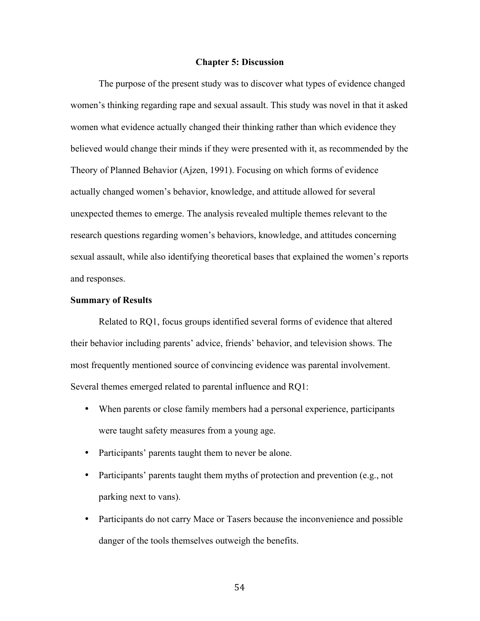### **Chapter 5: Discussion**

The purpose of the present study was to discover what types of evidence changed women's thinking regarding rape and sexual assault. This study was novel in that it asked women what evidence actually changed their thinking rather than which evidence they believed would change their minds if they were presented with it, as recommended by the Theory of Planned Behavior (Ajzen, 1991). Focusing on which forms of evidence actually changed women's behavior, knowledge, and attitude allowed for several unexpected themes to emerge. The analysis revealed multiple themes relevant to the research questions regarding women's behaviors, knowledge, and attitudes concerning sexual assault, while also identifying theoretical bases that explained the women's reports and responses.

# **Summary of Results**

Related to RQ1, focus groups identified several forms of evidence that altered their behavior including parents' advice, friends' behavior, and television shows. The most frequently mentioned source of convincing evidence was parental involvement. Several themes emerged related to parental influence and RQ1:

- When parents or close family members had a personal experience, participants were taught safety measures from a young age.
- Participants' parents taught them to never be alone.
- Participants' parents taught them myths of protection and prevention (e.g., not parking next to vans).
- Participants do not carry Mace or Tasers because the inconvenience and possible danger of the tools themselves outweigh the benefits.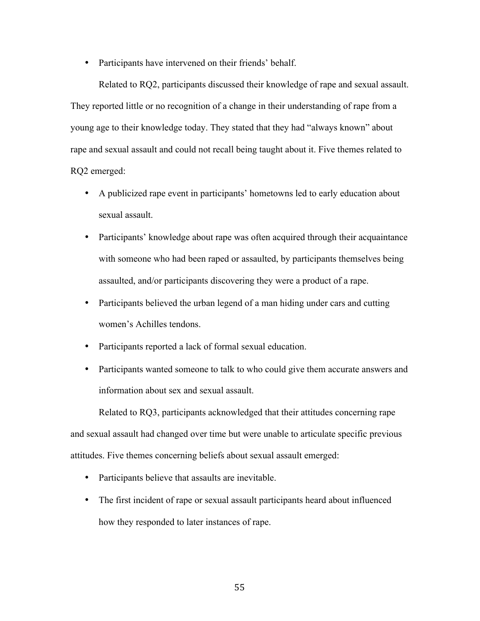• Participants have intervened on their friends' behalf.

Related to RQ2, participants discussed their knowledge of rape and sexual assault. They reported little or no recognition of a change in their understanding of rape from a young age to their knowledge today. They stated that they had "always known" about rape and sexual assault and could not recall being taught about it. Five themes related to RQ2 emerged:

- A publicized rape event in participants' hometowns led to early education about sexual assault.
- Participants' knowledge about rape was often acquired through their acquaintance with someone who had been raped or assaulted, by participants themselves being assaulted, and/or participants discovering they were a product of a rape.
- Participants believed the urban legend of a man hiding under cars and cutting women's Achilles tendons.
- Participants reported a lack of formal sexual education.
- Participants wanted someone to talk to who could give them accurate answers and information about sex and sexual assault.

Related to RQ3, participants acknowledged that their attitudes concerning rape and sexual assault had changed over time but were unable to articulate specific previous attitudes. Five themes concerning beliefs about sexual assault emerged:

- Participants believe that assaults are inevitable.
- The first incident of rape or sexual assault participants heard about influenced how they responded to later instances of rape.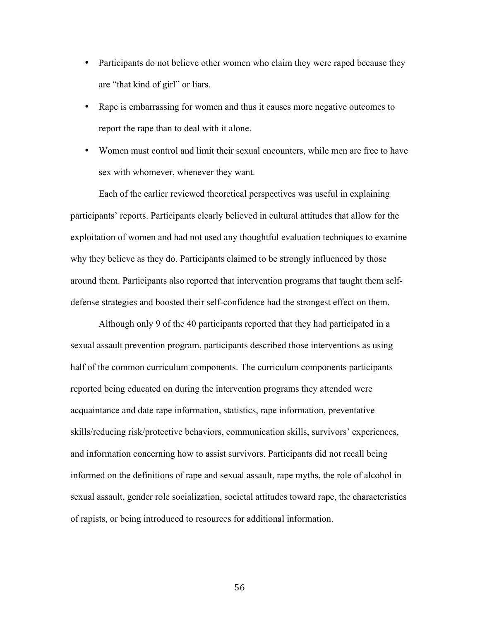- Participants do not believe other women who claim they were raped because they are "that kind of girl" or liars.
- Rape is embarrassing for women and thus it causes more negative outcomes to report the rape than to deal with it alone.
- Women must control and limit their sexual encounters, while men are free to have sex with whomever, whenever they want.

Each of the earlier reviewed theoretical perspectives was useful in explaining participants' reports. Participants clearly believed in cultural attitudes that allow for the exploitation of women and had not used any thoughtful evaluation techniques to examine why they believe as they do. Participants claimed to be strongly influenced by those around them. Participants also reported that intervention programs that taught them selfdefense strategies and boosted their self-confidence had the strongest effect on them.

Although only 9 of the 40 participants reported that they had participated in a sexual assault prevention program, participants described those interventions as using half of the common curriculum components. The curriculum components participants reported being educated on during the intervention programs they attended were acquaintance and date rape information, statistics, rape information, preventative skills/reducing risk/protective behaviors, communication skills, survivors' experiences, and information concerning how to assist survivors. Participants did not recall being informed on the definitions of rape and sexual assault, rape myths, the role of alcohol in sexual assault, gender role socialization, societal attitudes toward rape, the characteristics of rapists, or being introduced to resources for additional information.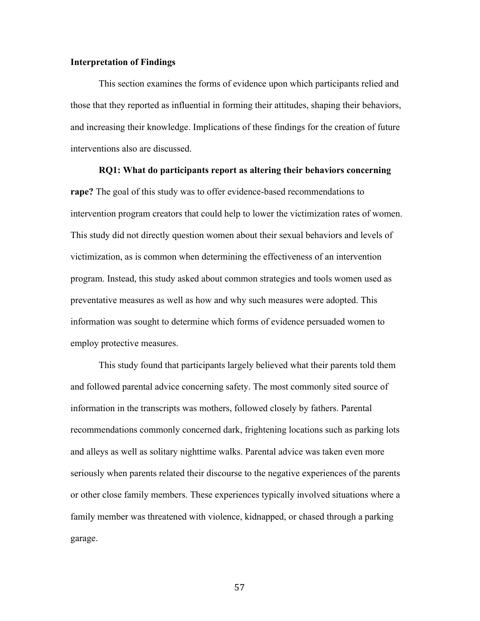#### **Interpretation of Findings**

This section examines the forms of evidence upon which participants relied and those that they reported as influential in forming their attitudes, shaping their behaviors, and increasing their knowledge. Implications of these findings for the creation of future interventions also are discussed.

#### **RQ1: What do participants report as altering their behaviors concerning**

**rape?** The goal of this study was to offer evidence-based recommendations to intervention program creators that could help to lower the victimization rates of women. This study did not directly question women about their sexual behaviors and levels of victimization, as is common when determining the effectiveness of an intervention program. Instead, this study asked about common strategies and tools women used as preventative measures as well as how and why such measures were adopted. This information was sought to determine which forms of evidence persuaded women to employ protective measures.

This study found that participants largely believed what their parents told them and followed parental advice concerning safety. The most commonly sited source of information in the transcripts was mothers, followed closely by fathers. Parental recommendations commonly concerned dark, frightening locations such as parking lots and alleys as well as solitary nighttime walks. Parental advice was taken even more seriously when parents related their discourse to the negative experiences of the parents or other close family members. These experiences typically involved situations where a family member was threatened with violence, kidnapped, or chased through a parking garage.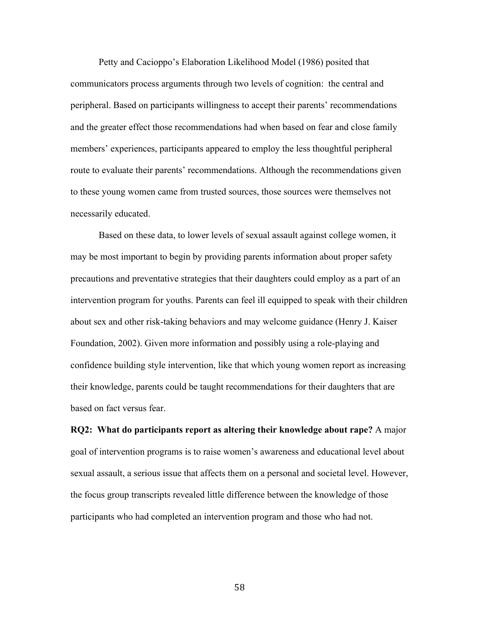Petty and Cacioppo's Elaboration Likelihood Model (1986) posited that communicators process arguments through two levels of cognition: the central and peripheral. Based on participants willingness to accept their parents' recommendations and the greater effect those recommendations had when based on fear and close family members' experiences, participants appeared to employ the less thoughtful peripheral route to evaluate their parents' recommendations. Although the recommendations given to these young women came from trusted sources, those sources were themselves not necessarily educated.

Based on these data, to lower levels of sexual assault against college women, it may be most important to begin by providing parents information about proper safety precautions and preventative strategies that their daughters could employ as a part of an intervention program for youths. Parents can feel ill equipped to speak with their children about sex and other risk-taking behaviors and may welcome guidance (Henry J. Kaiser Foundation, 2002). Given more information and possibly using a role-playing and confidence building style intervention, like that which young women report as increasing their knowledge, parents could be taught recommendations for their daughters that are based on fact versus fear.

**RQ2: What do participants report as altering their knowledge about rape?** A major goal of intervention programs is to raise women's awareness and educational level about sexual assault, a serious issue that affects them on a personal and societal level. However, the focus group transcripts revealed little difference between the knowledge of those participants who had completed an intervention program and those who had not.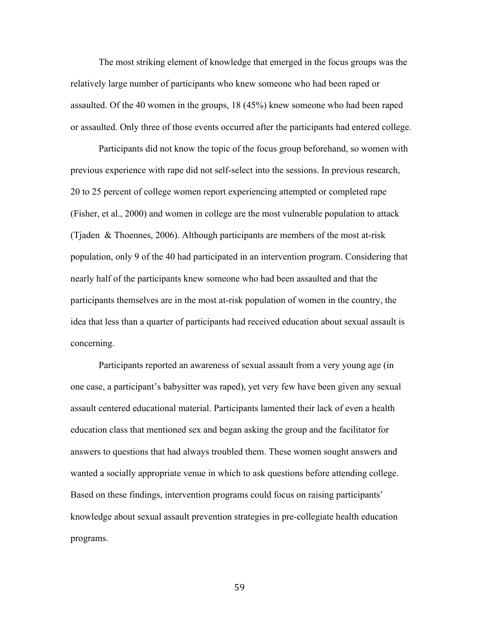The most striking element of knowledge that emerged in the focus groups was the relatively large number of participants who knew someone who had been raped or assaulted. Of the 40 women in the groups, 18 (45%) knew someone who had been raped or assaulted. Only three of those events occurred after the participants had entered college.

Participants did not know the topic of the focus group beforehand, so women with previous experience with rape did not self-select into the sessions. In previous research, 20 to 25 percent of college women report experiencing attempted or completed rape (Fisher, et al., 2000) and women in college are the most vulnerable population to attack (Tjaden & Thoennes, 2006). Although participants are members of the most at-risk population, only 9 of the 40 had participated in an intervention program. Considering that nearly half of the participants knew someone who had been assaulted and that the participants themselves are in the most at-risk population of women in the country, the idea that less than a quarter of participants had received education about sexual assault is concerning.

Participants reported an awareness of sexual assault from a very young age (in one case, a participant's babysitter was raped), yet very few have been given any sexual assault centered educational material. Participants lamented their lack of even a health education class that mentioned sex and began asking the group and the facilitator for answers to questions that had always troubled them. These women sought answers and wanted a socially appropriate venue in which to ask questions before attending college. Based on these findings, intervention programs could focus on raising participants' knowledge about sexual assault prevention strategies in pre-collegiate health education programs.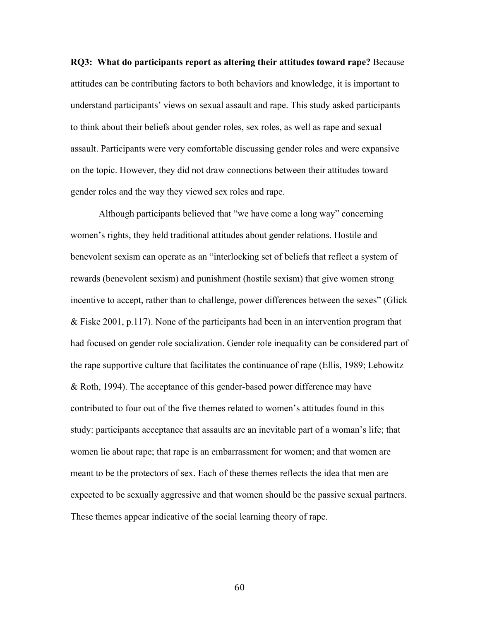**RQ3: What do participants report as altering their attitudes toward rape?** Because attitudes can be contributing factors to both behaviors and knowledge, it is important to understand participants' views on sexual assault and rape. This study asked participants to think about their beliefs about gender roles, sex roles, as well as rape and sexual assault. Participants were very comfortable discussing gender roles and were expansive on the topic. However, they did not draw connections between their attitudes toward gender roles and the way they viewed sex roles and rape.

Although participants believed that "we have come a long way" concerning women's rights, they held traditional attitudes about gender relations. Hostile and benevolent sexism can operate as an "interlocking set of beliefs that reflect a system of rewards (benevolent sexism) and punishment (hostile sexism) that give women strong incentive to accept, rather than to challenge, power differences between the sexes" (Glick & Fiske 2001, p.117). None of the participants had been in an intervention program that had focused on gender role socialization. Gender role inequality can be considered part of the rape supportive culture that facilitates the continuance of rape (Ellis, 1989; Lebowitz & Roth, 1994). The acceptance of this gender-based power difference may have contributed to four out of the five themes related to women's attitudes found in this study: participants acceptance that assaults are an inevitable part of a woman's life; that women lie about rape; that rape is an embarrassment for women; and that women are meant to be the protectors of sex. Each of these themes reflects the idea that men are expected to be sexually aggressive and that women should be the passive sexual partners. These themes appear indicative of the social learning theory of rape.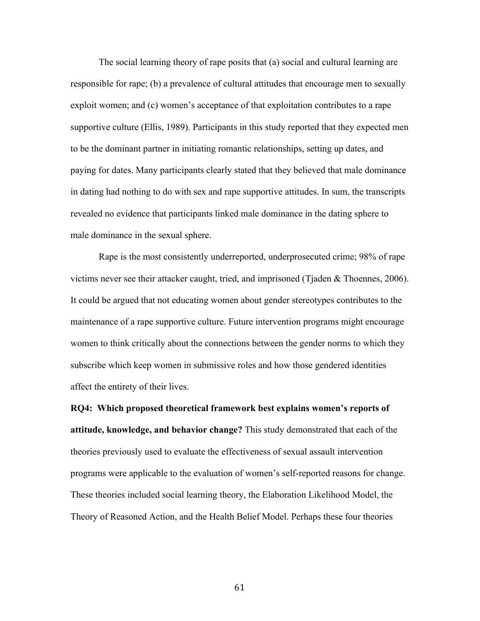The social learning theory of rape posits that (a) social and cultural learning are responsible for rape; (b) a prevalence of cultural attitudes that encourage men to sexually exploit women; and (c) women's acceptance of that exploitation contributes to a rape supportive culture (Ellis, 1989). Participants in this study reported that they expected men to be the dominant partner in initiating romantic relationships, setting up dates, and paying for dates. Many participants clearly stated that they believed that male dominance in dating had nothing to do with sex and rape supportive attitudes. In sum, the transcripts revealed no evidence that participants linked male dominance in the dating sphere to male dominance in the sexual sphere.

Rape is the most consistently underreported, underprosecuted crime; 98% of rape victims never see their attacker caught, tried, and imprisoned (Tjaden & Thoennes, 2006). It could be argued that not educating women about gender stereotypes contributes to the maintenance of a rape supportive culture. Future intervention programs might encourage women to think critically about the connections between the gender norms to which they subscribe which keep women in submissive roles and how those gendered identities affect the entirety of their lives.

**RQ4: Which proposed theoretical framework best explains women's reports of attitude, knowledge, and behavior change?** This study demonstrated that each of the theories previously used to evaluate the effectiveness of sexual assault intervention programs were applicable to the evaluation of women's self-reported reasons for change. These theories included social learning theory, the Elaboration Likelihood Model, the Theory of Reasoned Action, and the Health Belief Model. Perhaps these four theories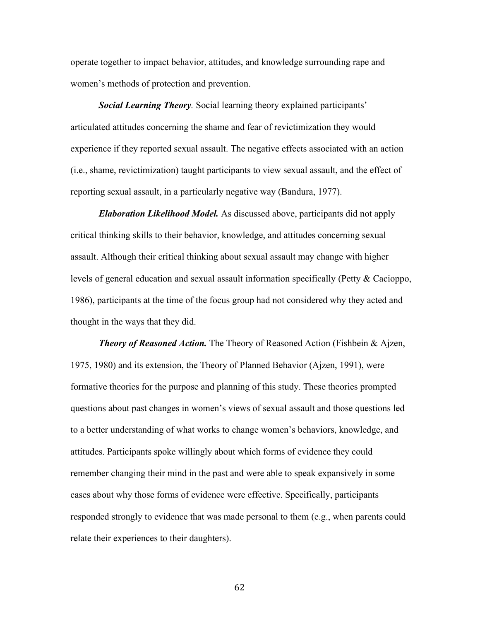operate together to impact behavior, attitudes, and knowledge surrounding rape and women's methods of protection and prevention.

*Social Learning Theory.* Social learning theory explained participants' articulated attitudes concerning the shame and fear of revictimization they would experience if they reported sexual assault. The negative effects associated with an action (i.e., shame, revictimization) taught participants to view sexual assault, and the effect of reporting sexual assault, in a particularly negative way (Bandura, 1977).

*Elaboration Likelihood Model.* As discussed above, participants did not apply critical thinking skills to their behavior, knowledge, and attitudes concerning sexual assault. Although their critical thinking about sexual assault may change with higher levels of general education and sexual assault information specifically (Petty & Cacioppo, 1986), participants at the time of the focus group had not considered why they acted and thought in the ways that they did.

*Theory of Reasoned Action.* The Theory of Reasoned Action (Fishbein & Ajzen, 1975, 1980) and its extension, the Theory of Planned Behavior (Ajzen, 1991), were formative theories for the purpose and planning of this study. These theories prompted questions about past changes in women's views of sexual assault and those questions led to a better understanding of what works to change women's behaviors, knowledge, and attitudes. Participants spoke willingly about which forms of evidence they could remember changing their mind in the past and were able to speak expansively in some cases about why those forms of evidence were effective. Specifically, participants responded strongly to evidence that was made personal to them (e.g., when parents could relate their experiences to their daughters).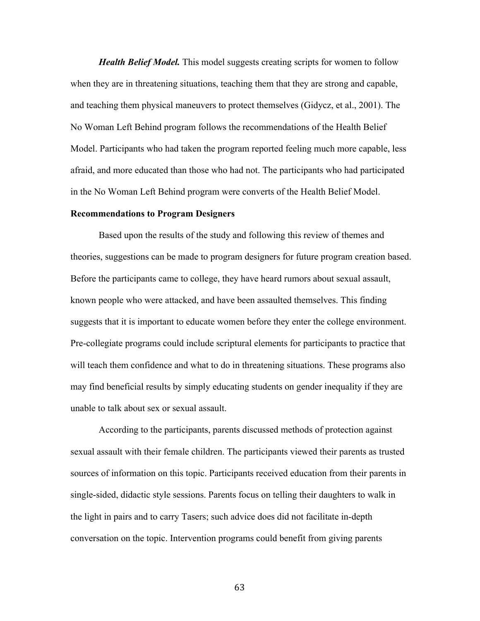*Health Belief Model.* This model suggests creating scripts for women to follow when they are in threatening situations, teaching them that they are strong and capable, and teaching them physical maneuvers to protect themselves (Gidycz, et al., 2001). The No Woman Left Behind program follows the recommendations of the Health Belief Model. Participants who had taken the program reported feeling much more capable, less afraid, and more educated than those who had not. The participants who had participated in the No Woman Left Behind program were converts of the Health Belief Model.

#### **Recommendations to Program Designers**

Based upon the results of the study and following this review of themes and theories, suggestions can be made to program designers for future program creation based. Before the participants came to college, they have heard rumors about sexual assault, known people who were attacked, and have been assaulted themselves. This finding suggests that it is important to educate women before they enter the college environment. Pre-collegiate programs could include scriptural elements for participants to practice that will teach them confidence and what to do in threatening situations. These programs also may find beneficial results by simply educating students on gender inequality if they are unable to talk about sex or sexual assault.

According to the participants, parents discussed methods of protection against sexual assault with their female children. The participants viewed their parents as trusted sources of information on this topic. Participants received education from their parents in single-sided, didactic style sessions. Parents focus on telling their daughters to walk in the light in pairs and to carry Tasers; such advice does did not facilitate in-depth conversation on the topic. Intervention programs could benefit from giving parents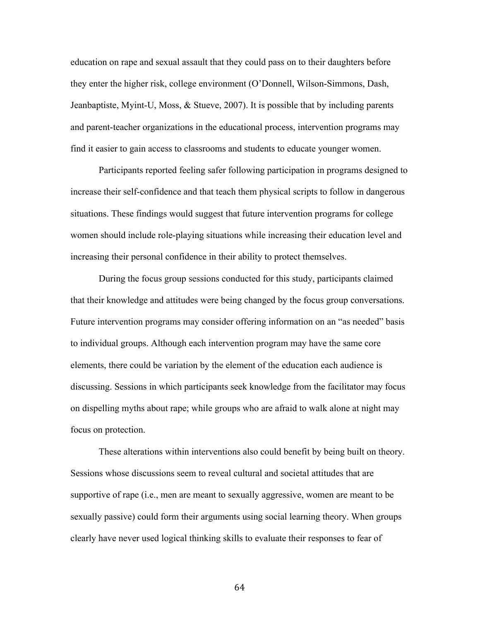education on rape and sexual assault that they could pass on to their daughters before they enter the higher risk, college environment (O'Donnell, Wilson-Simmons, Dash, Jeanbaptiste, Myint-U, Moss, & Stueve, 2007). It is possible that by including parents and parent-teacher organizations in the educational process, intervention programs may find it easier to gain access to classrooms and students to educate younger women.

Participants reported feeling safer following participation in programs designed to increase their self-confidence and that teach them physical scripts to follow in dangerous situations. These findings would suggest that future intervention programs for college women should include role-playing situations while increasing their education level and increasing their personal confidence in their ability to protect themselves.

During the focus group sessions conducted for this study, participants claimed that their knowledge and attitudes were being changed by the focus group conversations. Future intervention programs may consider offering information on an "as needed" basis to individual groups. Although each intervention program may have the same core elements, there could be variation by the element of the education each audience is discussing. Sessions in which participants seek knowledge from the facilitator may focus on dispelling myths about rape; while groups who are afraid to walk alone at night may focus on protection.

These alterations within interventions also could benefit by being built on theory. Sessions whose discussions seem to reveal cultural and societal attitudes that are supportive of rape (i.e., men are meant to sexually aggressive, women are meant to be sexually passive) could form their arguments using social learning theory. When groups clearly have never used logical thinking skills to evaluate their responses to fear of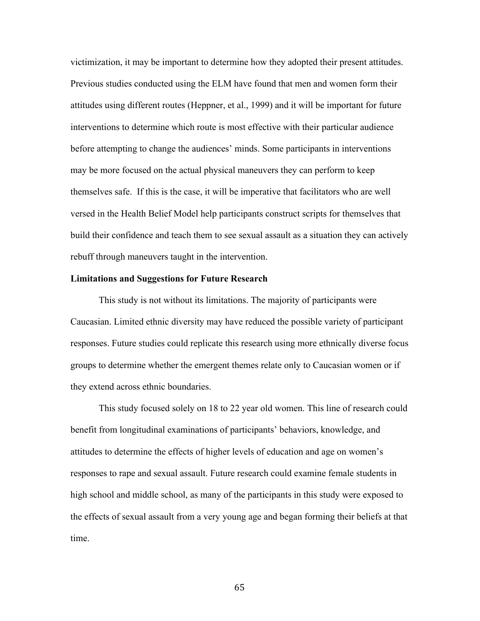victimization, it may be important to determine how they adopted their present attitudes. Previous studies conducted using the ELM have found that men and women form their attitudes using different routes (Heppner, et al., 1999) and it will be important for future interventions to determine which route is most effective with their particular audience before attempting to change the audiences' minds. Some participants in interventions may be more focused on the actual physical maneuvers they can perform to keep themselves safe. If this is the case, it will be imperative that facilitators who are well versed in the Health Belief Model help participants construct scripts for themselves that build their confidence and teach them to see sexual assault as a situation they can actively rebuff through maneuvers taught in the intervention.

#### **Limitations and Suggestions for Future Research**

This study is not without its limitations. The majority of participants were Caucasian. Limited ethnic diversity may have reduced the possible variety of participant responses. Future studies could replicate this research using more ethnically diverse focus groups to determine whether the emergent themes relate only to Caucasian women or if they extend across ethnic boundaries.

This study focused solely on 18 to 22 year old women. This line of research could benefit from longitudinal examinations of participants' behaviors, knowledge, and attitudes to determine the effects of higher levels of education and age on women's responses to rape and sexual assault. Future research could examine female students in high school and middle school, as many of the participants in this study were exposed to the effects of sexual assault from a very young age and began forming their beliefs at that time.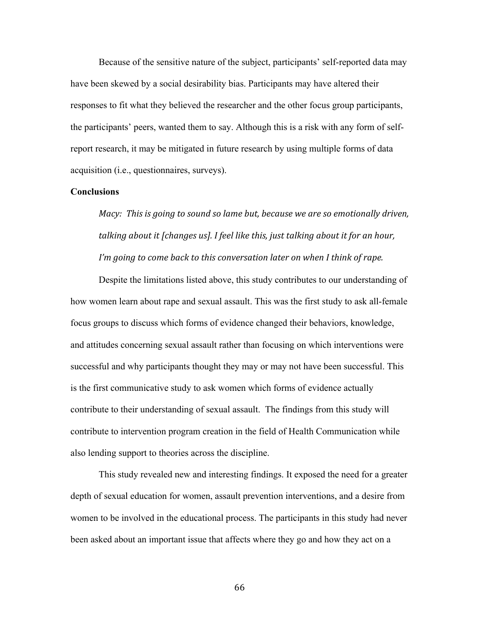Because of the sensitive nature of the subject, participants' self-reported data may have been skewed by a social desirability bias. Participants may have altered their responses to fit what they believed the researcher and the other focus group participants, the participants' peers, wanted them to say. Although this is a risk with any form of selfreport research, it may be mitigated in future research by using multiple forms of data acquisition (i.e., questionnaires, surveys).

#### **Conclusions**

*Macy:* This is going to sound so lame but, because we are so emotionally driven, *talking'about'it'[changes'us].'I'feel'like'this,'just'talking'about'it'for'an'hour,'* I'm going to come back to this conversation later on when I think of rape.

Despite the limitations listed above, this study contributes to our understanding of how women learn about rape and sexual assault. This was the first study to ask all-female focus groups to discuss which forms of evidence changed their behaviors, knowledge, and attitudes concerning sexual assault rather than focusing on which interventions were successful and why participants thought they may or may not have been successful. This is the first communicative study to ask women which forms of evidence actually contribute to their understanding of sexual assault. The findings from this study will contribute to intervention program creation in the field of Health Communication while also lending support to theories across the discipline.

This study revealed new and interesting findings. It exposed the need for a greater depth of sexual education for women, assault prevention interventions, and a desire from women to be involved in the educational process. The participants in this study had never been asked about an important issue that affects where they go and how they act on a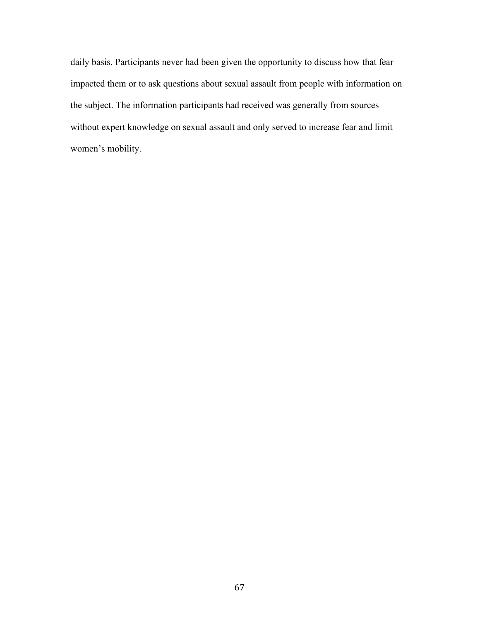daily basis. Participants never had been given the opportunity to discuss how that fear impacted them or to ask questions about sexual assault from people with information on the subject. The information participants had received was generally from sources without expert knowledge on sexual assault and only served to increase fear and limit women's mobility.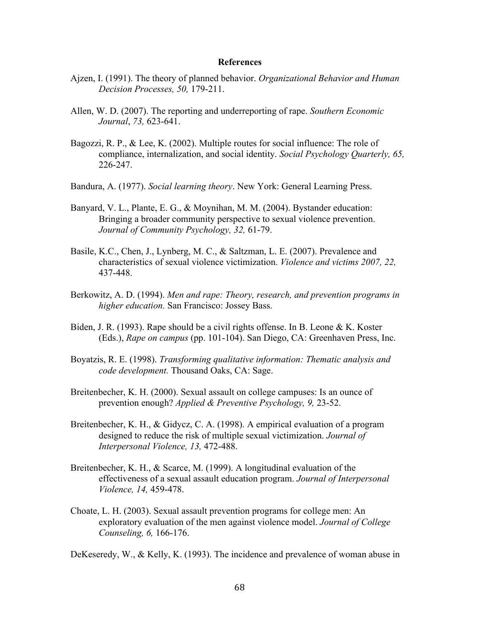#### **References**

- Ajzen, I. (1991). The theory of planned behavior. *Organizational Behavior and Human Decision Processes, 50,* 179-211.
- Allen, W. D. (2007). The reporting and underreporting of rape. *Southern Economic Journal*, *73,* 623-641.
- Bagozzi, R. P., & Lee, K. (2002). Multiple routes for social influence: The role of compliance, internalization, and social identity. *Social Psychology Quarterly, 65,*  226-247.
- Bandura, A. (1977). *Social learning theory*. New York: General Learning Press.
- Banyard, V. L., Plante, E. G., & Moynihan, M. M. (2004). Bystander education: Bringing a broader community perspective to sexual violence prevention. *Journal of Community Psychology, 32,* 61-79.
- Basile, K.C., Chen, J., Lynberg, M. C., & Saltzman, L. E. (2007). Prevalence and characteristics of sexual violence victimization. *Violence and victims 2007, 22,*  437-448.
- Berkowitz, A. D. (1994). *Men and rape: Theory, research, and prevention programs in higher education.* San Francisco: Jossey Bass.
- Biden, J. R. (1993). Rape should be a civil rights offense. In B. Leone & K. Koster (Eds.), *Rape on campus* (pp. 101-104). San Diego, CA: Greenhaven Press, Inc.
- Boyatzis, R. E. (1998). *Transforming qualitative information: Thematic analysis and code development.* Thousand Oaks, CA: Sage.
- Breitenbecher, K. H. (2000). Sexual assault on college campuses: Is an ounce of prevention enough? *Applied & Preventive Psychology, 9,* 23-52.
- Breitenbecher, K. H., & Gidycz, C. A. (1998). A empirical evaluation of a program designed to reduce the risk of multiple sexual victimization. *Journal of Interpersonal Violence, 13,* 472-488.
- Breitenbecher, K. H., & Scarce, M. (1999). A longitudinal evaluation of the effectiveness of a sexual assault education program. *Journal of Interpersonal Violence, 14,* 459-478.
- Choate, L. H. (2003). Sexual assault prevention programs for college men: An exploratory evaluation of the men against violence model. *Journal of College Counseling, 6,* 166-176.

DeKeseredy, W., & Kelly, K. (1993). The incidence and prevalence of woman abuse in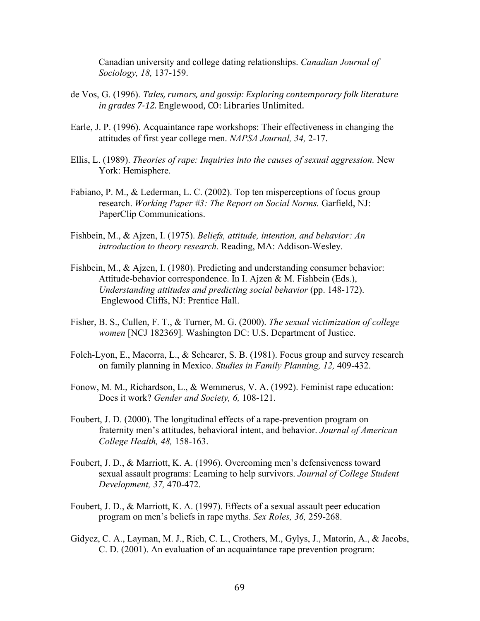Canadian university and college dating relationships. *Canadian Journal of Sociology, 18,* 137-159.

- de Vos, G. (1996). *Tales, rumors, and gossip: Exploring contemporary folk literature in grades 7-12.* Englewood, CO: Libraries Unlimited.
- Earle, J. P. (1996). Acquaintance rape workshops: Their effectiveness in changing the attitudes of first year college men. *NAPSA Journal, 34,* 2-17.
- Ellis, L. (1989). *Theories of rape: Inquiries into the causes of sexual aggression.* New York: Hemisphere.
- Fabiano, P. M., & Lederman, L. C. (2002). Top ten misperceptions of focus group research. *Working Paper #3: The Report on Social Norms.* Garfield, NJ: PaperClip Communications.
- Fishbein, M., & Ajzen, I. (1975). *Beliefs, attitude, intention, and behavior: An introduction to theory research.* Reading, MA: Addison-Wesley.
- Fishbein, M., & Ajzen, I. (1980). Predicting and understanding consumer behavior: Attitude-behavior correspondence. In I. Ajzen & M. Fishbein (Eds.), *Understanding attitudes and predicting social behavior* (pp. 148-172). Englewood Cliffs, NJ: Prentice Hall.
- Fisher, B. S., Cullen, F. T., & Turner, M. G. (2000). *The sexual victimization of college women* [NCJ 182369]*.* Washington DC: U.S. Department of Justice.
- Folch-Lyon, E., Macorra, L., & Schearer, S. B. (1981). Focus group and survey research on family planning in Mexico. *Studies in Family Planning, 12,* 409-432.
- Fonow, M. M., Richardson, L., & Wemmerus, V. A. (1992). Feminist rape education: Does it work? *Gender and Society, 6,* 108-121.
- Foubert, J. D. (2000). The longitudinal effects of a rape-prevention program on fraternity men's attitudes, behavioral intent, and behavior. *Journal of American College Health, 48,* 158-163.
- Foubert, J. D., & Marriott, K. A. (1996). Overcoming men's defensiveness toward sexual assault programs: Learning to help survivors. *Journal of College Student Development, 37,* 470-472.
- Foubert, J. D., & Marriott, K. A. (1997). Effects of a sexual assault peer education program on men's beliefs in rape myths. *Sex Roles, 36,* 259-268.
- Gidycz, C. A., Layman, M. J., Rich, C. L., Crothers, M., Gylys, J., Matorin, A., & Jacobs, C. D. (2001). An evaluation of an acquaintance rape prevention program: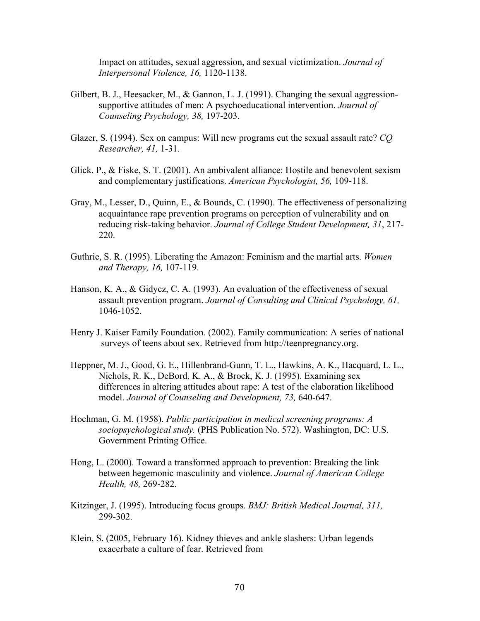Impact on attitudes, sexual aggression, and sexual victimization. *Journal of Interpersonal Violence, 16,* 1120-1138.

- Gilbert, B. J., Heesacker, M., & Gannon, L. J. (1991). Changing the sexual aggressionsupportive attitudes of men: A psychoeducational intervention. *Journal of Counseling Psychology, 38,* 197-203.
- Glazer, S. (1994). Sex on campus: Will new programs cut the sexual assault rate? *CQ Researcher, 41,* 1-31.
- Glick, P., & Fiske, S. T. (2001). An ambivalent alliance: Hostile and benevolent sexism and complementary justifications. *American Psychologist, 56,* 109-118.
- Gray, M., Lesser, D., Quinn, E., & Bounds, C. (1990). The effectiveness of personalizing acquaintance rape prevention programs on perception of vulnerability and on reducing risk-taking behavior. *Journal of College Student Development, 31*, 217- 220.
- Guthrie, S. R. (1995). Liberating the Amazon: Feminism and the martial arts. *Women and Therapy, 16,* 107-119.
- Hanson, K. A., & Gidycz, C. A. (1993). An evaluation of the effectiveness of sexual assault prevention program. *Journal of Consulting and Clinical Psychology, 61,*  1046-1052.
- Henry J. Kaiser Family Foundation. (2002). Family communication: A series of national surveys of teens about sex. Retrieved from http://teenpregnancy.org.
- Heppner, M. J., Good, G. E., Hillenbrand-Gunn, T. L., Hawkins, A. K., Hacquard, L. L., Nichols, R. K., DeBord, K. A., & Brock, K. J. (1995). Examining sex differences in altering attitudes about rape: A test of the elaboration likelihood model. *Journal of Counseling and Development, 73,* 640-647.
- Hochman, G. M. (1958). *Public participation in medical screening programs: A sociopsychological study.* (PHS Publication No. 572). Washington, DC: U.S. Government Printing Office.
- Hong, L. (2000). Toward a transformed approach to prevention: Breaking the link between hegemonic masculinity and violence. *Journal of American College Health, 48,* 269-282.
- Kitzinger, J. (1995). Introducing focus groups. *BMJ: British Medical Journal, 311,*  299-302.
- Klein, S. (2005, February 16). Kidney thieves and ankle slashers: Urban legends exacerbate a culture of fear. Retrieved from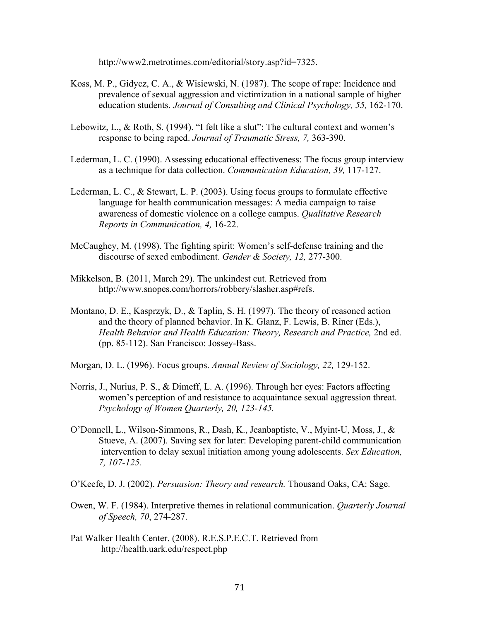http://www2.metrotimes.com/editorial/story.asp?id=7325.

- Koss, M. P., Gidycz, C. A., & Wisiewski, N. (1987). The scope of rape: Incidence and prevalence of sexual aggression and victimization in a national sample of higher education students. *Journal of Consulting and Clinical Psychology, 55,* 162-170.
- Lebowitz, L., & Roth, S. (1994). "I felt like a slut": The cultural context and women's response to being raped. *Journal of Traumatic Stress, 7,* 363-390.
- Lederman, L. C. (1990). Assessing educational effectiveness: The focus group interview as a technique for data collection. *Communication Education, 39,* 117-127.
- Lederman, L. C., & Stewart, L. P. (2003). Using focus groups to formulate effective language for health communication messages: A media campaign to raise awareness of domestic violence on a college campus. *Qualitative Research Reports in Communication, 4,* 16-22.
- McCaughey, M. (1998). The fighting spirit: Women's self-defense training and the discourse of sexed embodiment. *Gender & Society, 12,* 277-300.
- Mikkelson, B. (2011, March 29). The unkindest cut. Retrieved from http://www.snopes.com/horrors/robbery/slasher.asp#refs.
- Montano, D. E., Kasprzyk, D., & Taplin, S. H. (1997). The theory of reasoned action and the theory of planned behavior. In K. Glanz, F. Lewis, B. Riner (Eds.), *Health Behavior and Health Education: Theory, Research and Practice,* 2nd ed. (pp. 85-112). San Francisco: Jossey-Bass.
- Morgan, D. L. (1996). Focus groups. *Annual Review of Sociology, 22,* 129-152.
- Norris, J., Nurius, P. S., & Dimeff, L. A. (1996). Through her eyes: Factors affecting women's perception of and resistance to acquaintance sexual aggression threat. *Psychology of Women Quarterly, 20, 123-145.*
- O'Donnell, L., Wilson-Simmons, R., Dash, K., Jeanbaptiste, V., Myint-U, Moss, J., & Stueve, A. (2007). Saving sex for later: Developing parent-child communication intervention to delay sexual initiation among young adolescents. *Sex Education, 7, 107-125.*
- O'Keefe, D. J. (2002). *Persuasion: Theory and research.* Thousand Oaks, CA: Sage.
- Owen, W. F. (1984). Interpretive themes in relational communication. *Quarterly Journal of Speech, 70*, 274-287.
- Pat Walker Health Center. (2008). R.E.S.P.E.C.T. Retrieved from http://health.uark.edu/respect.php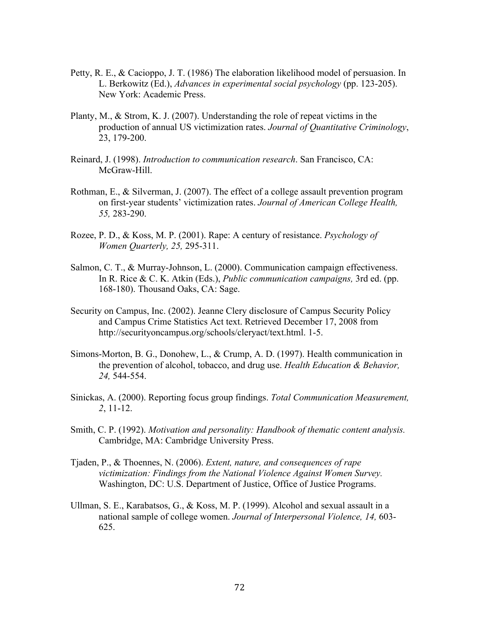- Petty, R. E., & Cacioppo, J. T. (1986) The elaboration likelihood model of persuasion. In L. Berkowitz (Ed.), *Advances in experimental social psychology* (pp. 123-205). New York: Academic Press.
- Planty, M., & Strom, K. J. (2007). Understanding the role of repeat victims in the production of annual US victimization rates. *Journal of Quantitative Criminology*, 23, 179-200.
- Reinard, J. (1998). *Introduction to communication research*. San Francisco, CA: McGraw-Hill.
- Rothman, E., & Silverman, J. (2007). The effect of a college assault prevention program on first-year students' victimization rates. *Journal of American College Health, 55,* 283-290.
- Rozee, P. D., & Koss, M. P. (2001). Rape: A century of resistance. *Psychology of Women Quarterly, 25,* 295-311.
- Salmon, C. T., & Murray-Johnson, L. (2000). Communication campaign effectiveness. In R. Rice & C. K. Atkin (Eds.), *Public communication campaigns,* 3rd ed. (pp. 168-180). Thousand Oaks, CA: Sage.
- Security on Campus, Inc. (2002). Jeanne Clery disclosure of Campus Security Policy and Campus Crime Statistics Act text. Retrieved December 17, 2008 from http://securityoncampus.org/schools/cleryact/text.html. 1-5.
- Simons-Morton, B. G., Donohew, L., & Crump, A. D. (1997). Health communication in the prevention of alcohol, tobacco, and drug use. *Health Education & Behavior, 24,* 544-554.
- Sinickas, A. (2000). Reporting focus group findings. *Total Communication Measurement, 2*, 11-12.
- Smith, C. P. (1992). *Motivation and personality: Handbook of thematic content analysis.*  Cambridge, MA: Cambridge University Press.
- Tjaden, P., & Thoennes, N. (2006). *Extent, nature, and consequences of rape victimization: Findings from the National Violence Against Women Survey.*  Washington, DC: U.S. Department of Justice, Office of Justice Programs.
- Ullman, S. E., Karabatsos, G., & Koss, M. P. (1999). Alcohol and sexual assault in a national sample of college women. *Journal of Interpersonal Violence, 14,* 603- 625.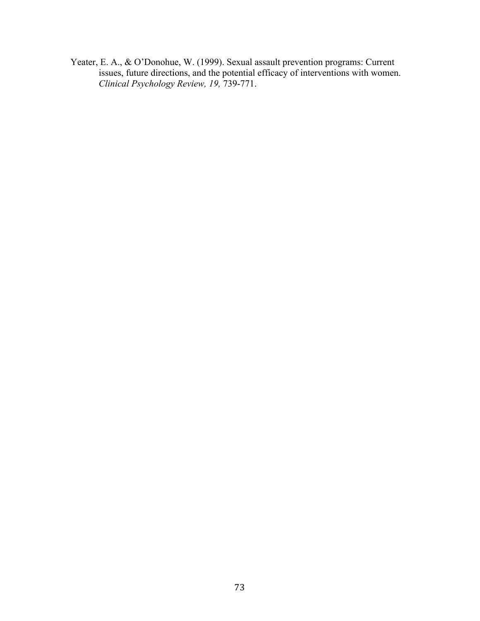Yeater, E. A., & O'Donohue, W. (1999). Sexual assault prevention programs: Current issues, future directions, and the potential efficacy of interventions with women. *Clinical Psychology Review, 19,* 739-771.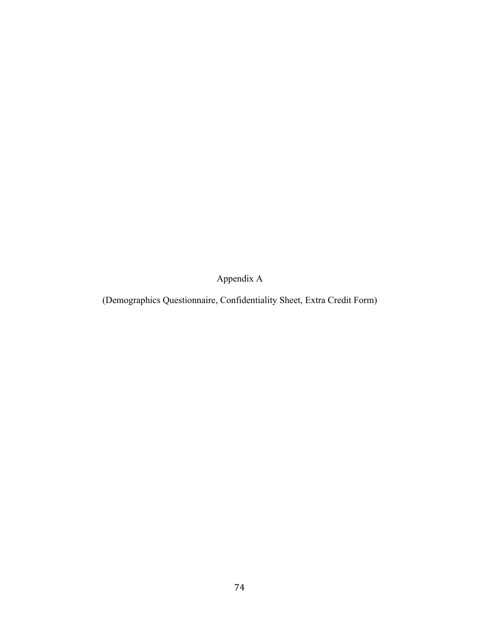Appendix A

(Demographics Questionnaire, Confidentiality Sheet, Extra Credit Form)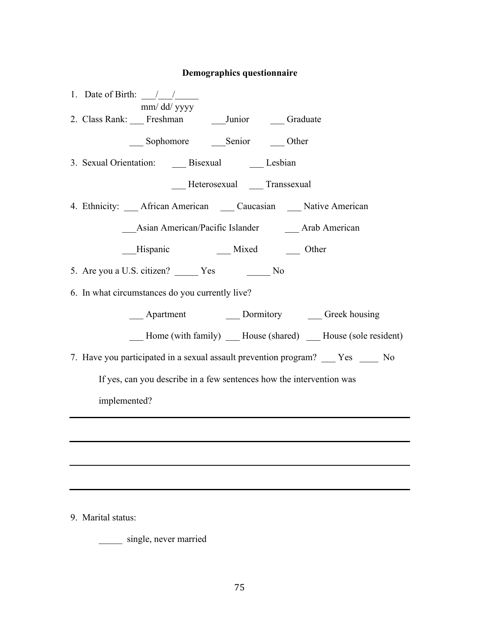# **Demographics questionnaire**

|                                                                      | 1. Date of Birth: $\frac{1}{\sqrt{2}}$                                           |  |  |  |
|----------------------------------------------------------------------|----------------------------------------------------------------------------------|--|--|--|
|                                                                      | $mm/dd/$ yyyy<br>2. Class Rank: Freshman Junior Graduate                         |  |  |  |
|                                                                      | ___ Sophomore ________ Senior ______ Other                                       |  |  |  |
|                                                                      | 3. Sexual Orientation: _______ Bisexual _______________ Lesbian                  |  |  |  |
|                                                                      | Heterosexual __ Transsexual                                                      |  |  |  |
|                                                                      | 4. Ethnicity: __ African American __ Caucasian __ Native American                |  |  |  |
|                                                                      | Asian American/Pacific Islander _______ Arab American                            |  |  |  |
|                                                                      | Hispanic Mixed http://www.file.com/                                              |  |  |  |
|                                                                      | 5. Are you a U.S. citizen? ________ Yes __________ No                            |  |  |  |
|                                                                      | 6. In what circumstances do you currently live?                                  |  |  |  |
|                                                                      | __ Apartment ______ Dormitory ______ Greek housing                               |  |  |  |
|                                                                      | __ Home (with family) __ House (shared) __ House (sole resident)                 |  |  |  |
|                                                                      | 7. Have you participated in a sexual assault prevention program? ___ Yes ____ No |  |  |  |
| If yes, can you describe in a few sentences how the intervention was |                                                                                  |  |  |  |
|                                                                      | implemented?                                                                     |  |  |  |
|                                                                      |                                                                                  |  |  |  |
|                                                                      |                                                                                  |  |  |  |
|                                                                      |                                                                                  |  |  |  |
|                                                                      |                                                                                  |  |  |  |
|                                                                      |                                                                                  |  |  |  |

9. Marital status:

\_\_\_\_\_ single, never married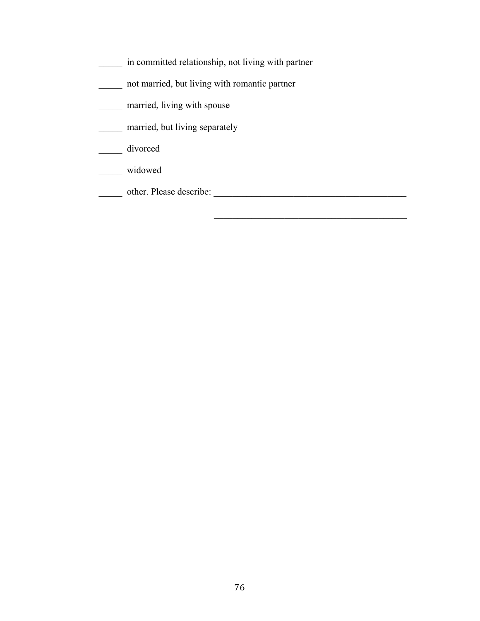- \_\_\_\_\_ in committed relationship, not living with partner
- \_\_\_\_\_ not married, but living with romantic partner
- \_\_\_\_\_ married, living with spouse
- \_\_\_\_\_\_ married, but living separately
- \_\_\_\_\_ divorced
- \_\_\_\_\_ widowed
- \_\_\_\_\_ other. Please describe: \_\_\_\_\_\_\_\_\_\_\_\_\_\_\_\_\_\_\_\_\_\_\_\_\_\_\_\_\_\_\_\_\_\_\_\_\_\_\_\_\_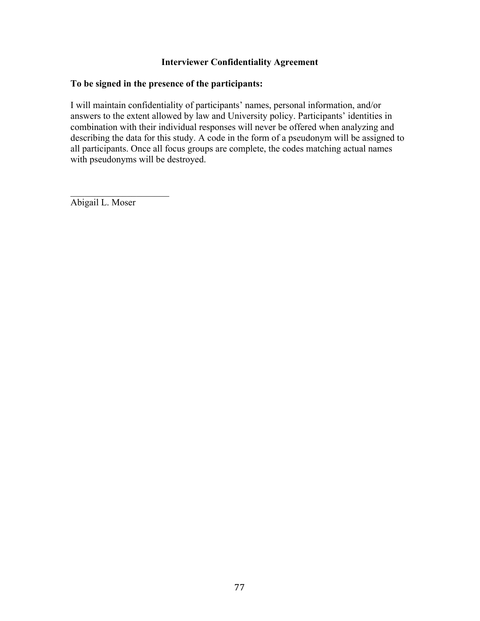## **Interviewer Confidentiality Agreement**

#### **To be signed in the presence of the participants:**

I will maintain confidentiality of participants' names, personal information, and/or answers to the extent allowed by law and University policy. Participants' identities in combination with their individual responses will never be offered when analyzing and describing the data for this study. A code in the form of a pseudonym will be assigned to all participants. Once all focus groups are complete, the codes matching actual names with pseudonyms will be destroyed.

Abigail L. Moser

 $\mathcal{L}_\text{max}$  , where  $\mathcal{L}_\text{max}$  , we have the set of the set of the set of the set of the set of the set of the set of the set of the set of the set of the set of the set of the set of the set of the set of the set of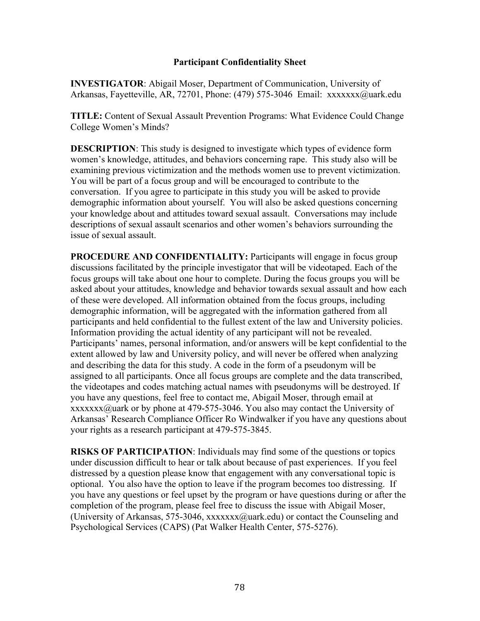#### **Participant Confidentiality Sheet**

**INVESTIGATOR**: Abigail Moser, Department of Communication, University of Arkansas, Fayetteville, AR, 72701, Phone: (479) 575-3046 Email: xxxxxxx@uark.edu

**TITLE:** Content of Sexual Assault Prevention Programs: What Evidence Could Change College Women's Minds?

**DESCRIPTION**: This study is designed to investigate which types of evidence form women's knowledge, attitudes, and behaviors concerning rape. This study also will be examining previous victimization and the methods women use to prevent victimization. You will be part of a focus group and will be encouraged to contribute to the conversation. If you agree to participate in this study you will be asked to provide demographic information about yourself. You will also be asked questions concerning your knowledge about and attitudes toward sexual assault. Conversations may include descriptions of sexual assault scenarios and other women's behaviors surrounding the issue of sexual assault.

**PROCEDURE AND CONFIDENTIALITY:** Participants will engage in focus group discussions facilitated by the principle investigator that will be videotaped. Each of the focus groups will take about one hour to complete. During the focus groups you will be asked about your attitudes, knowledge and behavior towards sexual assault and how each of these were developed. All information obtained from the focus groups, including demographic information, will be aggregated with the information gathered from all participants and held confidential to the fullest extent of the law and University policies. Information providing the actual identity of any participant will not be revealed. Participants' names, personal information, and/or answers will be kept confidential to the extent allowed by law and University policy, and will never be offered when analyzing and describing the data for this study. A code in the form of a pseudonym will be assigned to all participants. Once all focus groups are complete and the data transcribed, the videotapes and codes matching actual names with pseudonyms will be destroyed. If you have any questions, feel free to contact me, Abigail Moser, through email at  $xxxxxx@$ uark or by phone at 479-575-3046. You also may contact the University of Arkansas' Research Compliance Officer Ro Windwalker if you have any questions about your rights as a research participant at 479-575-3845.

**RISKS OF PARTICIPATION**: Individuals may find some of the questions or topics under discussion difficult to hear or talk about because of past experiences. If you feel distressed by a question please know that engagement with any conversational topic is optional. You also have the option to leave if the program becomes too distressing. If you have any questions or feel upset by the program or have questions during or after the completion of the program, please feel free to discuss the issue with Abigail Moser, (University of Arkansas, 575-3046,  $xxxxxx(a)$ uark.edu) or contact the Counseling and Psychological Services (CAPS) (Pat Walker Health Center, 575-5276).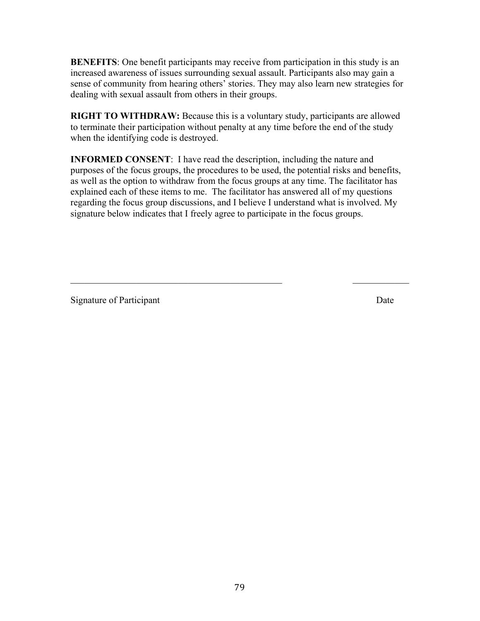**BENEFITS**: One benefit participants may receive from participation in this study is an increased awareness of issues surrounding sexual assault. Participants also may gain a sense of community from hearing others' stories. They may also learn new strategies for dealing with sexual assault from others in their groups.

**RIGHT TO WITHDRAW:** Because this is a voluntary study, participants are allowed to terminate their participation without penalty at any time before the end of the study when the identifying code is destroyed.

**INFORMED CONSENT:** I have read the description, including the nature and purposes of the focus groups, the procedures to be used, the potential risks and benefits, as well as the option to withdraw from the focus groups at any time. The facilitator has explained each of these items to me. The facilitator has answered all of my questions regarding the focus group discussions, and I believe I understand what is involved. My signature below indicates that I freely agree to participate in the focus groups.

 $\mathcal{L}_\text{max}$  , and the contribution of the contribution of the contribution of the contribution of the contribution of the contribution of the contribution of the contribution of the contribution of the contribution of t

Signature of Participant Date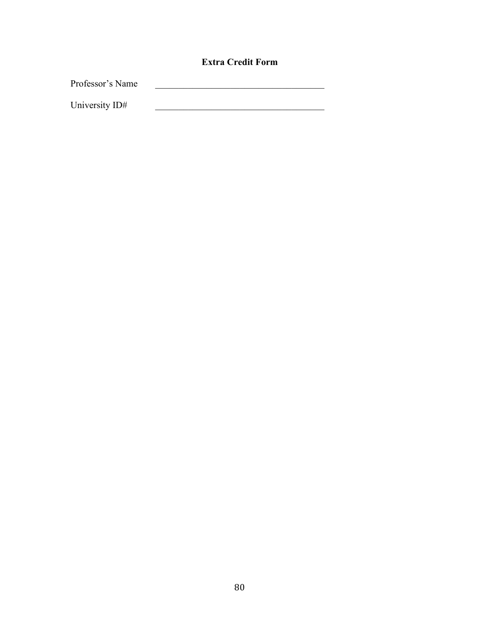# **Extra Credit Form**

Professor's Name

University ID#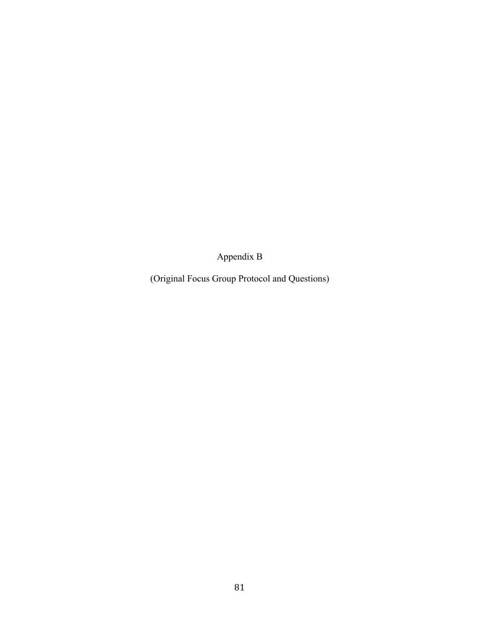Appendix B

(Original Focus Group Protocol and Questions)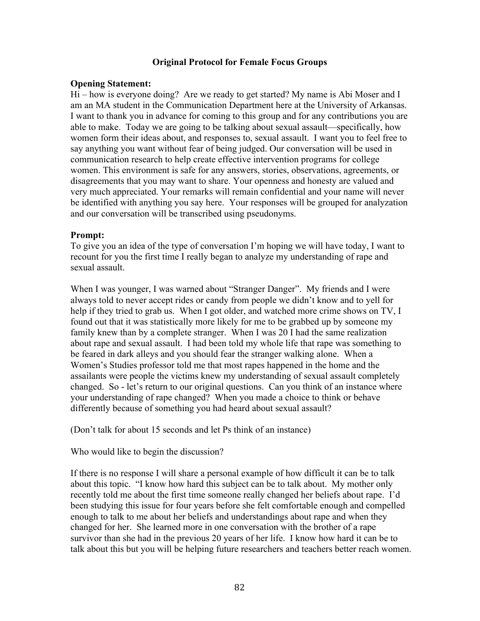## **Original Protocol for Female Focus Groups**

#### **Opening Statement:**

Hi – how is everyone doing? Are we ready to get started? My name is Abi Moser and I am an MA student in the Communication Department here at the University of Arkansas. I want to thank you in advance for coming to this group and for any contributions you are able to make. Today we are going to be talking about sexual assault—specifically, how women form their ideas about, and responses to, sexual assault. I want you to feel free to say anything you want without fear of being judged. Our conversation will be used in communication research to help create effective intervention programs for college women. This environment is safe for any answers, stories, observations, agreements, or disagreements that you may want to share. Your openness and honesty are valued and very much appreciated. Your remarks will remain confidential and your name will never be identified with anything you say here. Your responses will be grouped for analyzation and our conversation will be transcribed using pseudonyms.

#### **Prompt:**

To give you an idea of the type of conversation I'm hoping we will have today, I want to recount for you the first time I really began to analyze my understanding of rape and sexual assault.

When I was younger, I was warned about "Stranger Danger". My friends and I were always told to never accept rides or candy from people we didn't know and to yell for help if they tried to grab us. When I got older, and watched more crime shows on TV, I found out that it was statistically more likely for me to be grabbed up by someone my family knew than by a complete stranger. When I was 20 I had the same realization about rape and sexual assault. I had been told my whole life that rape was something to be feared in dark alleys and you should fear the stranger walking alone. When a Women's Studies professor told me that most rapes happened in the home and the assailants were people the victims knew my understanding of sexual assault completely changed. So - let's return to our original questions. Can you think of an instance where your understanding of rape changed? When you made a choice to think or behave differently because of something you had heard about sexual assault?

(Don't talk for about 15 seconds and let Ps think of an instance)

Who would like to begin the discussion?

If there is no response I will share a personal example of how difficult it can be to talk about this topic. "I know how hard this subject can be to talk about. My mother only recently told me about the first time someone really changed her beliefs about rape. I'd been studying this issue for four years before she felt comfortable enough and compelled enough to talk to me about her beliefs and understandings about rape and when they changed for her. She learned more in one conversation with the brother of a rape survivor than she had in the previous 20 years of her life. I know how hard it can be to talk about this but you will be helping future researchers and teachers better reach women.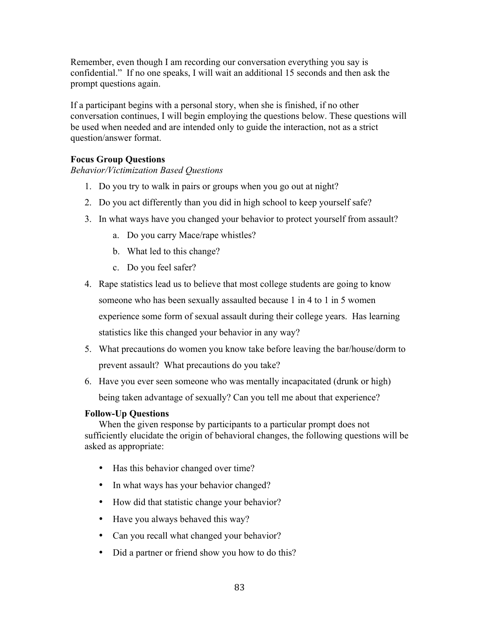Remember, even though I am recording our conversation everything you say is confidential." If no one speaks, I will wait an additional 15 seconds and then ask the prompt questions again.

If a participant begins with a personal story, when she is finished, if no other conversation continues, I will begin employing the questions below. These questions will be used when needed and are intended only to guide the interaction, not as a strict question/answer format.

# **Focus Group Questions**

*Behavior/Victimization Based Questions*

- 1. Do you try to walk in pairs or groups when you go out at night?
- 2. Do you act differently than you did in high school to keep yourself safe?
- 3. In what ways have you changed your behavior to protect yourself from assault?
	- a. Do you carry Mace/rape whistles?
	- b. What led to this change?
	- c. Do you feel safer?
- 4. Rape statistics lead us to believe that most college students are going to know someone who has been sexually assaulted because 1 in 4 to 1 in 5 women experience some form of sexual assault during their college years. Has learning statistics like this changed your behavior in any way?
- 5. What precautions do women you know take before leaving the bar/house/dorm to prevent assault? What precautions do you take?
- 6. Have you ever seen someone who was mentally incapacitated (drunk or high) being taken advantage of sexually? Can you tell me about that experience?

#### **Follow-Up Questions**

When the given response by participants to a particular prompt does not sufficiently elucidate the origin of behavioral changes, the following questions will be asked as appropriate:

- Has this behavior changed over time?
- In what ways has your behavior changed?
- How did that statistic change your behavior?
- Have you always behaved this way?
- Can you recall what changed your behavior?
- Did a partner or friend show you how to do this?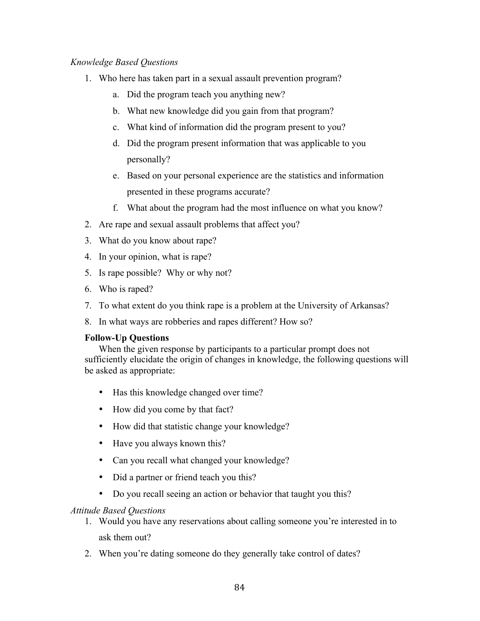# *Knowledge Based Questions*

- 1. Who here has taken part in a sexual assault prevention program?
	- a. Did the program teach you anything new?
	- b. What new knowledge did you gain from that program?
	- c. What kind of information did the program present to you?
	- d. Did the program present information that was applicable to you personally?
	- e. Based on your personal experience are the statistics and information presented in these programs accurate?
	- f. What about the program had the most influence on what you know?
- 2. Are rape and sexual assault problems that affect you?
- 3. What do you know about rape?
- 4. In your opinion, what is rape?
- 5. Is rape possible? Why or why not?
- 6. Who is raped?
- 7. To what extent do you think rape is a problem at the University of Arkansas?
- 8. In what ways are robberies and rapes different? How so?

# **Follow-Up Questions**

When the given response by participants to a particular prompt does not sufficiently elucidate the origin of changes in knowledge, the following questions will be asked as appropriate:

- Has this knowledge changed over time?
- How did you come by that fact?
- How did that statistic change your knowledge?
- Have you always known this?
- Can you recall what changed your knowledge?
- Did a partner or friend teach you this?
- Do you recall seeing an action or behavior that taught you this?

# *Attitude Based Questions*

- 1. Would you have any reservations about calling someone you're interested in to ask them out?
- 2. When you're dating someone do they generally take control of dates?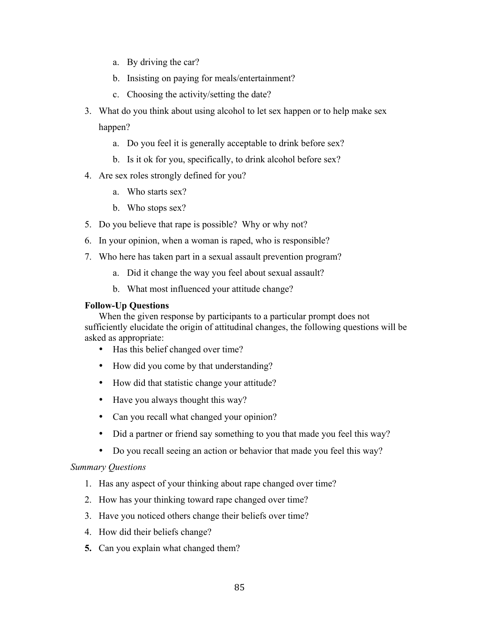- a. By driving the car?
- b. Insisting on paying for meals/entertainment?
- c. Choosing the activity/setting the date?
- 3. What do you think about using alcohol to let sex happen or to help make sex happen?
	- a. Do you feel it is generally acceptable to drink before sex?
	- b. Is it ok for you, specifically, to drink alcohol before sex?
- 4. Are sex roles strongly defined for you?
	- a. Who starts sex?
	- b. Who stops sex?
- 5. Do you believe that rape is possible? Why or why not?
- 6. In your opinion, when a woman is raped, who is responsible?
- 7. Who here has taken part in a sexual assault prevention program?
	- a. Did it change the way you feel about sexual assault?
	- b. What most influenced your attitude change?

#### **Follow-Up Questions**

When the given response by participants to a particular prompt does not sufficiently elucidate the origin of attitudinal changes, the following questions will be asked as appropriate:

- Has this belief changed over time?
- How did you come by that understanding?
- How did that statistic change your attitude?
- Have you always thought this way?
- Can you recall what changed your opinion?
- Did a partner or friend say something to you that made you feel this way?
- Do you recall seeing an action or behavior that made you feel this way?

#### *Summary Questions*

- 1. Has any aspect of your thinking about rape changed over time?
- 2. How has your thinking toward rape changed over time?
- 3. Have you noticed others change their beliefs over time?
- 4. How did their beliefs change?
- **5.** Can you explain what changed them?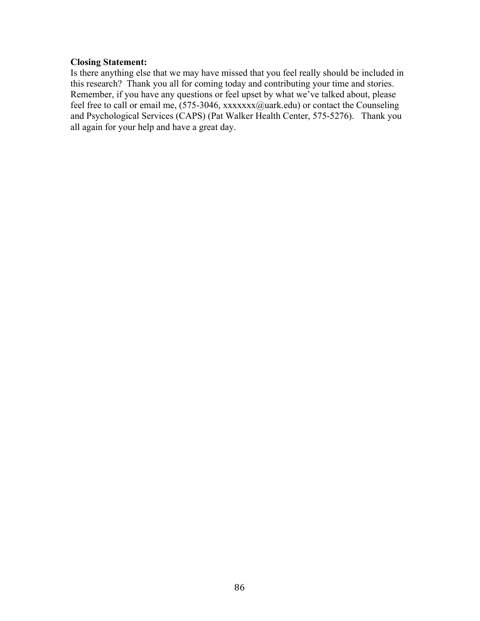#### **Closing Statement:**

Is there anything else that we may have missed that you feel really should be included in this research? Thank you all for coming today and contributing your time and stories. Remember, if you have any questions or feel upset by what we've talked about, please feel free to call or email me,  $(575-3046, \frac{30}{2}x)$  xxxxxxx $\alpha$  wark.edu) or contact the Counseling and Psychological Services (CAPS) (Pat Walker Health Center, 575-5276). Thank you all again for your help and have a great day.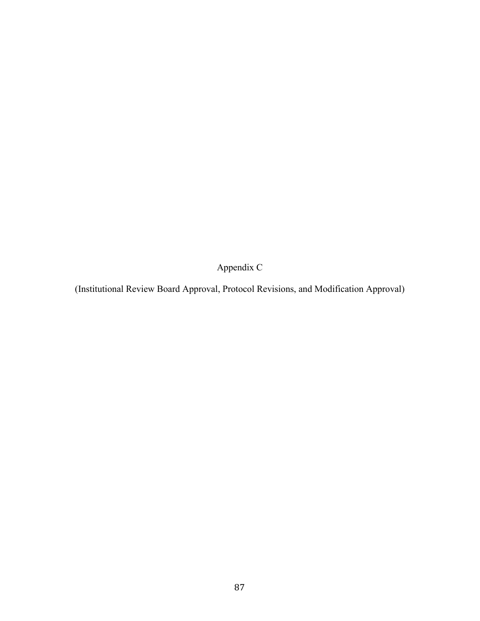Appendix C

(Institutional Review Board Approval, Protocol Revisions, and Modification Approval)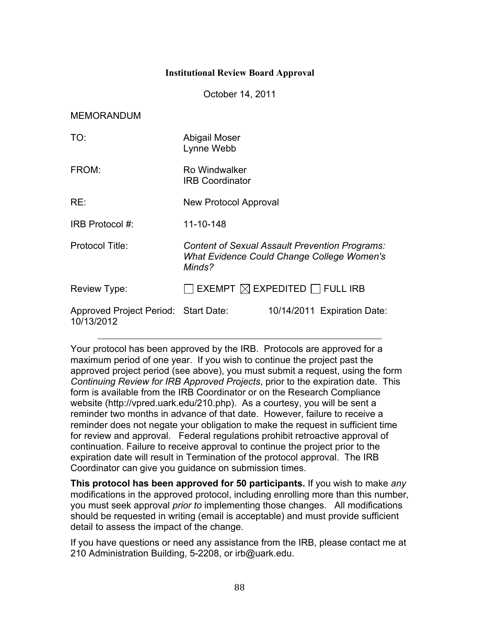### **Institutional Review Board Approval**

October 14, 2011

#### MEMORANDUM

| TO:                                                | Abigail Moser<br>Lynne Webb                                                                                   |                                              |  |
|----------------------------------------------------|---------------------------------------------------------------------------------------------------------------|----------------------------------------------|--|
| FROM:                                              | Ro Windwalker<br><b>IRB Coordinator</b>                                                                       |                                              |  |
| RE:                                                | New Protocol Approval                                                                                         |                                              |  |
| IRB Protocol #:                                    | 11-10-148                                                                                                     |                                              |  |
| Protocol Title:                                    | Content of Sexual Assault Prevention Programs:<br><b>What Evidence Could Change College Women's</b><br>Minds? |                                              |  |
| Review Type:                                       |                                                                                                               | EXEMPT $\boxtimes$ EXPEDITED $\Box$ FULL IRB |  |
| Approved Project Period: Start Date:<br>10/13/2012 |                                                                                                               | 10/14/2011 Expiration Date:                  |  |

Your protocol has been approved by the IRB. Protocols are approved for a maximum period of one year. If you wish to continue the project past the approved project period (see above), you must submit a request, using the form *Continuing Review for IRB Approved Projects*, prior to the expiration date. This form is available from the IRB Coordinator or on the Research Compliance website (http://vpred.uark.edu/210.php). As a courtesy, you will be sent a reminder two months in advance of that date. However, failure to receive a reminder does not negate your obligation to make the request in sufficient time for review and approval. Federal regulations prohibit retroactive approval of continuation. Failure to receive approval to continue the project prior to the expiration date will result in Termination of the protocol approval. The IRB Coordinator can give you guidance on submission times.

**This protocol has been approved for 50 participants.** If you wish to make *any* modifications in the approved protocol, including enrolling more than this number, you must seek approval *prior to* implementing those changes. All modifications should be requested in writing (email is acceptable) and must provide sufficient detail to assess the impact of the change.

If you have questions or need any assistance from the IRB, please contact me at 210 Administration Building, 5-2208, or irb@uark.edu.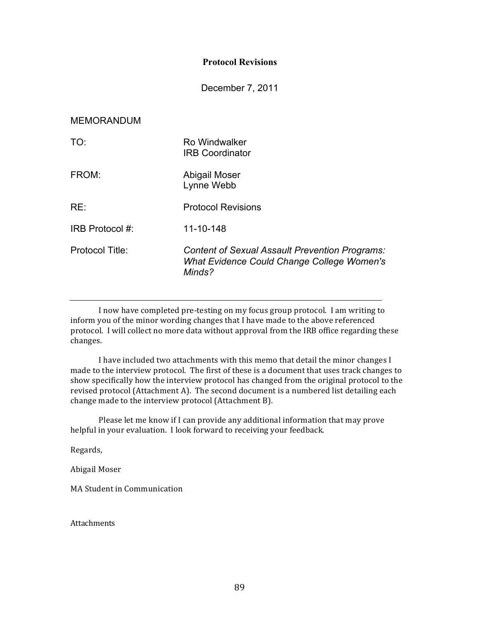#### **Protocol Revisions**

### December 7, 2011

#### MEMORANDUM

| TO:             | Ro Windwalker<br><b>IRB Coordinator</b>                                                                       |
|-----------------|---------------------------------------------------------------------------------------------------------------|
| FROM:           | Abigail Moser<br>Lynne Webb                                                                                   |
| RE:             | <b>Protocol Revisions</b>                                                                                     |
| IRB Protocol #: | 11-10-148                                                                                                     |
| Protocol Title: | Content of Sexual Assault Prevention Programs:<br><b>What Evidence Could Change College Women's</b><br>Minds? |

I now have completed pre-testing on my focus group protocol. I am writing to inform you of the minor wording changes that I have made to the above referenced protocol. I will collect no more data without approval from the IRB office regarding these changes.

I have included two attachments with this memo that detail the minor changes I made to the interview protocol. The first of these is a document that uses track changes to show specifically how the interview protocol has changed from the original protocol to the revised protocol (Attachment A). The second document is a numbered list detailing each change made to the interview protocol (Attachment B).

Please let me know if I can provide any additional information that may prove helpful in your evaluation. I look forward to receiving your feedback.

Regards,

Abigail Moser

MA Student in Communication

**Attachments**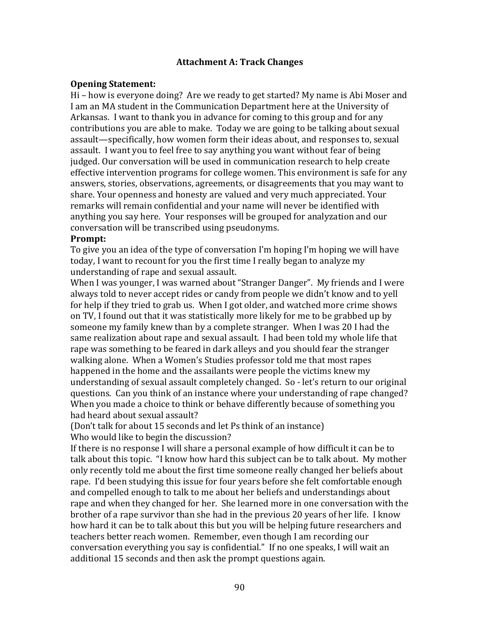# **Attachment A: Track Changes**

#### **Opening Statement:**

Hi – how is everyone doing? Are we ready to get started? My name is Abi Moser and I am an MA student in the Communication Department here at the University of Arkansas. I want to thank you in advance for coming to this group and for any contributions you are able to make. Today we are going to be talking about sexual assault—specifically, how women form their ideas about, and responses to, sexual assault. I want you to feel free to say anything you want without fear of being judged. Our conversation will be used in communication research to help create effective intervention programs for college women. This environment is safe for any answers, stories, observations, agreements, or disagreements that you may want to share. Your openness and honesty are valued and very much appreciated. Your remarks will remain confidential and your name will never be identified with anything you say here. Your responses will be grouped for analyzation and our conversation will be transcribed using pseudonyms.

#### **Prompt:**

To give you an idea of the type of conversation I'm hoping I'm hoping we will have today, I want to recount for you the first time I really began to analyze my understanding of rape and sexual assault.

When I was younger, I was warned about "Stranger Danger". My friends and I were always told to never accept rides or candy from people we didn't know and to yell for help if they tried to grab us. When I got older, and watched more crime shows on TV, I found out that it was statistically more likely for me to be grabbed up by someone my family knew than by a complete stranger. When I was 20 I had the same realization about rape and sexual assault. I had been told my whole life that rape was something to be feared in dark alleys and you should fear the stranger walking alone. When a Women's Studies professor told me that most rapes happened in the home and the assailants were people the victims knew my understanding of sexual assault completely changed. So - let's return to our original questions. Can you think of an instance where your understanding of rape changed? When you made a choice to think or behave differently because of something you had heard about sexual assault?

(Don't talk for about 15 seconds and let Ps think of an instance) Who would like to begin the discussion?

If there is no response I will share a personal example of how difficult it can be to talk about this topic. "I know how hard this subject can be to talk about. My mother only recently told me about the first time someone really changed her beliefs about rape. I'd been studying this issue for four years before she felt comfortable enough and compelled enough to talk to me about her beliefs and understandings about rape and when they changed for her. She learned more in one conversation with the brother of a rape survivor than she had in the previous 20 years of her life. I know how hard it can be to talk about this but you will be helping future researchers and teachers better reach women. Remember, even though I am recording our conversation everything you say is confidential." If no one speaks, I will wait an additional 15 seconds and then ask the prompt questions again.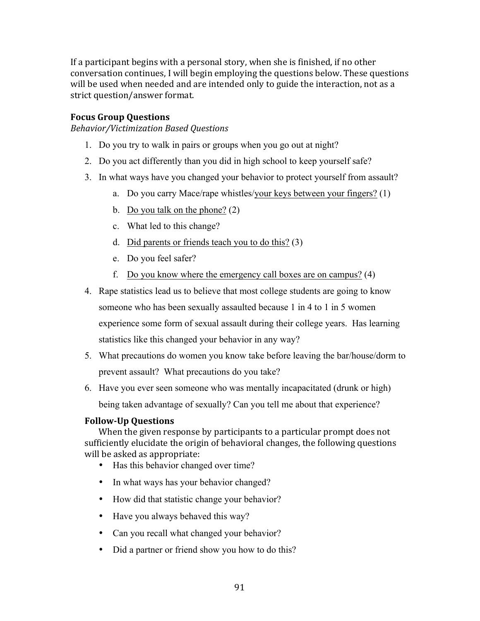If a participant begins with a personal story, when she is finished, if no other conversation continues, I will begin employing the questions below. These questions will be used when needed and are intended only to guide the interaction, not as a strict question/answer format.

# **Focus Group Ouestions**

*Behavior/Victimization'Based'Questions*

- 1. Do you try to walk in pairs or groups when you go out at night?
- 2. Do you act differently than you did in high school to keep yourself safe?
- 3. In what ways have you changed your behavior to protect yourself from assault?
	- a. Do you carry Mace/rape whistles/your keys between your fingers? (1)
	- b. Do you talk on the phone? (2)
	- c. What led to this change?
	- d. Did parents or friends teach you to do this? (3)
	- e. Do you feel safer?
	- f. Do you know where the emergency call boxes are on campus? (4)
- 4. Rape statistics lead us to believe that most college students are going to know someone who has been sexually assaulted because 1 in 4 to 1 in 5 women experience some form of sexual assault during their college years. Has learning statistics like this changed your behavior in any way?
- 5. What precautions do women you know take before leaving the bar/house/dorm to prevent assault? What precautions do you take?
- 6. Have you ever seen someone who was mentally incapacitated (drunk or high) being taken advantage of sexually? Can you tell me about that experience?

# **Follow=Up)Questions**

When the given response by participants to a particular prompt does not sufficiently elucidate the origin of behavioral changes, the following questions will be asked as appropriate:

- Has this behavior changed over time?
- In what ways has your behavior changed?
- How did that statistic change your behavior?
- Have you always behaved this way?
- Can you recall what changed your behavior?
- Did a partner or friend show you how to do this?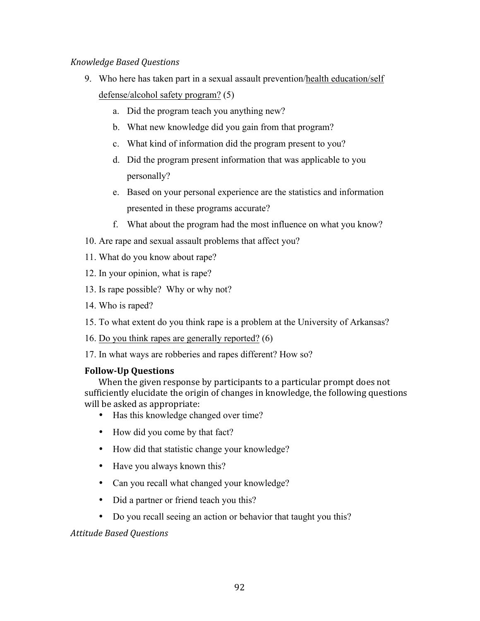# *Knowledge'Based'Questions*

- 9. Who here has taken part in a sexual assault prevention/health education/self defense/alcohol safety program? (5)
	- a. Did the program teach you anything new?
	- b. What new knowledge did you gain from that program?
	- c. What kind of information did the program present to you?
	- d. Did the program present information that was applicable to you personally?
	- e. Based on your personal experience are the statistics and information presented in these programs accurate?
	- f. What about the program had the most influence on what you know?
- 10. Are rape and sexual assault problems that affect you?
- 11. What do you know about rape?
- 12. In your opinion, what is rape?
- 13. Is rape possible? Why or why not?
- 14. Who is raped?
- 15. To what extent do you think rape is a problem at the University of Arkansas?
- 16. Do you think rapes are generally reported? (6)
- 17. In what ways are robberies and rapes different? How so?

# **Follow=Up)Questions**

When the given response by participants to a particular prompt does not sufficiently elucidate the origin of changes in knowledge, the following questions will be asked as appropriate:

- Has this knowledge changed over time?
- How did you come by that fact?
- How did that statistic change your knowledge?
- Have you always known this?
- Can you recall what changed your knowledge?
- Did a partner or friend teach you this?
- Do you recall seeing an action or behavior that taught you this?

# *Attitude'Based'Questions*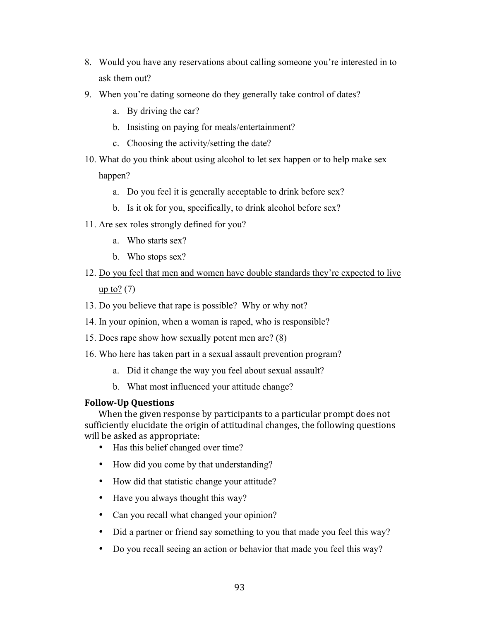- 8. Would you have any reservations about calling someone you're interested in to ask them out?
- 9. When you're dating someone do they generally take control of dates?
	- a. By driving the car?
	- b. Insisting on paying for meals/entertainment?
	- c. Choosing the activity/setting the date?
- 10. What do you think about using alcohol to let sex happen or to help make sex happen?
	- a. Do you feel it is generally acceptable to drink before sex?
	- b. Is it ok for you, specifically, to drink alcohol before sex?
- 11. Are sex roles strongly defined for you?
	- a. Who starts sex?
	- b. Who stops sex?
- 12. Do you feel that men and women have double standards they're expected to live up to?  $(7)$
- 13. Do you believe that rape is possible? Why or why not?
- 14. In your opinion, when a woman is raped, who is responsible?
- 15. Does rape show how sexually potent men are? (8)
- 16. Who here has taken part in a sexual assault prevention program?
	- a. Did it change the way you feel about sexual assault?
	- b. What most influenced your attitude change?

# **Follow=Up)Questions**

When the given response by participants to a particular prompt does not sufficiently elucidate the origin of attitudinal changes, the following questions will be asked as appropriate:

- Has this belief changed over time?
- How did you come by that understanding?
- How did that statistic change your attitude?
- Have you always thought this way?
- Can you recall what changed your opinion?
- Did a partner or friend say something to you that made you feel this way?
- Do you recall seeing an action or behavior that made you feel this way?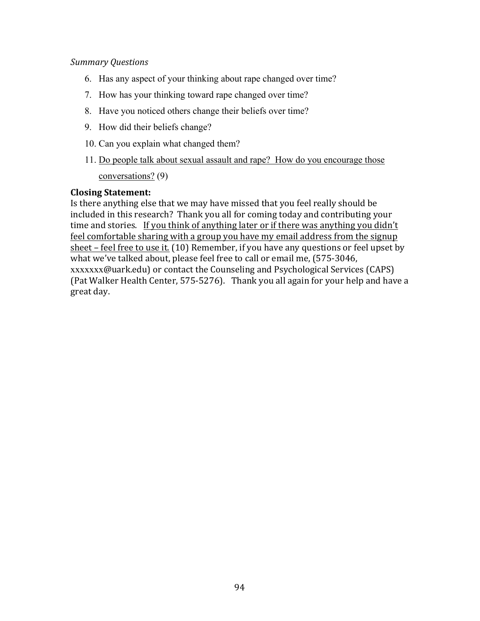### *Summary'Questions*

- 6. Has any aspect of your thinking about rape changed over time?
- 7. How has your thinking toward rape changed over time?
- 8. Have you noticed others change their beliefs over time?
- 9. How did their beliefs change?
- 10. Can you explain what changed them?
- 11. Do people talk about sexual assault and rape? How do you encourage those conversations? (9)

# **Closing Statement:**

Is there anything else that we may have missed that you feel really should be included in this research? Thank you all for coming today and contributing your time and stories. If you think of anything later or if there was anything you didn't feel comfortable sharing with a group you have my email address from the signup sheet – feel free to use it.  $(10)$  Remember, if you have any questions or feel upset by what we've talked about, please feel free to call or email me, (575-3046, xxxxxxx@uark.edu) or contact the Counseling and Psychological Services (CAPS) (Pat Walker Health Center, 575-5276). Thank you all again for your help and have a great day.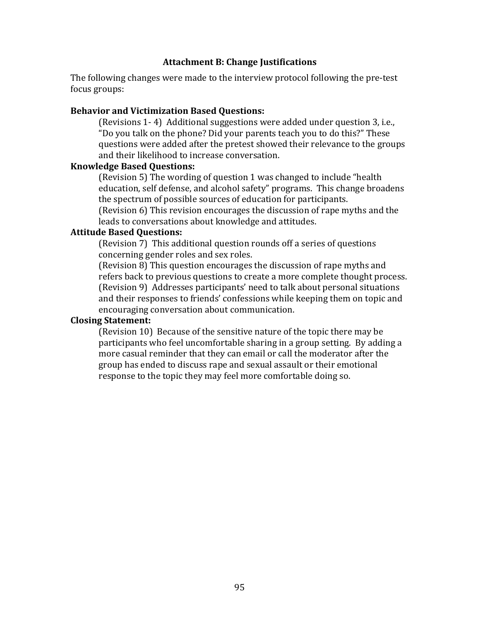#### **Attachment B: Change Justifications**

The following changes were made to the interview protocol following the pre-test focus groups:

#### **Behavior and Victimization Based Questions:**

(Revisions 1-4) Additional suggestions were added under question 3, i.e., "Do you talk on the phone? Did your parents teach you to do this?" These questions were added after the pretest showed their relevance to the groups and their likelihood to increase conversation.

### **Knowledge Based Questions:**

(Revision 5) The wording of question 1 was changed to include "health" education, self defense, and alcohol safety" programs. This change broadens the spectrum of possible sources of education for participants.

(Revision 6) This revision encourages the discussion of rape myths and the leads to conversations about knowledge and attitudes.

#### **Attitude Based Questions:**

(Revision 7) This additional question rounds off a series of questions concerning gender roles and sex roles.

(Revision 8) This question encourages the discussion of rape myths and refers back to previous questions to create a more complete thought process. (Revision 9) Addresses participants' need to talk about personal situations and their responses to friends' confessions while keeping them on topic and encouraging conversation about communication.

# **Closing Statement:**

(Revision 10) Because of the sensitive nature of the topic there may be participants who feel uncomfortable sharing in a group setting. By adding a more casual reminder that they can email or call the moderator after the group has ended to discuss rape and sexual assault or their emotional response to the topic they may feel more comfortable doing so.